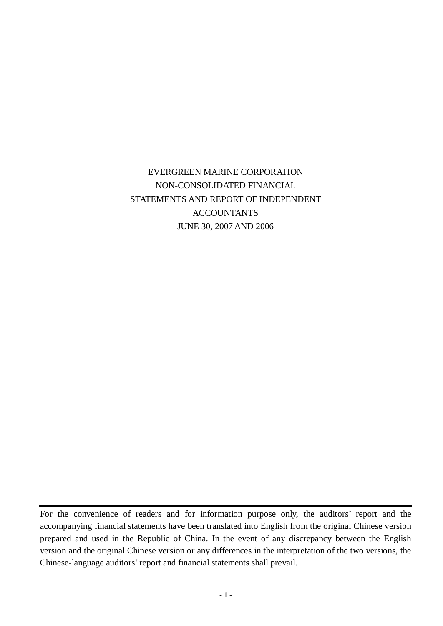# EVERGREEN MARINE CORPORATION NON-CONSOLIDATED FINANCIAL STATEMENTS AND REPORT OF INDEPENDENT ACCOUNTANTS JUNE 30, 2007 AND 2006

For the convenience of readers and for information purpose only, the auditors' report and the accompanying financial statements have been translated into English from the original Chinese version prepared and used in the Republic of China. In the event of any discrepancy between the English version and the original Chinese version or any differences in the interpretation of the two versions, the Chinese-language auditors' report and financial statements shall prevail.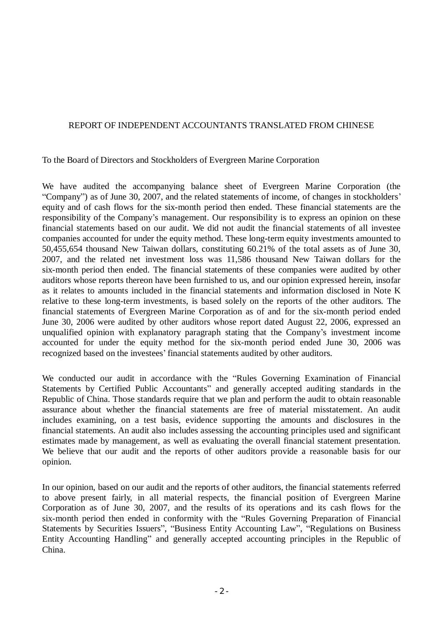# REPORT OF INDEPENDENT ACCOUNTANTS TRANSLATED FROM CHINESE

To the Board of Directors and Stockholders of Evergreen Marine Corporation

We have audited the accompanying balance sheet of Evergreen Marine Corporation (the "Company") as of June 30, 2007, and the related statements of income, of changes in stockholders' equity and of cash flows for the six-month period then ended. These financial statements are the responsibility of the Company's management. Our responsibility is to express an opinion on these financial statements based on our audit. We did not audit the financial statements of all investee companies accounted for under the equity method. These long-term equity investments amounted to 50,455,654 thousand New Taiwan dollars, constituting 60.21% of the total assets as of June 30, 2007, and the related net investment loss was 11,586 thousand New Taiwan dollars for the six-month period then ended. The financial statements of these companies were audited by other auditors whose reports thereon have been furnished to us, and our opinion expressed herein, insofar as it relates to amounts included in the financial statements and information disclosed in Note K relative to these long-term investments, is based solely on the reports of the other auditors. The financial statements of Evergreen Marine Corporation as of and for the six-month period ended June 30, 2006 were audited by other auditors whose report dated August 22, 2006, expressed an unqualified opinion with explanatory paragraph stating that the Company's investment income accounted for under the equity method for the six-month period ended June 30, 2006 was recognized based on the investees' financial statements audited by other auditors.

We conducted our audit in accordance with the "Rules Governing Examination of Financial Statements by Certified Public Accountants" and generally accepted auditing standards in the Republic of China. Those standards require that we plan and perform the audit to obtain reasonable assurance about whether the financial statements are free of material misstatement. An audit includes examining, on a test basis, evidence supporting the amounts and disclosures in the financial statements. An audit also includes assessing the accounting principles used and significant estimates made by management, as well as evaluating the overall financial statement presentation. We believe that our audit and the reports of other auditors provide a reasonable basis for our opinion.

In our opinion, based on our audit and the reports of other auditors, the financial statements referred to above present fairly, in all material respects, the financial position of Evergreen Marine Corporation as of June 30, 2007, and the results of its operations and its cash flows for the six-month period then ended in conformity with the "Rules Governing Preparation of Financial Statements by Securities Issuers", "Business Entity Accounting Law", "Regulations on Business Entity Accounting Handling" and generally accepted accounting principles in the Republic of China.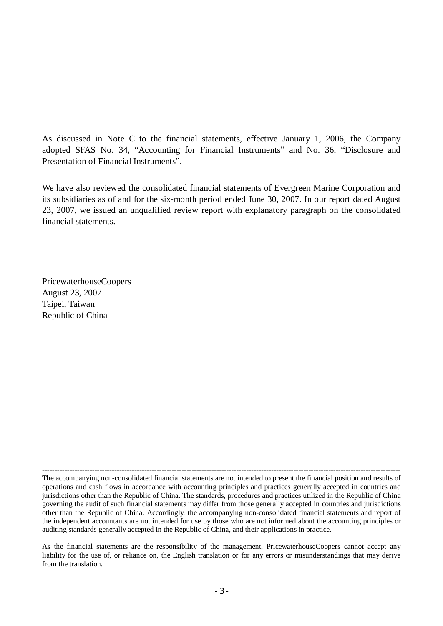As discussed in Note C to the financial statements, effective January 1, 2006, the Company adopted SFAS No. 34, "Accounting for Financial Instruments" and No. 36, "Disclosure and Presentation of Financial Instruments".

We have also reviewed the consolidated financial statements of Evergreen Marine Corporation and its subsidiaries as of and for the six-month period ended June 30, 2007. In our report dated August 23, 2007, we issued an unqualified review report with explanatory paragraph on the consolidated financial statements.

PricewaterhouseCoopers August 23, 2007 Taipei, Taiwan Republic of China

------------------------------------------------------------------------------------------------------------------------------------------------

The accompanying non-consolidated financial statements are not intended to present the financial position and results of operations and cash flows in accordance with accounting principles and practices generally accepted in countries and jurisdictions other than the Republic of China. The standards, procedures and practices utilized in the Republic of China governing the audit of such financial statements may differ from those generally accepted in countries and jurisdictions other than the Republic of China. Accordingly, the accompanying non-consolidated financial statements and report of the independent accountants are not intended for use by those who are not informed about the accounting principles or auditing standards generally accepted in the Republic of China, and their applications in practice.

As the financial statements are the responsibility of the management, PricewaterhouseCoopers cannot accept any liability for the use of, or reliance on, the English translation or for any errors or misunderstandings that may derive from the translation.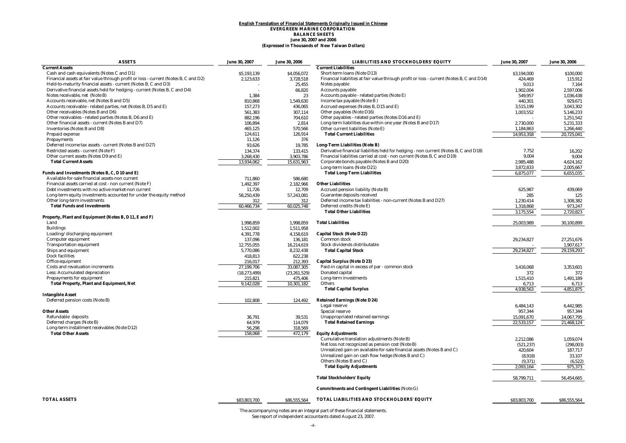#### **(Expressed in Thousands of New Taiwan Dollars) English Translation of Financial Statements Originally Issued in Chinese EVERGREEN MARINE CORPORATION BALANCE SHEETS June 30, 2007 and 2006**

| <b>ASSETS</b>                                                                       | June 30, 2007  | June 30, 2006  | <b>LIABILITIES AND STOCKHOLDERS' EQUITY</b>                                               | June 30, 2007 | June 30, 2006 |
|-------------------------------------------------------------------------------------|----------------|----------------|-------------------------------------------------------------------------------------------|---------------|---------------|
| <b>Current Assets</b>                                                               |                |                | <b>Current Liabilities</b>                                                                |               |               |
| Cash and cash equivalents (Notes C and D1)                                          | \$5.193.139    | \$4,056,072    | Short-term loans (Note D13)                                                               | \$3,194,000   | \$100.000     |
| Financial assets at fair value through profit or loss - current (Notes B, C and D2) | 2,123,633      | 3,728,518      | Financial liabilities at fair value through profit or loss - current (Notes B, C and D14) | 424,469       | 115,912       |
| Held-to-maturity financial assets - current (Notes B, C and D3)                     |                | 25,455         | Notes payable                                                                             | 9,013         | 7,164         |
| Derivative financial assets held for hedging - current (Notes B, C and D4)          |                | 66,820         | <b>Accounts payable</b>                                                                   | 1,902,004     | 2,597,006     |
| Notes receivable, net (Note B)                                                      | 1,384          | 23             | Accounts payable - related parties (Note E)                                               | 549,957       | 1,036,438     |
| Accounts receivable, net (Notes B and D5)                                           | 810,868        | 1,549,630      | Income tax payable (Note B)                                                               | 440,301       | 929,671       |
| Accounts receivable - related parties, net (Notes B, D5 and E)                      | 157,273        | 436,065        | Accrued expenses (Notes B, D15 and E)                                                     | 3,515,199     | 3,043,302     |
| Other receivables (Notes B and D6)                                                  | 561,383        | 307,114        | Other payables (Note D16)                                                                 | 1,003,552     | 5,146,233     |
| Other receivables - related parties (Notes B, D6 and E)                             | 882,196        | 704,610        | Other payables - related parties (Notes D16 and E)                                        |               | 1,251,542     |
| Other financial assets - current (Notes B and D7)                                   | 106,894        | 2,814          | Long-term liabilities due within one year (Notes B and D17)                               | 2,730,000     | 5,231,333     |
| <b>Inventories (Notes B and D8)</b>                                                 | 465,125        | 570,566        | Other current liabilities (Note E)                                                        | 1,184,863     | 1,266,440     |
| Prepaid expense                                                                     | 124,611        | 126,914        | <b>Total Current Liabilities</b>                                                          | 14.953.358    | 20.725.041    |
| <b>Prepayments</b>                                                                  | 11,126         | 376            |                                                                                           |               |               |
| Deferred income tax assets - current (Notes B and D27)                              | 93,626         | 19,785         | Long-Term Liabilities (Note B)                                                            |               |               |
| Restricted assets - current (Note F)                                                | 134.374        | 133,415        | Derivative financial liabilities held for hedging - non current (Notes B, C and D18)      | 7,752         | 16,202        |
| Other current assets (Notes D9 and E)                                               | 3,268,430      | 3,903,786      | Financial liabilities carried at cost - non current (Notes B, C and D19)                  | 9,004         | 9,004         |
| <b>Total Current Assets</b>                                                         | 13,934,062     | 15,631,963     | Corporate bonds payable (Notes B and D20)                                                 | 2,985,488     | 4,624,162     |
|                                                                                     |                |                | Long-term loans (Note D21)                                                                | 3,872,833     | 2,005,667     |
| Funds and Investments (Notes B, C, D10 and E)                                       |                |                | <b>Total Long-Term Liabilities</b>                                                        | 6,875,077     | 6,655,035     |
| Available-for-sale financial assets-non current                                     | 711,860        | 586,680        |                                                                                           |               |               |
| Financial assets carried at cost - non current (Note F)                             | 1,492,397      | 2,182,966      | <b>Other Liabilities</b>                                                                  |               |               |
| Debt investments with no active market-non current                                  | 11,726         | 12,709         | Accrued pension liability (Note B)                                                        | 625.987       | 439.069       |
| Long-term equity investments accounted for under the equity method                  | 58,250,439     | 57,243,081     | Guarantee deposits received                                                               | 285           | 125           |
| Other long-term investments                                                         | 312            | 312            | Deferred income tax liabilities - non-current (Notes B and D27)                           | 1,230,414     | 1,308,382     |
| <b>Total Funds and Investments</b>                                                  | 60,466,734     | 60,025,748     | Deferred credits (Note E)                                                                 | 1,318,868     | 973,247       |
|                                                                                     |                |                | <b>Total Other Liabilities</b>                                                            | 3,175,554     | 2,720,823     |
| Property, Plant and Equipment (Notes B, D11, E and F)                               |                |                |                                                                                           |               |               |
| Land                                                                                | 1,998,859      | 1,998,859      | <b>Total Liabilities</b>                                                                  | 25,003,989    | 30,100,899    |
| <b>Buildings</b>                                                                    | 1,512,002      | 1,511,958      |                                                                                           |               |               |
| Loading/discharging equipment                                                       | 4,391,778      | 4,158,619      | <b>Capital Stock (Note D22)</b>                                                           |               |               |
| Computer equipment                                                                  | 137,096        | 136,181        | Common stock                                                                              | 29,234,827    | 27,251,676    |
| <b>Transportation equipment</b>                                                     | 12,755,055     | 16,214,619     | Stock dividends distributable                                                             |               | 1,907,617     |
| Ships and equipment                                                                 | 5,770,086      | 8,232,438      | <b>Total Capital Stock</b>                                                                | 29,234,827    | 29,159,293    |
| <b>Dock facilities</b>                                                              | 418,813        | 622,238        |                                                                                           |               |               |
| Office equipment                                                                    | 216,017        | 212,393        | <b>Capital Surplus (Note D23)</b>                                                         |               |               |
| <b>Costs and revaluation increments</b>                                             | 27,199,706     | 33,087,305     | Paid-in capital in excess of par - common stock                                           | 3,416,068     | 3,353,601     |
| Less: Accumulated depreciation                                                      | (18, 273, 499) | (23, 261, 529) | Donated capital                                                                           | 372           | 372           |
| <b>Prepayments for equipment</b>                                                    | 215,821        | 475,406        | Long-term investments                                                                     | 1,515,410     | 1,491,189     |
| <b>Total Property, Plant and Equipment, Net</b>                                     | 9,142,028      | 10,301,182     | Others                                                                                    | 6,713         | 6,713         |
|                                                                                     |                |                | <b>Total Capital Surplus</b>                                                              | 4,938,563     | 4,851,875     |
| <b>Intangible Asset</b>                                                             |                |                |                                                                                           |               |               |
| Deferred pension costs (Note B)                                                     | 102,808        | 124,492        | <b>Retained Earnings (Note D24)</b>                                                       |               |               |
|                                                                                     |                |                | Legal reserve                                                                             | 6,484,143     | 6,442,985     |
| <b>Other Assets</b>                                                                 |                |                | <b>Special reserve</b>                                                                    | 957,344       | 957,344       |
| Refundable deposits                                                                 | 36,791         | 39,531         | Unappropriated retained earnings                                                          | 15,091,670    | 14,067,795    |
| Deferred charges (Note B)                                                           | 64.979         | 114.079        | <b>Total Retained Earnings</b>                                                            | 22,533,157    | 21.468.124    |
| Long-term installment receivables (Note D12)                                        | 56,298         | 318,569        |                                                                                           |               |               |
| <b>Total Other Assets</b>                                                           | 158,068        | 472,179        | <b>Equity Adjustments</b>                                                                 |               |               |
|                                                                                     |                |                | Cumulative translation adjustments (Note B)                                               | 2,212,086     | 1.059.074     |
|                                                                                     |                |                | Net loss not recognized as pension cost (Note B)                                          | (521, 237)    | (298, 003)    |
|                                                                                     |                |                | Unrealized gain on available-for-sale financial assets (Notes B and C)                    | 420,604       | 187,717       |
|                                                                                     |                |                | Unrealized gain on cash flow hedge (Notes B and C)                                        | (8,918)       | 33,107        |
|                                                                                     |                |                | Others (Notes B and C)                                                                    | (9, 371)      | (6, 522)      |
|                                                                                     |                |                | <b>Total Equity Adjustments</b>                                                           | 2,093,164     | 975,373       |
|                                                                                     |                |                |                                                                                           |               |               |
|                                                                                     |                |                | <b>Total Stockholders' Equity</b>                                                         | 58,799,711    | 56,454,665    |
|                                                                                     |                |                | <b>Commitments and Contingent Liabilities (Note G)</b>                                    |               |               |
| <b>TOTAL ASSETS</b>                                                                 | \$83,803,700   | \$86,555,564   | TOTAL LIABILITIES AND STOCKHOLDERS' EQUITY                                                | \$83,803,700  | \$86,555,564  |
|                                                                                     |                |                |                                                                                           |               |               |

The accompanying notes are an integral part of these financial statements. See report of independent accountants dated August 23, 2007.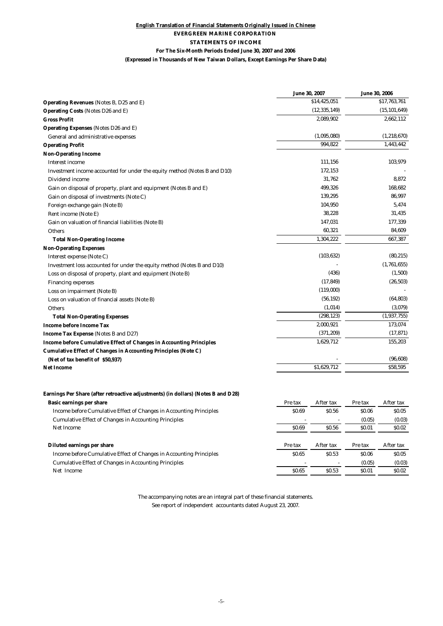### **English Translation of Financial Statements Originally Issued in Chinese EVERGREEN MARINE CORPORATION STATEMENTS OF INCOME For The Six-Month Periods Ended June 30, 2007 and 2006**

| (Expressed in Thousands of New Taiwan Dollars, Except Earnings Per Share Data) |  |  |
|--------------------------------------------------------------------------------|--|--|

|                                                                                   | June 30, 2007        | <b>June 30, 2006</b> |                |
|-----------------------------------------------------------------------------------|----------------------|----------------------|----------------|
| Operating Revenues (Notes B, D25 and E)                                           | \$14,425,051         |                      | \$17,763,761   |
| Operating Costs (Notes D26 and E)                                                 | (12, 335, 149)       |                      | (15, 101, 649) |
| <b>Gross Profit</b>                                                               | 2,089,902            |                      | 2,662,112      |
| Operating Expenses (Notes D26 and E)                                              |                      |                      |                |
| General and administrative expenses                                               | (1,095,080)          |                      | (1, 218, 670)  |
| <b>Operating Profit</b>                                                           | 994,822              |                      | 1,443,442      |
| <b>Non-Operating Income</b>                                                       |                      |                      |                |
| <b>Interest income</b>                                                            | 111,156              |                      | 103,979        |
| Investment income accounted for under the equity method (Notes B and D10)         | 172,153              |                      |                |
| Dividend income                                                                   | 31,762               |                      | 8,872          |
| Gain on disposal of property, plant and equipment (Notes B and E)                 | 499,326              |                      | 168,682        |
| Gain on disposal of investments (Note C)                                          | 139,295              |                      | 86,997         |
| Foreign exchange gain (Note B)                                                    | 104,950              |                      | 5,474          |
| Rent income (Note E)                                                              | 38,228               |                      | 31,435         |
| Gain on valuation of financial liabilities (Note B)                               | 147,031              |                      | 177,339        |
| <b>Others</b>                                                                     | 60,321               |                      | 84,609         |
| <b>Total Non-Operating Income</b>                                                 | 1,304,222            |                      | 667,387        |
| <b>Non-Operating Expenses</b>                                                     |                      |                      |                |
| Interest expense (Note C)                                                         | (103, 632)           |                      | (80, 215)      |
| Investment loss accounted for under the equity method (Notes B and D10)           |                      |                      | (1,761,655)    |
| Loss on disposal of property, plant and equipment (Note B)                        | (436)                |                      | (1,500)        |
| <b>Financing expenses</b>                                                         | (17, 849)            |                      | (26, 503)      |
| Loss on impairment (Note B)                                                       | (119,000)            |                      |                |
| Loss on valuation of financial assets (Note B)                                    | (56, 192)            |                      | (64, 803)      |
| Others                                                                            | (1,014)              |                      | (3,079)        |
| <b>Total Non-Operating Expenses</b>                                               | (298, 123)           |                      | (1,937,755)    |
| Income before Income Tax                                                          | 2,000,921            |                      | 173,074        |
| Income Tax Expense (Notes B and D27)                                              | (371, 209)           |                      | (17, 871)      |
| <b>Income before Cumulative Effect of Changes in Accounting Principles</b>        | 1,629,712            |                      | 155,203        |
| Cumulative Effect of Changes in Accounting Principles (Note C)                    |                      |                      |                |
| (Net of tax benefit of \$50,937)                                                  |                      |                      | (96, 608)      |
| <b>Net Income</b>                                                                 | \$1.629.712          |                      | \$58,595       |
|                                                                                   |                      |                      |                |
| Earnings Per Share (after retroactive adjustments) (in dollars) (Notes B and D28) |                      |                      |                |
| Basic earnings per share                                                          | After tax<br>Pre tax | Pre tax              | After tax      |
| Income before Cumulative Effect of Changes in Accounting Principles               | \$0.69<br>\$0.56     | \$0.06               | \$0.05         |
| <b>Cumulative Effect of Changes in Accounting Principles</b>                      |                      | (0.05)               | (0.03)         |
| <b>Net Income</b>                                                                 | \$0.69<br>\$0.56     | <b>SO.01</b>         | <b>SO.02</b>   |

#### **Diluted earnings per share periodic example 2 Pre tax** After tax After tax After tax After tax After tax After tax After tax After tax After tax After tax After tax After tax After tax After tax After tax After tax Af Income before Cumulative Effect of Changes in Accounting Principles \$0.65 \$0.65 \$0.06 \$0.05 \$0.06 \$0.05 Cumulative Effect of Changes in Accounting Principles  $\frac{1}{80.65}$   $\frac{0.05}{0.53}$   $\frac{0.05}{0.01}$   $\frac{0.03}{0.02}$  (0.03) Net Income \$0.65 \$0.53 \$0.01 \$0.02

The accompanying notes are an integral part of these financial statements. See report of independent accountants dated August 23, 2007.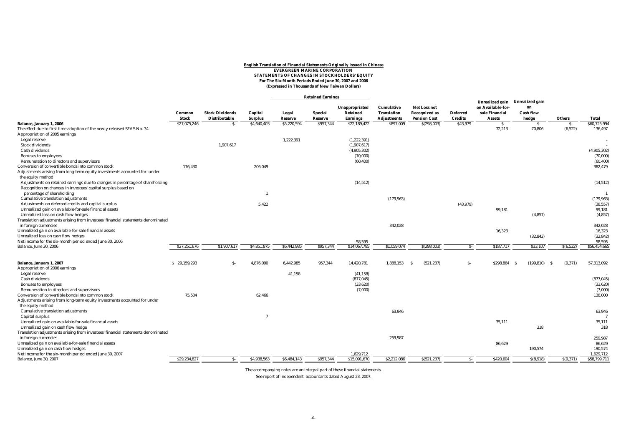#### <u>English Translation of Financial Statements Originally Issued in Chinese</u><br>EVERGREEN MARINE CORPORATION<br>STATEMENTS OF CHANGES IN STOCKHOLDERS' EQUITY **For The Six-Month Periods Ended June 30, 2007 and 2006 (Expressed in Thousands of New Taiwan Dollars)**

#### **Retained Earnings**

|                                                                                                           |              |                        |                |             |                |                 |                    |                      |                 | Unrealized gain Unrealized gain |                  |           |               |
|-----------------------------------------------------------------------------------------------------------|--------------|------------------------|----------------|-------------|----------------|-----------------|--------------------|----------------------|-----------------|---------------------------------|------------------|-----------|---------------|
|                                                                                                           |              |                        |                |             |                | Unappropriated  | Cumulative         | <b>Net Loss not</b>  |                 | on Available-for-               | on               |           |               |
|                                                                                                           | Common       | <b>Stock Dividends</b> | Capital        | Legal       | <b>Special</b> | Retained        | <b>Translation</b> | <b>Recognized as</b> | <b>Deferred</b> | sale Financial                  | <b>Cash flow</b> |           |               |
|                                                                                                           | Stock        | Distributable          | <b>Surplus</b> | Reserve     | Reserve        | <b>Earnings</b> | <b>Adjustments</b> | <b>Pension Cost</b>  | <b>Credits</b>  | <b>Assets</b>                   | hedge            | Others    | <b>Total</b>  |
| Balance, January 1, 2006                                                                                  | \$27,075,246 | $S-$                   | \$4,640,403    | \$5,220,594 | \$957,344      | \$22,189,422    | \$897,009          | \$(298,003)          | \$43,979        | $S-$                            | $S-$             | $S-$      | \$60,725,994  |
| The effect due to first time adoption of the newly released SFAS No. 34                                   |              |                        |                |             |                |                 |                    |                      |                 | 72,213                          | 70,806           | (6,522)   | 136,497       |
| Appropriation of 2005 earnings                                                                            |              |                        |                |             |                |                 |                    |                      |                 |                                 |                  |           |               |
| Legal reserve                                                                                             |              |                        |                | 1,222,391   |                | (1,222,391)     |                    |                      |                 |                                 |                  |           |               |
| <b>Stock dividends</b>                                                                                    |              | 1,907,617              |                |             |                | (1,907,617)     |                    |                      |                 |                                 |                  |           |               |
| Cash dividends                                                                                            |              |                        |                |             |                | (4,905,302)     |                    |                      |                 |                                 |                  |           | (4,905,302)   |
| <b>Bonuses to employees</b>                                                                               |              |                        |                |             |                | (70,000)        |                    |                      |                 |                                 |                  |           | (70.000)      |
| Remuneration to directors and supervisors                                                                 |              |                        |                |             |                | (60, 400)       |                    |                      |                 |                                 |                  |           | (60.400)      |
| Conversion of convertible bonds into common stock                                                         | 176.430      |                        | 206.049        |             |                |                 |                    |                      |                 |                                 |                  |           | 382,479       |
| Adjustments arising from long-term equity investments accounted for under                                 |              |                        |                |             |                |                 |                    |                      |                 |                                 |                  |           |               |
| the equity method                                                                                         |              |                        |                |             |                |                 |                    |                      |                 |                                 |                  |           |               |
| Adjustments on retained earnings due to changes in percentage of shareholding                             |              |                        |                |             |                | (14, 512)       |                    |                      |                 |                                 |                  |           | (14, 512)     |
| Recognition on changes in investees' capital surplus based on                                             |              |                        |                |             |                |                 |                    |                      |                 |                                 |                  |           |               |
| percentage of shareholding                                                                                |              |                        |                |             |                |                 |                    |                      |                 |                                 |                  |           |               |
| Cumulative translation adjustments                                                                        |              |                        |                |             |                |                 | (179, 963)         |                      |                 |                                 |                  |           | (179, 963)    |
| Adjustments on deferred credits and capital surplus                                                       |              |                        | 5.422          |             |                |                 |                    |                      | (43, 979)       |                                 |                  |           | (38, 557)     |
| Unrealized gain on available-for-sale financial assets                                                    |              |                        |                |             |                |                 |                    |                      |                 | 99,181                          |                  |           | 99,181        |
| Unrealized loss on cash flow hedges                                                                       |              |                        |                |             |                |                 |                    |                      |                 |                                 | (4, 857)         |           | (4, 857)      |
| Translation adjustments arising from investees' financial statements denominated                          |              |                        |                |             |                |                 | 342,028            |                      |                 |                                 |                  |           | 342,028       |
| in foreign currencies<br>Unrealized gain on available-for-sale financial assets                           |              |                        |                |             |                |                 |                    |                      |                 | 16,323                          |                  |           | 16,323        |
| Unrealized loss on cash flow hedges                                                                       |              |                        |                |             |                |                 |                    |                      |                 |                                 | (32, 842)        |           | (32, 842)     |
| Net income for the six-month period ended June 30, 2006                                                   |              |                        |                |             |                | 58,595          |                    |                      |                 |                                 |                  |           | 58.595        |
| Balance, June 30, 2006                                                                                    | \$27,251,676 | \$1,907,617            | \$4,851,875    | \$6,442,985 | \$957,344      | \$14,067,795    | \$1,059,074        | \$(298,003)          | $S-$            | \$187,717                       | \$33,107         | S(6, 522) | \$56,454,665  |
|                                                                                                           |              |                        |                |             |                |                 |                    |                      |                 |                                 |                  |           |               |
| Balance, January 1, 2007                                                                                  | \$29,159,293 | -S                     | 4,876,090      | 6,442,985   | 957.344        | 14,420,781      | 1,888,153          | (521, 237)<br>- S    | $S-$            | \$298,864<br>- S                | (199.810)<br>- S | (9.371)   | 57,313,092    |
| Appropriation of 2006 earnings                                                                            |              |                        |                |             |                |                 |                    |                      |                 |                                 |                  |           |               |
| Legal reserve                                                                                             |              |                        |                | 41,158      |                | (41, 158)       |                    |                      |                 |                                 |                  |           |               |
| Cash dividends                                                                                            |              |                        |                |             |                | (877, 045)      |                    |                      |                 |                                 |                  |           | (877, 045)    |
| <b>Bonuses to employees</b>                                                                               |              |                        |                |             |                | (33,620)        |                    |                      |                 |                                 |                  |           | (33.620)      |
| Remuneration to directors and supervisors                                                                 |              |                        |                |             |                | (7,000)         |                    |                      |                 |                                 |                  |           | (7.000)       |
| Conversion of convertible bonds into common stock                                                         | 75.534       |                        | 62,466         |             |                |                 |                    |                      |                 |                                 |                  |           | 138,000       |
| Adjustments arising from long-term equity investments accounted for under                                 |              |                        |                |             |                |                 |                    |                      |                 |                                 |                  |           |               |
| the equity method                                                                                         |              |                        |                |             |                |                 |                    |                      |                 |                                 |                  |           |               |
| Cumulative translation adjustments                                                                        |              |                        | $\overline{7}$ |             |                |                 | 63.946             |                      |                 |                                 |                  |           | 63,946        |
| Capital surplus<br>Unrealized gain on available-for-sale financial assets                                 |              |                        |                |             |                |                 |                    |                      |                 |                                 |                  |           |               |
|                                                                                                           |              |                        |                |             |                |                 |                    |                      |                 | 35,111                          | 318              |           | 35,111<br>318 |
| Unrealized gain on cash flow hedge                                                                        |              |                        |                |             |                |                 |                    |                      |                 |                                 |                  |           |               |
| Translation adjustments arising from investees' financial statements denominated<br>in foreign currencies |              |                        |                |             |                |                 | 259,987            |                      |                 |                                 |                  |           | 259,987       |
| Unrealized gain on available-for-sale financial assets                                                    |              |                        |                |             |                |                 |                    |                      |                 | 86,629                          |                  |           | 86,629        |
| Unrealized gain on cash flow hedges                                                                       |              |                        |                |             |                |                 |                    |                      |                 |                                 | 190,574          |           | 190,574       |
| Net income for the six-month period ended June 30, 2007                                                   |              |                        |                |             |                | 1,629,712       |                    |                      |                 |                                 |                  |           | 1,629,712     |
| Balance, June 30, 2007                                                                                    | \$29,234,827 | $S-$                   | \$4,938,563    | \$6,484,143 | \$957,344      | \$15,091,670    | \$2,212,086        | \$(521, 237)         | $S-$            | \$420,604                       | \$(8,918)        | S(9,371)  | \$58,799,711  |
|                                                                                                           |              |                        |                |             |                |                 |                    |                      |                 |                                 |                  |           |               |

The accompanying notes are an integral part of these financial statements.

See report of independent accountants dated August 23, 2007.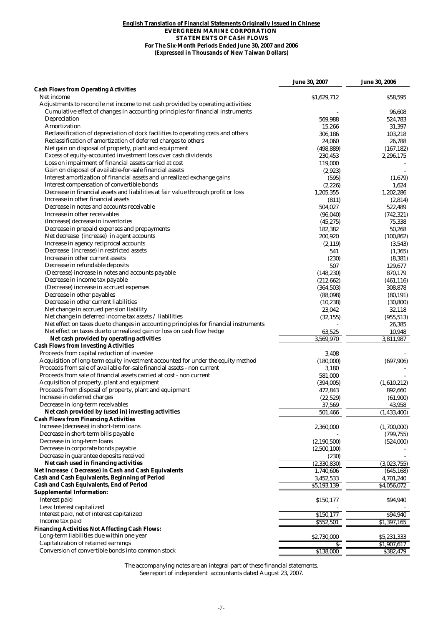#### **(Expressed in Thousands of New Taiwan Dollars) English Translation of Financial Statements Originally Issued in Chinese EVERGREEN MARINE CORPORATION STATEMENTS OF CASH FLOWS For The Six-Month Periods Ended June 30, 2007 and 2006**

|                                                                                                                                                             | <b>June 30, 2007</b> | <b>June 30, 2006</b>    |
|-------------------------------------------------------------------------------------------------------------------------------------------------------------|----------------------|-------------------------|
| <b>Cash Flows from Operating Activities</b>                                                                                                                 |                      |                         |
| Net income                                                                                                                                                  | \$1,629,712          | \$58,595                |
| Adjustments to reconcile net income to net cash provided by operating activities:                                                                           |                      |                         |
| Cumulative effect of changes in accounting principles for financial instruments                                                                             |                      | 96,608                  |
| Depreciation                                                                                                                                                | 569,988              | 524,783                 |
| Amortization                                                                                                                                                | 15,266               | 31,397                  |
| Reclassification of depreciation of dock facilities to operating costs and others<br>Reclassification of amortization of deferred charges to others         | 306,186              | 103,218                 |
|                                                                                                                                                             | 24,060               | 26,788                  |
| Net gain on disposal of property, plant and equipment                                                                                                       | (498, 889)           | (167, 182)              |
| Excess of equity-accounted investment loss over cash dividends<br>Loss on impairment of financial assets carried at cost                                    | 230,453              | 2,296,175               |
|                                                                                                                                                             | 119,000              |                         |
| Gain on disposal of available-for-sale financial assets<br>Interest amortization of financial assets and unrealized exchange gains                          | (2,923)              |                         |
| Interest compensation of convertible bonds                                                                                                                  | (595)                | (1,679)                 |
| Decrease in financial assets and liabilities at fair value through profit or loss                                                                           | (2,226)              | 1,624                   |
| Increase in other financial assets                                                                                                                          | 1,205,355            | 1,202,286               |
| Decrease in notes and accounts receivable                                                                                                                   | (811)                | (2,814)                 |
| Increase in other receivables                                                                                                                               | 504,027              | 522,489                 |
| (Increase) decrease in inventories                                                                                                                          | (96, 040)            | (742, 321)              |
| Decrease in prepaid expenses and prepayments                                                                                                                | (45, 275)            | 75,338                  |
|                                                                                                                                                             | 182,382              | 50,268                  |
| Net decrease (increase) in agent accounts                                                                                                                   | 200,920              | (100, 862)              |
| Increase in agency reciprocal accounts<br>Decrease (increase) in restricted assets                                                                          | (2,119)              | (3,543)                 |
| Increase in other current assets                                                                                                                            | 541                  | (1, 365)                |
|                                                                                                                                                             | (230)                | (8, 381)                |
| Decrease in refundable deposits                                                                                                                             | 507                  | 129,677                 |
| (Decrease) increase in notes and accounts payable<br>Decrease in income tax payable                                                                         | (148, 230)           | 870,179                 |
|                                                                                                                                                             | (212, 662)           | (461, 116)              |
| (Decrease) increase in accrued expenses<br>Decrease in other payables                                                                                       | (364, 503)           | 308,878                 |
|                                                                                                                                                             | (88,098)             | (80, 191)               |
| Decrease in other current liabilities                                                                                                                       | (10, 238)            | (30, 800)               |
| Net change in accrued pension liability                                                                                                                     | 23,042               | 32,118                  |
| Net change in deferred income tax assets / liabilities                                                                                                      | (32, 155)            | (955, 513)              |
| Net effect on taxes due to changes in accounting principles for financial instruments                                                                       |                      | 26,385                  |
| Net effect on taxes due to unrealized gain or loss on cash flow hedge                                                                                       | 63,525               | 10,948                  |
| Net cash provided by operating activities                                                                                                                   | 3,569,970            | 3,811,987               |
| <b>Cash Flows from Investing Activities</b>                                                                                                                 |                      |                         |
| Proceeds from capital reduction of investee                                                                                                                 | 3,408                |                         |
| Acquisition of long-term equity investment accounted for under the equity method<br>Proceeds from sale of available-for-sale financial assets - non current | (180,000)            | (697,906)               |
| Proceeds from sale of financial assets carried at cost - non current                                                                                        | 3,180                |                         |
|                                                                                                                                                             | 581,000              |                         |
| Acquisition of property, plant and equipment<br>Proceeds from disposal of property, plant and equipment                                                     | (394,005)            | (1,610,212)<br>892,660  |
| Increase in deferred charges                                                                                                                                | 472,843              |                         |
| Decrease in long-term receivables                                                                                                                           | (22,529)             | (61,900)                |
| Net cash provided by (used in) investing activities                                                                                                         | 37,569<br>501.466    | 43,958<br>(1, 433, 400) |
| <b>Cash Flows from Financing Activities</b>                                                                                                                 |                      |                         |
| Increase (decrease) in short-term loans                                                                                                                     | 2,360,000            | (1,700,000)             |
| Decrease in short-term bills payable                                                                                                                        |                      | (799, 755)              |
| Decrease in long-term loans                                                                                                                                 | (2,190,500)          | (524,000)               |
| Decrease in corporate bonds payable                                                                                                                         | (2,500,100)          |                         |
| Decrease in guarantee deposits received                                                                                                                     | (230)                |                         |
| Net cash used in financing activities                                                                                                                       | (2,330,830)          | (3,023,755)             |
| Net Increase (Decrease) in Cash and Cash Equivalents                                                                                                        | 1,740,606            | (645, 168)              |
| Cash and Cash Equivalents, Beginning of Period                                                                                                              | 3,452,533            | 4,701,240               |
| Cash and Cash Equivalents, End of Period                                                                                                                    | \$5,193,139          | \$4,056,072             |
| <b>Supplemental Information:</b>                                                                                                                            |                      |                         |
| Interest paid                                                                                                                                               | \$150,177            | \$94,940                |
| Less: Interest capitalized                                                                                                                                  |                      |                         |
| Interest paid, net of interest capitalized                                                                                                                  | \$150,177            | \$94,940                |
| Income tax paid                                                                                                                                             | \$552,501            | $\overline{51,397,165}$ |
| <b>Financing Activities Not Affecting Cash Flows:</b>                                                                                                       |                      |                         |
| Long-term liabilities due within one year                                                                                                                   | \$2,730,000          | \$5,231,333             |
| <b>Capitalization of retained earnings</b>                                                                                                                  | S.                   | \$1,907,617             |
| Conversion of convertible bonds into common stock                                                                                                           | \$138,000            | \$382,479               |
|                                                                                                                                                             |                      |                         |

The accompanying notes are an integral part of these financial statements. See report of independent accountants dated August 23, 2007.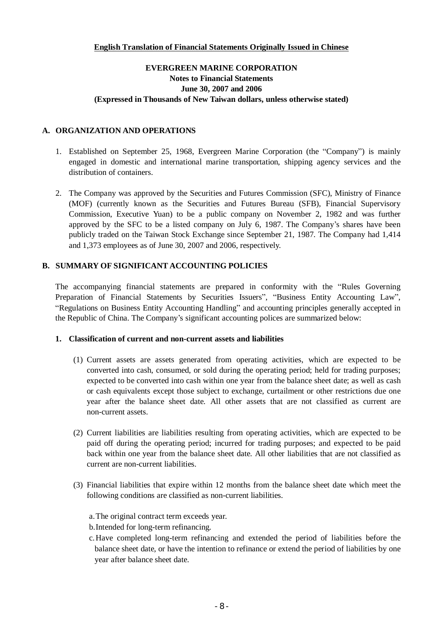# **English Translation of Financial Statements Originally Issued in Chinese**

# **EVERGREEN MARINE CORPORATION Notes to Financial Statements June 30, 2007 and 2006 (Expressed in Thousands of New Taiwan dollars, unless otherwise stated)**

# **A. ORGANIZATION AND OPERATIONS**

- 1. Established on September 25, 1968, Evergreen Marine Corporation (the "Company") is mainly engaged in domestic and international marine transportation, shipping agency services and the distribution of containers.
- 2. The Company was approved by the Securities and Futures Commission (SFC), Ministry of Finance (MOF) (currently known as the Securities and Futures Bureau (SFB), Financial Supervisory Commission, Executive Yuan) to be a public company on November 2, 1982 and was further approved by the SFC to be a listed company on July 6, 1987. The Company's shares have been publicly traded on the Taiwan Stock Exchange since September 21, 1987. The Company had 1,414 and 1,373 employees as of June 30, 2007 and 2006, respectively.

## **B. SUMMARY OF SIGNIFICANT ACCOUNTING POLICIES**

The accompanying financial statements are prepared in conformity with the "Rules Governing Preparation of Financial Statements by Securities Issuers", "Business Entity Accounting Law", "Regulations on Business Entity Accounting Handling" and accounting principles generally accepted in the Republic of China. The Company's significant accounting polices are summarized below:

#### **1. Classification of current and non-current assets and liabilities**

- (1) Current assets are assets generated from operating activities, which are expected to be converted into cash, consumed, or sold during the operating period; held for trading purposes; expected to be converted into cash within one year from the balance sheet date; as well as cash or cash equivalents except those subject to exchange, curtailment or other restrictions due one year after the balance sheet date. All other assets that are not classified as current are non-current assets.
- (2) Current liabilities are liabilities resulting from operating activities, which are expected to be paid off during the operating period; incurred for trading purposes; and expected to be paid back within one year from the balance sheet date. All other liabilities that are not classified as current are non-current liabilities.
- (3) Financial liabilities that expire within 12 months from the balance sheet date which meet the following conditions are classified as non-current liabilities.
	- a.The original contract term exceeds year.
	- b.Intended for long-term refinancing.
	- c.Have completed long-term refinancing and extended the period of liabilities before the balance sheet date, or have the intention to refinance or extend the period of liabilities by one year after balance sheet date.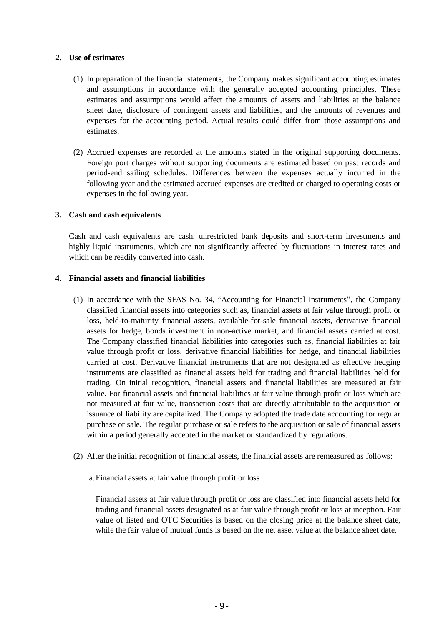# **2. Use of estimates**

- (1) In preparation of the financial statements, the Company makes significant accounting estimates and assumptions in accordance with the generally accepted accounting principles. These estimates and assumptions would affect the amounts of assets and liabilities at the balance sheet date, disclosure of contingent assets and liabilities, and the amounts of revenues and expenses for the accounting period. Actual results could differ from those assumptions and estimates.
- (2) Accrued expenses are recorded at the amounts stated in the original supporting documents. Foreign port charges without supporting documents are estimated based on past records and period-end sailing schedules. Differences between the expenses actually incurred in the following year and the estimated accrued expenses are credited or charged to operating costs or expenses in the following year.

## **3. Cash and cash equivalents**

Cash and cash equivalents are cash, unrestricted bank deposits and short-term investments and highly liquid instruments, which are not significantly affected by fluctuations in interest rates and which can be readily converted into cash.

## **4. Financial assets and financial liabilities**

- (1) In accordance with the SFAS No. 34, "Accounting for Financial Instruments", the Company classified financial assets into categories such as, financial assets at fair value through profit or loss, held-to-maturity financial assets, available-for-sale financial assets, derivative financial assets for hedge, bonds investment in non-active market, and financial assets carried at cost. The Company classified financial liabilities into categories such as, financial liabilities at fair value through profit or loss, derivative financial liabilities for hedge, and financial liabilities carried at cost. Derivative financial instruments that are not designated as effective hedging instruments are classified as financial assets held for trading and financial liabilities held for trading. On initial recognition, financial assets and financial liabilities are measured at fair value. For financial assets and financial liabilities at fair value through profit or loss which are not measured at fair value, transaction costs that are directly attributable to the acquisition or issuance of liability are capitalized. The Company adopted the trade date accounting for regular purchase or sale. The regular purchase or sale refers to the acquisition or sale of financial assets within a period generally accepted in the market or standardized by regulations.
- (2) After the initial recognition of financial assets, the financial assets are remeasured as follows:
	- a.Financial assets at fair value through profit or loss

Financial assets at fair value through profit or loss are classified into financial assets held for trading and financial assets designated as at fair value through profit or loss at inception. Fair value of listed and OTC Securities is based on the closing price at the balance sheet date, while the fair value of mutual funds is based on the net asset value at the balance sheet date.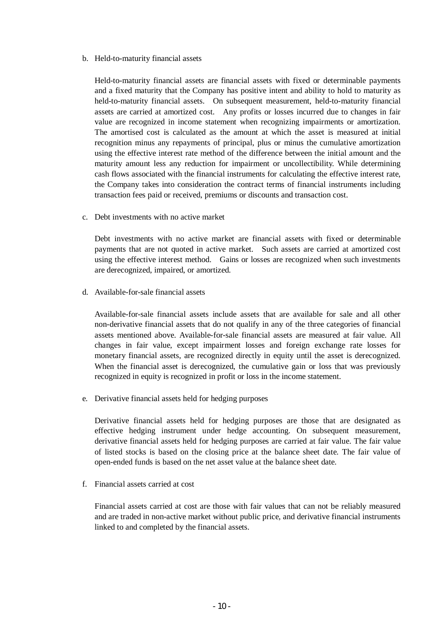#### b. Held-to-maturity financial assets

Held-to-maturity financial assets are financial assets with fixed or determinable payments and a fixed maturity that the Company has positive intent and ability to hold to maturity as held-to-maturity financial assets. On subsequent measurement, held-to-maturity financial assets are carried at amortized cost. Any profits or losses incurred due to changes in fair value are recognized in income statement when recognizing impairments or amortization. The amortised cost is calculated as the amount at which the asset is measured at initial recognition minus any repayments of principal, plus or minus the cumulative amortization using the effective interest rate method of the difference between the initial amount and the maturity amount less any reduction for impairment or uncollectibility. While determining cash flows associated with the financial instruments for calculating the effective interest rate, the Company takes into consideration the contract terms of financial instruments including transaction fees paid or received, premiums or discounts and transaction cost.

c. Debt investments with no active market

Debt investments with no active market are financial assets with fixed or determinable payments that are not quoted in active market. Such assets are carried at amortized cost using the effective interest method. Gains or losses are recognized when such investments are derecognized, impaired, or amortized.

d. Available-for-sale financial assets

Available-for-sale financial assets include assets that are available for sale and all other non-derivative financial assets that do not qualify in any of the three categories of financial assets mentioned above. Available-for-sale financial assets are measured at fair value. All changes in fair value, except impairment losses and foreign exchange rate losses for monetary financial assets, are recognized directly in equity until the asset is derecognized. When the financial asset is derecognized, the cumulative gain or loss that was previously recognized in equity is recognized in profit or loss in the income statement.

e. Derivative financial assets held for hedging purposes

Derivative financial assets held for hedging purposes are those that are designated as effective hedging instrument under hedge accounting. On subsequent measurement, derivative financial assets held for hedging purposes are carried at fair value. The fair value of listed stocks is based on the closing price at the balance sheet date. The fair value of open-ended funds is based on the net asset value at the balance sheet date.

f. Financial assets carried at cost

Financial assets carried at cost are those with fair values that can not be reliably measured and are traded in non-active market without public price, and derivative financial instruments linked to and completed by the financial assets.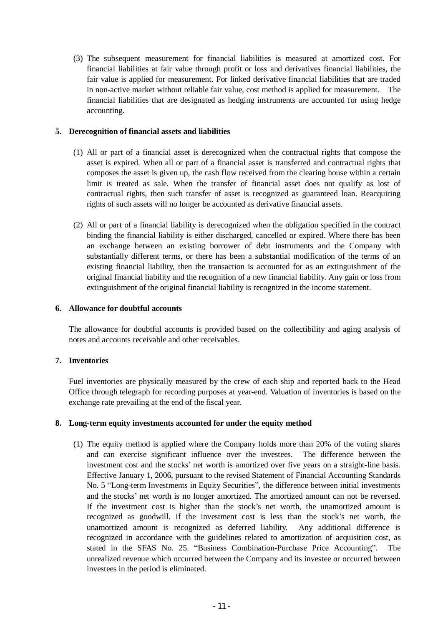(3) The subsequent measurement for financial liabilities is measured at amortized cost. For financial liabilities at fair value through profit or loss and derivatives financial liabilities, the fair value is applied for measurement. For linked derivative financial liabilities that are traded in non-active market without reliable fair value, cost method is applied for measurement. The financial liabilities that are designated as hedging instruments are accounted for using hedge accounting.

## **5. Derecognition of financial assets and liabilities**

- (1) All or part of a financial asset is derecognized when the contractual rights that compose the asset is expired. When all or part of a financial asset is transferred and contractual rights that composes the asset is given up, the cash flow received from the clearing house within a certain limit is treated as sale. When the transfer of financial asset does not qualify as lost of contractual rights, then such transfer of asset is recognized as guaranteed loan. Reacquiring rights of such assets will no longer be accounted as derivative financial assets.
- (2) All or part of a financial liability is derecognized when the obligation specified in the contract binding the financial liability is either discharged, cancelled or expired. Where there has been an exchange between an existing borrower of debt instruments and the Company with substantially different terms, or there has been a substantial modification of the terms of an existing financial liability, then the transaction is accounted for as an extinguishment of the original financial liability and the recognition of a new financial liability. Any gain or loss from extinguishment of the original financial liability is recognized in the income statement.

#### **6. Allowance for doubtful accounts**

The allowance for doubtful accounts is provided based on the collectibility and aging analysis of notes and accounts receivable and other receivables.

# **7. Inventories**

Fuel inventories are physically measured by the crew of each ship and reported back to the Head Office through telegraph for recording purposes at year-end. Valuation of inventories is based on the exchange rate prevailing at the end of the fiscal year.

#### **8. Long-term equity investments accounted for under the equity method**

(1) The equity method is applied where the Company holds more than 20% of the voting shares and can exercise significant influence over the investees. The difference between the investment cost and the stocks' net worth is amortized over five years on a straight-line basis. Effective January 1, 2006, pursuant to the revised Statement of Financial Accounting Standards No. 5 "Long-term Investments in Equity Securities", the difference between initial investments and the stocks' net worth is no longer amortized. The amortized amount can not be reversed. If the investment cost is higher than the stock's net worth, the unamortized amount is recognized as goodwill. If the investment cost is less than the stock's net worth, the unamortized amount is recognized as deferred liability. Any additional difference is recognized in accordance with the guidelines related to amortization of acquisition cost, as stated in the SFAS No. 25. "Business Combination-Purchase Price Accounting". The unrealized revenue which occurred between the Company and its investee or occurred between investees in the period is eliminated.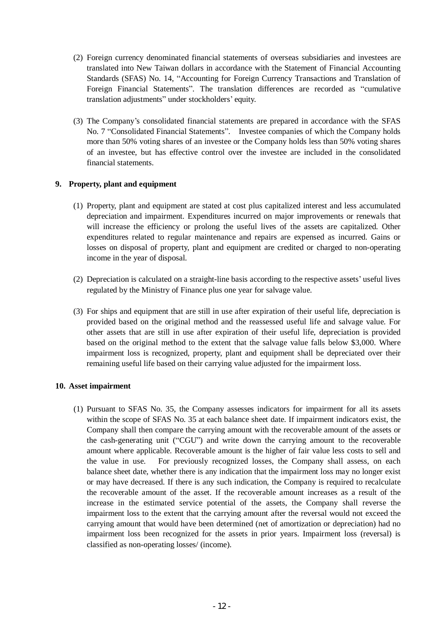- (2) Foreign currency denominated financial statements of overseas subsidiaries and investees are translated into New Taiwan dollars in accordance with the Statement of Financial Accounting Standards (SFAS) No. 14, "Accounting for Foreign Currency Transactions and Translation of Foreign Financial Statements". The translation differences are recorded as "cumulative translation adjustments" under stockholders' equity.
- (3) The Company's consolidated financial statements are prepared in accordance with the SFAS No. 7 "Consolidated Financial Statements". Investee companies of which the Company holds more than 50% voting shares of an investee or the Company holds less than 50% voting shares of an investee, but has effective control over the investee are included in the consolidated financial statements.

## **9. Property, plant and equipment**

- (1) Property, plant and equipment are stated at cost plus capitalized interest and less accumulated depreciation and impairment. Expenditures incurred on major improvements or renewals that will increase the efficiency or prolong the useful lives of the assets are capitalized. Other expenditures related to regular maintenance and repairs are expensed as incurred. Gains or losses on disposal of property, plant and equipment are credited or charged to non-operating income in the year of disposal.
- (2) Depreciation is calculated on a straight-line basis according to the respective assets' useful lives regulated by the Ministry of Finance plus one year for salvage value.
- (3) For ships and equipment that are still in use after expiration of their useful life, depreciation is provided based on the original method and the reassessed useful life and salvage value. For other assets that are still in use after expiration of their useful life, depreciation is provided based on the original method to the extent that the salvage value falls below \$3,000. Where impairment loss is recognized, property, plant and equipment shall be depreciated over their remaining useful life based on their carrying value adjusted for the impairment loss.

#### **10. Asset impairment**

(1) Pursuant to SFAS No. 35, the Company assesses indicators for impairment for all its assets within the scope of SFAS No. 35 at each balance sheet date. If impairment indicators exist, the Company shall then compare the carrying amount with the recoverable amount of the assets or the cash-generating unit ("CGU") and write down the carrying amount to the recoverable amount where applicable. Recoverable amount is the higher of fair value less costs to sell and the value in use. For previously recognized losses, the Company shall assess, on each balance sheet date, whether there is any indication that the impairment loss may no longer exist or may have decreased. If there is any such indication, the Company is required to recalculate the recoverable amount of the asset. If the recoverable amount increases as a result of the increase in the estimated service potential of the assets, the Company shall reverse the impairment loss to the extent that the carrying amount after the reversal would not exceed the carrying amount that would have been determined (net of amortization or depreciation) had no impairment loss been recognized for the assets in prior years. Impairment loss (reversal) is classified as non-operating losses/ (income).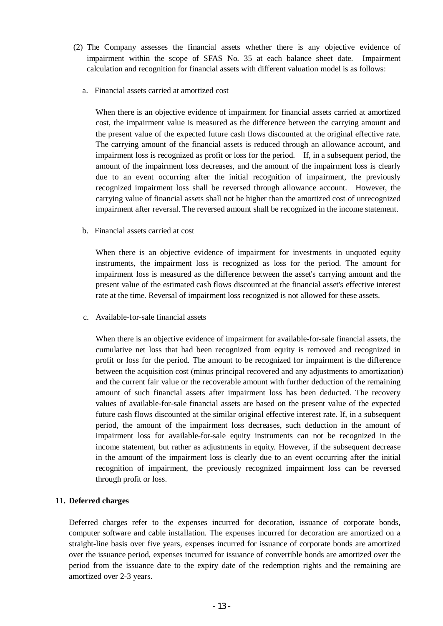- (2) The Company assesses the financial assets whether there is any objective evidence of impairment within the scope of SFAS No. 35 at each balance sheet date. Impairment calculation and recognition for financial assets with different valuation model is as follows:
	- a. Financial assets carried at amortized cost

When there is an objective evidence of impairment for financial assets carried at amortized cost, the impairment value is measured as the difference between the carrying amount and the present value of the expected future cash flows discounted at the original effective rate. The carrying amount of the financial assets is reduced through an allowance account, and impairment loss is recognized as profit or loss for the period. If, in a subsequent period, the amount of the impairment loss decreases, and the amount of the impairment loss is clearly due to an event occurring after the initial recognition of impairment, the previously recognized impairment loss shall be reversed through allowance account. However, the carrying value of financial assets shall not be higher than the amortized cost of unrecognized impairment after reversal. The reversed amount shall be recognized in the income statement.

b. Financial assets carried at cost

When there is an objective evidence of impairment for investments in unquoted equity instruments, the impairment loss is recognized as loss for the period. The amount for impairment loss is measured as the difference between the asset's carrying amount and the present value of the estimated cash flows discounted at the financial asset's effective interest rate at the time. Reversal of impairment loss recognized is not allowed for these assets.

c. Available-for-sale financial assets

When there is an objective evidence of impairment for available-for-sale financial assets, the cumulative net loss that had been recognized from equity is removed and recognized in profit or loss for the period. The amount to be recognized for impairment is the difference between the acquisition cost (minus principal recovered and any adjustments to amortization) and the current fair value or the recoverable amount with further deduction of the remaining amount of such financial assets after impairment loss has been deducted. The recovery values of available-for-sale financial assets are based on the present value of the expected future cash flows discounted at the similar original effective interest rate. If, in a subsequent period, the amount of the impairment loss decreases, such deduction in the amount of impairment loss for available-for-sale equity instruments can not be recognized in the income statement, but rather as adjustments in equity. However, if the subsequent decrease in the amount of the impairment loss is clearly due to an event occurring after the initial recognition of impairment, the previously recognized impairment loss can be reversed through profit or loss.

# **11. Deferred charges**

Deferred charges refer to the expenses incurred for decoration, issuance of corporate bonds, computer software and cable installation. The expenses incurred for decoration are amortized on a straight-line basis over five years, expenses incurred for issuance of corporate bonds are amortized over the issuance period, expenses incurred for issuance of convertible bonds are amortized over the period from the issuance date to the expiry date of the redemption rights and the remaining are amortized over 2-3 years.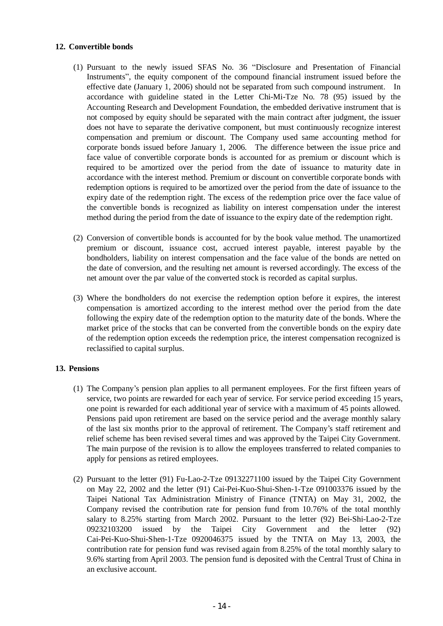## **12. Convertible bonds**

- (1) Pursuant to the newly issued SFAS No. 36 "Disclosure and Presentation of Financial Instruments", the equity component of the compound financial instrument issued before the effective date (January 1, 2006) should not be separated from such compound instrument. In accordance with guideline stated in the Letter Chi-Mi-Tze No. 78 (95) issued by the Accounting Research and Development Foundation, the embedded derivative instrument that is not composed by equity should be separated with the main contract after judgment, the issuer does not have to separate the derivative component, but must continuously recognize interest compensation and premium or discount. The Company used same accounting method for corporate bonds issued before January 1, 2006. The difference between the issue price and face value of convertible corporate bonds is accounted for as premium or discount which is required to be amortized over the period from the date of issuance to maturity date in accordance with the interest method. Premium or discount on convertible corporate bonds with redemption options is required to be amortized over the period from the date of issuance to the expiry date of the redemption right. The excess of the redemption price over the face value of the convertible bonds is recognized as liability on interest compensation under the interest method during the period from the date of issuance to the expiry date of the redemption right.
- (2) Conversion of convertible bonds is accounted for by the book value method. The unamortized premium or discount, issuance cost, accrued interest payable, interest payable by the bondholders, liability on interest compensation and the face value of the bonds are netted on the date of conversion, and the resulting net amount is reversed accordingly. The excess of the net amount over the par value of the converted stock is recorded as capital surplus.
- (3) Where the bondholders do not exercise the redemption option before it expires, the interest compensation is amortized according to the interest method over the period from the date following the expiry date of the redemption option to the maturity date of the bonds. Where the market price of the stocks that can be converted from the convertible bonds on the expiry date of the redemption option exceeds the redemption price, the interest compensation recognized is reclassified to capital surplus.

#### **13. Pensions**

- (1) The Company's pension plan applies to all permanent employees. For the first fifteen years of service, two points are rewarded for each year of service. For service period exceeding 15 years, one point is rewarded for each additional year of service with a maximum of 45 points allowed. Pensions paid upon retirement are based on the service period and the average monthly salary of the last six months prior to the approval of retirement. The Company's staff retirement and relief scheme has been revised several times and was approved by the Taipei City Government. The main purpose of the revision is to allow the employees transferred to related companies to apply for pensions as retired employees.
- (2) Pursuant to the letter (91) Fu-Lao-2-Tze 09132271100 issued by the Taipei City Government on May 22, 2002 and the letter (91) Cai-Pei-Kuo-Shui-Shen-1-Tze 091003376 issued by the Taipei National Tax Administration Ministry of Finance (TNTA) on May 31, 2002, the Company revised the contribution rate for pension fund from 10.76% of the total monthly salary to 8.25% starting from March 2002. Pursuant to the letter (92) Bei-Shi-Lao-2-Tze 09232103200 issued by the Taipei City Government and the letter (92) Cai-Pei-Kuo-Shui-Shen-1-Tze 0920046375 issued by the TNTA on May 13, 2003, the contribution rate for pension fund was revised again from 8.25% of the total monthly salary to 9.6% starting from April 2003. The pension fund is deposited with the Central Trust of China in an exclusive account.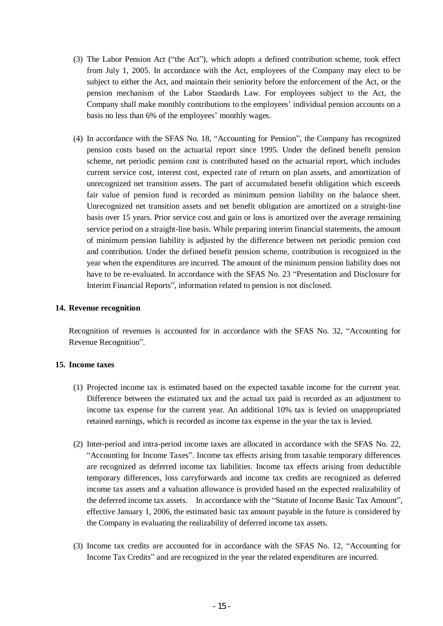- (3) The Labor Pension Act ("the Act"), which adopts a defined contribution scheme, took effect from July 1, 2005. In accordance with the Act, employees of the Company may elect to be subject to either the Act, and maintain their seniority before the enforcement of the Act, or the pension mechanism of the Labor Standards Law. For employees subject to the Act, the Company shall make monthly contributions to the employees' individual pension accounts on a basis no less than 6% of the employees' monthly wages.
- (4) In accordance with the SFAS No. 18, "Accounting for Pension", the Company has recognized pension costs based on the actuarial report since 1995. Under the defined benefit pension scheme, net periodic pension cost is contributed based on the actuarial report, which includes current service cost, interest cost, expected rate of return on plan assets, and amortization of unrecognized net transition assets. The part of accumulated benefit obligation which exceeds fair value of pension fund is recorded as minimum pension liability on the balance sheet. Unrecognized net transition assets and net benefit obligation are amortized on a straight-line basis over 15 years. Prior service cost and gain or loss is amortized over the average remaining service period on a straight-line basis. While preparing interim financial statements, the amount of minimum pension liability is adjusted by the difference between net periodic pension cost and contribution. Under the defined benefit pension scheme, contribution is recognized in the year when the expenditures are incurred. The amount of the minimum pension liability does not have to be re-evaluated. In accordance with the SFAS No. 23 "Presentation and Disclosure for Interim Financial Reports", information related to pension is not disclosed.

#### **14. Revenue recognition**

Recognition of revenues is accounted for in accordance with the SFAS No. 32, "Accounting for Revenue Recognition".

#### **15. Income taxes**

- (1) Projected income tax is estimated based on the expected taxable income for the current year. Difference between the estimated tax and the actual tax paid is recorded as an adjustment to income tax expense for the current year. An additional 10% tax is levied on unappropriated retained earnings, which is recorded as income tax expense in the year the tax is levied.
- (2) Inter-period and intra-period income taxes are allocated in accordance with the SFAS No. 22, "Accounting for Income Taxes". Income tax effects arising from taxable temporary differences are recognized as deferred income tax liabilities. Income tax effects arising from deductible temporary differences, loss carryforwards and income tax credits are recognized as deferred income tax assets and a valuation allowance is provided based on the expected realizability of the deferred income tax assets. In accordance with the "Statute of Income Basic Tax Amount", effective January 1, 2006, the estimated basic tax amount payable in the future is considered by the Company in evaluating the realizability of deferred income tax assets.
- (3) Income tax credits are accounted for in accordance with the SFAS No. 12, "Accounting for Income Tax Credits" and are recognized in the year the related expenditures are incurred.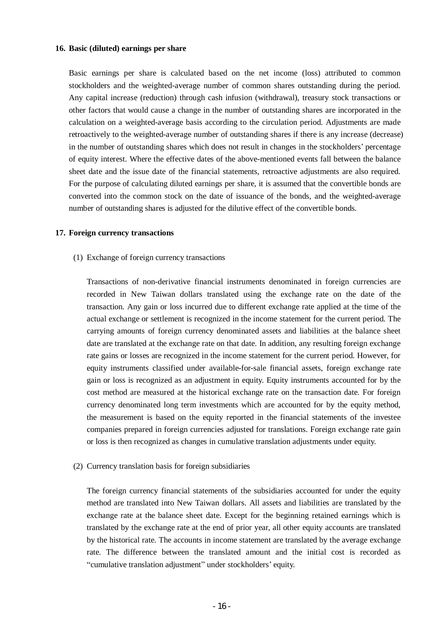#### **16. Basic (diluted) earnings per share**

Basic earnings per share is calculated based on the net income (loss) attributed to common stockholders and the weighted-average number of common shares outstanding during the period. Any capital increase (reduction) through cash infusion (withdrawal), treasury stock transactions or other factors that would cause a change in the number of outstanding shares are incorporated in the calculation on a weighted-average basis according to the circulation period. Adjustments are made retroactively to the weighted-average number of outstanding shares if there is any increase (decrease) in the number of outstanding shares which does not result in changes in the stockholders' percentage of equity interest. Where the effective dates of the above-mentioned events fall between the balance sheet date and the issue date of the financial statements, retroactive adjustments are also required. For the purpose of calculating diluted earnings per share, it is assumed that the convertible bonds are converted into the common stock on the date of issuance of the bonds, and the weighted-average number of outstanding shares is adjusted for the dilutive effect of the convertible bonds.

#### **17. Foreign currency transactions**

(1) Exchange of foreign currency transactions

Transactions of non-derivative financial instruments denominated in foreign currencies are recorded in New Taiwan dollars translated using the exchange rate on the date of the transaction. Any gain or loss incurred due to different exchange rate applied at the time of the actual exchange or settlement is recognized in the income statement for the current period. The carrying amounts of foreign currency denominated assets and liabilities at the balance sheet date are translated at the exchange rate on that date. In addition, any resulting foreign exchange rate gains or losses are recognized in the income statement for the current period. However, for equity instruments classified under available-for-sale financial assets, foreign exchange rate gain or loss is recognized as an adjustment in equity. Equity instruments accounted for by the cost method are measured at the historical exchange rate on the transaction date. For foreign currency denominated long term investments which are accounted for by the equity method, the measurement is based on the equity reported in the financial statements of the investee companies prepared in foreign currencies adjusted for translations. Foreign exchange rate gain or loss is then recognized as changes in cumulative translation adjustments under equity.

(2) Currency translation basis for foreign subsidiaries

The foreign currency financial statements of the subsidiaries accounted for under the equity method are translated into New Taiwan dollars. All assets and liabilities are translated by the exchange rate at the balance sheet date. Except for the beginning retained earnings which is translated by the exchange rate at the end of prior year, all other equity accounts are translated by the historical rate. The accounts in income statement are translated by the average exchange rate. The difference between the translated amount and the initial cost is recorded as "cumulative translation adjustment" under stockholders' equity.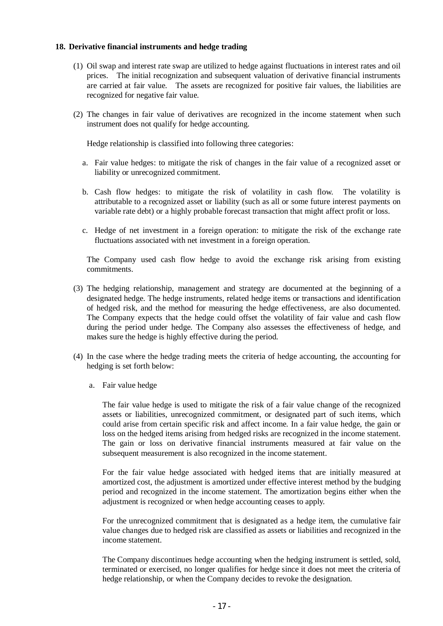#### **18. Derivative financial instruments and hedge trading**

- (1) Oil swap and interest rate swap are utilized to hedge against fluctuations in interest rates and oil prices. The initial recognization and subsequent valuation of derivative financial instruments are carried at fair value. The assets are recognized for positive fair values, the liabilities are recognized for negative fair value.
- (2) The changes in fair value of derivatives are recognized in the income statement when such instrument does not qualify for hedge accounting.

Hedge relationship is classified into following three categories:

- a. Fair value hedges: to mitigate the risk of changes in the fair value of a recognized asset or liability or unrecognized commitment.
- b. Cash flow hedges: to mitigate the risk of volatility in cash flow. The volatility is attributable to a recognized asset or liability (such as all or some future interest payments on variable rate debt) or a highly probable forecast transaction that might affect profit or loss.
- c. Hedge of net investment in a foreign operation: to mitigate the risk of the exchange rate fluctuations associated with net investment in a foreign operation.

The Company used cash flow hedge to avoid the exchange risk arising from existing commitments.

- (3) The hedging relationship, management and strategy are documented at the beginning of a designated hedge. The hedge instruments, related hedge items or transactions and identification of hedged risk, and the method for measuring the hedge effectiveness, are also documented. The Company expects that the hedge could offset the volatility of fair value and cash flow during the period under hedge. The Company also assesses the effectiveness of hedge, and makes sure the hedge is highly effective during the period.
- (4) In the case where the hedge trading meets the criteria of hedge accounting, the accounting for hedging is set forth below:
	- a. Fair value hedge

The fair value hedge is used to mitigate the risk of a fair value change of the recognized assets or liabilities, unrecognized commitment, or designated part of such items, which could arise from certain specific risk and affect income. In a fair value hedge, the gain or loss on the hedged items arising from hedged risks are recognized in the income statement. The gain or loss on derivative financial instruments measured at fair value on the subsequent measurement is also recognized in the income statement.

For the fair value hedge associated with hedged items that are initially measured at amortized cost, the adjustment is amortized under effective interest method by the budging period and recognized in the income statement. The amortization begins either when the adjustment is recognized or when hedge accounting ceases to apply.

For the unrecognized commitment that is designated as a hedge item, the cumulative fair value changes due to hedged risk are classified as assets or liabilities and recognized in the income statement.

The Company discontinues hedge accounting when the hedging instrument is settled, sold, terminated or exercised, no longer qualifies for hedge since it does not meet the criteria of hedge relationship, or when the Company decides to revoke the designation.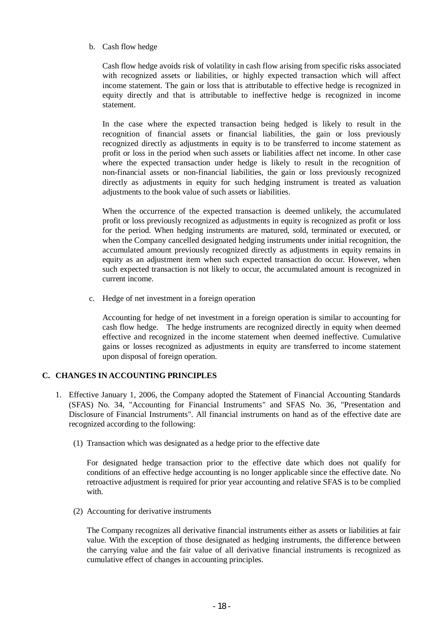b. Cash flow hedge

Cash flow hedge avoids risk of volatility in cash flow arising from specific risks associated with recognized assets or liabilities, or highly expected transaction which will affect income statement. The gain or loss that is attributable to effective hedge is recognized in equity directly and that is attributable to ineffective hedge is recognized in income statement.

In the case where the expected transaction being hedged is likely to result in the recognition of financial assets or financial liabilities, the gain or loss previously recognized directly as adjustments in equity is to be transferred to income statement as profit or loss in the period when such assets or liabilities affect net income. In other case where the expected transaction under hedge is likely to result in the recognition of non-financial assets or non-financial liabilities, the gain or loss previously recognized directly as adjustments in equity for such hedging instrument is treated as valuation adjustments to the book value of such assets or liabilities.

When the occurrence of the expected transaction is deemed unlikely, the accumulated profit or loss previously recognized as adjustments in equity is recognized as profit or loss for the period. When hedging instruments are matured, sold, terminated or executed, or when the Company cancelled designated hedging instruments under initial recognition, the accumulated amount previously recognized directly as adjustments in equity remains in equity as an adjustment item when such expected transaction do occur. However, when such expected transaction is not likely to occur, the accumulated amount is recognized in current income.

c. Hedge of net investment in a foreign operation

Accounting for hedge of net investment in a foreign operation is similar to accounting for cash flow hedge. The hedge instruments are recognized directly in equity when deemed effective and recognized in the income statement when deemed ineffective. Cumulative gains or losses recognized as adjustments in equity are transferred to income statement upon disposal of foreign operation.

# **C. CHANGES IN ACCOUNTING PRINCIPLES**

- 1. Effective January 1, 2006, the Company adopted the Statement of Financial Accounting Standards (SFAS) No. 34, "Accounting for Financial Instruments" and SFAS No. 36, "Presentation and Disclosure of Financial Instruments". All financial instruments on hand as of the effective date are recognized according to the following:
	- (1) Transaction which was designated as a hedge prior to the effective date

For designated hedge transaction prior to the effective date which does not qualify for conditions of an effective hedge accounting is no longer applicable since the effective date. No retroactive adjustment is required for prior year accounting and relative SFAS is to be complied with.

(2) Accounting for derivative instruments

The Company recognizes all derivative financial instruments either as assets or liabilities at fair value. With the exception of those designated as hedging instruments, the difference between the carrying value and the fair value of all derivative financial instruments is recognized as cumulative effect of changes in accounting principles.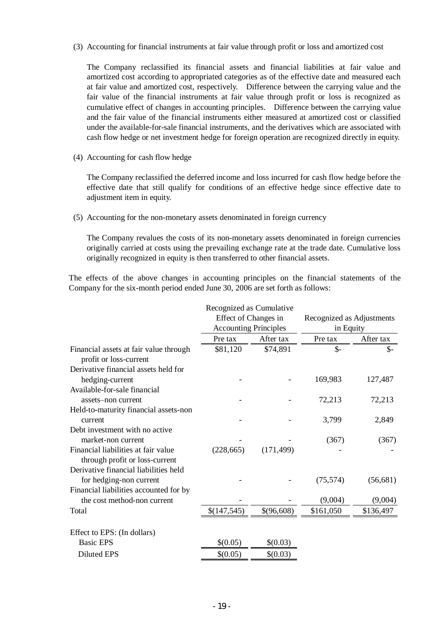(3) Accounting for financial instruments at fair value through profit or loss and amortized cost

The Company reclassified its financial assets and financial liabilities at fair value and amortized cost according to appropriated categories as of the effective date and measured each at fair value and amortized cost, respectively. Difference between the carrying value and the fair value of the financial instruments at fair value through profit or loss is recognized as cumulative effect of changes in accounting principles. Difference between the carrying value and the fair value of the financial instruments either measured at amortized cost or classified under the available-for-sale financial instruments, and the derivatives which are associated with cash flow hedge or net investment hedge for foreign operation are recognized directly in equity.

(4) Accounting for cash flow hedge

The Company reclassified the deferred income and loss incurred for cash flow hedge before the effective date that still qualify for conditions of an effective hedge since effective date to adjustment item in equity.

(5) Accounting for the non-monetary assets denominated in foreign currency

The Company revalues the costs of its non-monetary assets denominated in foreign currencies originally carried at costs using the prevailing exchange rate at the trade date. Cumulative loss originally recognized in equity is then transferred to other financial assets.

The effects of the above changes in accounting principles on the financial statements of the Company for the six-month period ended June 30, 2006 are set forth as follows:

|                                                                       | Recognized as Cumulative     |            |                           |               |  |
|-----------------------------------------------------------------------|------------------------------|------------|---------------------------|---------------|--|
|                                                                       | Effect of Changes in         |            | Recognized as Adjustments |               |  |
|                                                                       | <b>Accounting Principles</b> |            | in Equity                 |               |  |
|                                                                       | Pre tax                      | After tax  | Pre tax                   | After tax     |  |
| Financial assets at fair value through<br>profit or loss-current      | \$81,120                     | \$74,891   | $\mathsf{S}$ -            | $\frac{2}{3}$ |  |
| Derivative financial assets held for<br>hedging-current               |                              |            | 169,983                   | 127,487       |  |
| Available-for-sale financial<br>assets-non current                    |                              |            | 72,213                    | 72,213        |  |
| Held-to-maturity financial assets-non<br>current                      |                              |            | 3,799                     | 2,849         |  |
| Debt investment with no active<br>market-non current                  |                              |            | (367)                     | (367)         |  |
| Financial liabilities at fair value<br>through profit or loss-current | (228, 665)                   | (171, 499) |                           |               |  |
| Derivative financial liabilities held<br>for hedging-non current      |                              |            | (75, 574)                 | (56, 681)     |  |
| Financial liabilities accounted for by<br>the cost method-non current |                              |            | (9,004)                   | (9,004)       |  |
| Total                                                                 | \$(147,545)                  | \$(96,608) | \$161,050                 | \$136,497     |  |
| Effect to EPS: (In dollars)                                           |                              |            |                           |               |  |
| <b>Basic EPS</b>                                                      | \$(0.05)                     | \$(0.03)   |                           |               |  |
| <b>Diluted EPS</b>                                                    | \$(0.05)                     | \$(0.03)   |                           |               |  |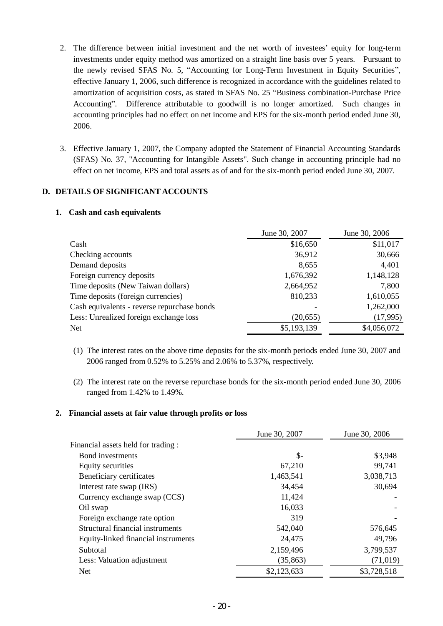- 2. The difference between initial investment and the net worth of investees' equity for long-term investments under equity method was amortized on a straight line basis over 5 years. Pursuant to the newly revised SFAS No. 5, "Accounting for Long-Term Investment in Equity Securities", effective January 1, 2006, such difference is recognized in accordance with the guidelines related to amortization of acquisition costs, as stated in SFAS No. 25 "Business combination-Purchase Price Accounting". Difference attributable to goodwill is no longer amortized. Such changes in accounting principles had no effect on net income and EPS for the six-month period ended June 30, 2006.
- 3. Effective January 1, 2007, the Company adopted the Statement of Financial Accounting Standards (SFAS) No. 37, "Accounting for Intangible Assets". Such change in accounting principle had no effect on net income, EPS and total assets as of and for the six-month period ended June 30, 2007.

# **D. DETAILS OF SIGNIFICANT ACCOUNTS**

#### **1. Cash and cash equivalents**

|                                             | June 30, 2007 | June 30, 2006 |
|---------------------------------------------|---------------|---------------|
| Cash                                        | \$16,650      | \$11,017      |
| Checking accounts                           | 36,912        | 30,666        |
| Demand deposits                             | 8,655         | 4,401         |
| Foreign currency deposits                   | 1,676,392     | 1,148,128     |
| Time deposits (New Taiwan dollars)          | 2,664,952     | 7,800         |
| Time deposits (foreign currencies)          | 810,233       | 1,610,055     |
| Cash equivalents - reverse repurchase bonds |               | 1,262,000     |
| Less: Unrealized foreign exchange loss      | (20, 655)     | (17,995)      |
| Net                                         | \$5,193,139   | \$4,056,072   |

- (1) The interest rates on the above time deposits for the six-month periods ended June 30, 2007 and 2006 ranged from 0.52% to 5.25% and 2.06% to 5.37%, respectively.
- (2) The interest rate on the reverse repurchase bonds for the six-month period ended June 30, 2006 ranged from 1.42% to 1.49%.

#### **2. Financial assets at fair value through profits or loss**

|                                     | June 30, 2007 | June 30, 2006 |
|-------------------------------------|---------------|---------------|
| Financial assets held for trading:  |               |               |
| Bond investments                    | \$-           | \$3,948       |
| Equity securities                   | 67,210        | 99,741        |
| Beneficiary certificates            | 1,463,541     | 3,038,713     |
| Interest rate swap (IRS)            | 34,454        | 30,694        |
| Currency exchange swap (CCS)        | 11,424        |               |
| Oil swap                            | 16,033        |               |
| Foreign exchange rate option        | 319           |               |
| Structural financial instruments    | 542,040       | 576,645       |
| Equity-linked financial instruments | 24,475        | 49,796        |
| Subtotal                            | 2,159,496     | 3,799,537     |
| Less: Valuation adjustment          | (35, 863)     | (71, 019)     |
| Net                                 | \$2,123,633   | \$3,728,518   |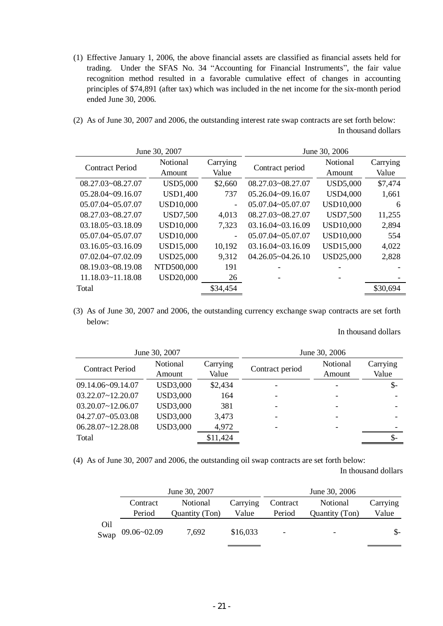- (1) Effective January 1, 2006, the above financial assets are classified as financial assets held for trading. Under the SFAS No. 34 "Accounting for Financial Instruments", the fair value recognition method resulted in a favorable cumulative effect of changes in accounting principles of \$74,891 (after tax) which was included in the net income for the six-month period ended June 30, 2006.
- (2) As of June 30, 2007 and 2006, the outstanding interest rate swap contracts are set forth below: In thousand dollars

|                        | June 30, 2007    |                          | June 30, 2006         |                  |          |  |
|------------------------|------------------|--------------------------|-----------------------|------------------|----------|--|
| <b>Contract Period</b> | Notional         | Carrying                 | Contract period       | <b>Notional</b>  | Carrying |  |
|                        | Amount           | Value                    |                       | Amount           | Value    |  |
| 08.27.03~08.27.07      | <b>USD5,000</b>  | \$2,660                  | 08.27.03~08.27.07     | <b>USD5,000</b>  | \$7,474  |  |
| 05.28.04~09.16.07      | <b>USD1,400</b>  | 737                      | 05.26.04~09.16.07     | <b>USD4,000</b>  | 1,661    |  |
| $05.07.04 - 05.07.07$  | <b>USD10,000</b> | -                        | 05.07.04~05.07.07     | <b>USD10,000</b> | 6        |  |
| 08.27.03~08.27.07      | <b>USD7,500</b>  | 4,013                    | 08.27.03~08.27.07     | <b>USD7,500</b>  | 11,255   |  |
| $03.18.05 - 03.18.09$  | <b>USD10,000</b> | 7,323                    | $03.16.04 - 03.16.09$ | <b>USD10,000</b> | 2,894    |  |
| 05.07.04~05.07.07      | <b>USD10,000</b> | $\overline{\phantom{0}}$ | 05.07.04~05.07.07     | <b>USD10,000</b> | 554      |  |
| $03.16.05 - 03.16.09$  | <b>USD15,000</b> | 10,192                   | $03.16.04 - 03.16.09$ | <b>USD15,000</b> | 4,022    |  |
| 07.02.04~07.02.09      | USD25,000        | 9,312                    | $04.26.05 - 04.26.10$ | <b>USD25,000</b> | 2,828    |  |
| 08.19.03~08.19.08      | NTD500,000       | 191                      |                       |                  |          |  |
| $11.18.03 - 11.18.08$  | <b>USD20,000</b> | 26                       |                       |                  |          |  |
| Total                  |                  | \$34,454                 |                       |                  | \$30,694 |  |

(3) As of June 30, 2007 and 2006, the outstanding currency exchange swap contracts are set forth below:

#### In thousand dollars

|                        | June 30, 2007      |                   | June 30, 2006   |                    |                   |  |  |
|------------------------|--------------------|-------------------|-----------------|--------------------|-------------------|--|--|
| <b>Contract Period</b> | Notional<br>Amount | Carrying<br>Value | Contract period | Notional<br>Amount | Carrying<br>Value |  |  |
| 09.14.06~09.14.07      | <b>USD3,000</b>    | \$2,434           |                 |                    | $\mathcal{S}$ -   |  |  |
| $03.22.07 - 12.20.07$  | <b>USD3,000</b>    | 164               |                 |                    |                   |  |  |
| $03.20.07 - 12.06.07$  | <b>USD3,000</b>    | 381               |                 |                    |                   |  |  |
| 04.27.07~05.03.08      | <b>USD3,000</b>    | 3,473             |                 |                    |                   |  |  |
| $06.28.07 - 12.28.08$  | <b>USD3,000</b>    | 4,972             |                 |                    |                   |  |  |
| Total                  |                    | \$11,424          |                 |                    |                   |  |  |

(4) As of June 30, 2007 and 2006, the outstanding oil swap contracts are set forth below:

In thousand dollars

|     |                         | June 30, 2007  | June 30, 2006 |                          |                |          |
|-----|-------------------------|----------------|---------------|--------------------------|----------------|----------|
|     | Contract                | Notional       | Carrying      | Contract                 | Notional       | Carrying |
|     | Period                  | Quantity (Ton) | Value         | Period                   | Quantity (Ton) | Value    |
| Oil | Swap $09.06 \sim 02.09$ | 7,692          | \$16,033      | $\overline{\phantom{0}}$ |                | S-       |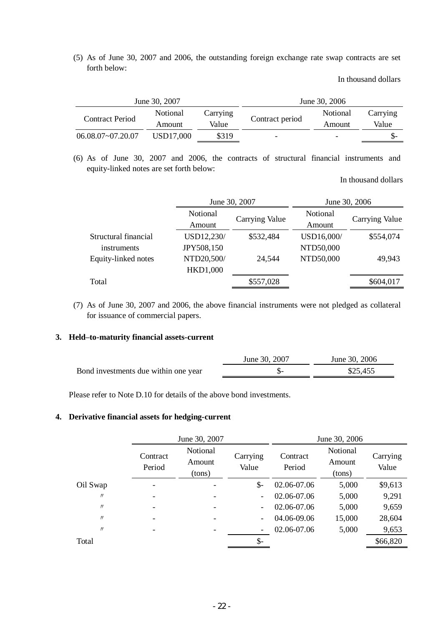(5) As of June 30, 2007 and 2006, the outstanding foreign exchange rate swap contracts are set forth below:

In thousand dollars

|                        | June 30, 2007      |                   | June 30, 2006   |                    |                   |  |
|------------------------|--------------------|-------------------|-----------------|--------------------|-------------------|--|
| <b>Contract Period</b> | Notional<br>Amount | Carrying<br>Value | Contract period | Notional<br>Amount | Carrying<br>Value |  |
| $06.08.07 - 07.20.07$  | USD17.000          | \$319             | -               | -                  |                   |  |

(6) As of June 30, 2007 and 2006, the contracts of structural financial instruments and equity-linked notes are set forth below:

In thousand dollars

|                      | June 30, 2007   |                | June 30, 2006 |                |  |  |
|----------------------|-----------------|----------------|---------------|----------------|--|--|
|                      | Notional        |                | Notional      |                |  |  |
|                      | Amount          | Carrying Value | Amount        | Carrying Value |  |  |
| Structural financial | USD12,230/      | \$532,484      | USD16,000/    | \$554,074      |  |  |
| instruments          | JPY508,150      |                | NTD50,000     |                |  |  |
| Equity-linked notes  | NTD20,500/      | 24,544         | NTD50,000     | 49,943         |  |  |
|                      | <b>HKD1,000</b> |                |               |                |  |  |
| Total                |                 | \$557,028      |               | \$604,017      |  |  |

(7) As of June 30, 2007 and 2006, the above financial instruments were not pledged as collateral for issuance of commercial papers.

#### **3. Held–to-maturity financial assets-current**

|                                      | June 30, 2007 | June 30, 2006 |
|--------------------------------------|---------------|---------------|
| Bond investments due within one year |               | \$25,455      |

Please refer to Note D.10 for details of the above bond investments.

#### **4. Derivative financial assets for hedging-current**

|                   | June 30, 2007      |                              |                          | June 30, 2006      |                              |                   |
|-------------------|--------------------|------------------------------|--------------------------|--------------------|------------------------------|-------------------|
|                   | Contract<br>Period | Notional<br>Amount<br>(tons) | Carrying<br>Value        | Contract<br>Period | Notional<br>Amount<br>(tons) | Carrying<br>Value |
| Oil Swap          |                    |                              | $S-$                     | 02.06-07.06        | 5,000                        | \$9,613           |
| $^{\prime\prime}$ |                    |                              |                          | 02.06-07.06        | 5,000                        | 9,291             |
| $\prime\prime$    |                    |                              | $\overline{\phantom{a}}$ | 02.06-07.06        | 5,000                        | 9,659             |
| $^{\prime\prime}$ |                    |                              | $\overline{\phantom{a}}$ | 04.06-09.06        | 15,000                       | 28,604            |
| $^{\prime\prime}$ |                    |                              |                          | 02.06-07.06        | 5,000                        | 9,653             |
| Total             |                    |                              | \$-                      |                    |                              | \$66,820          |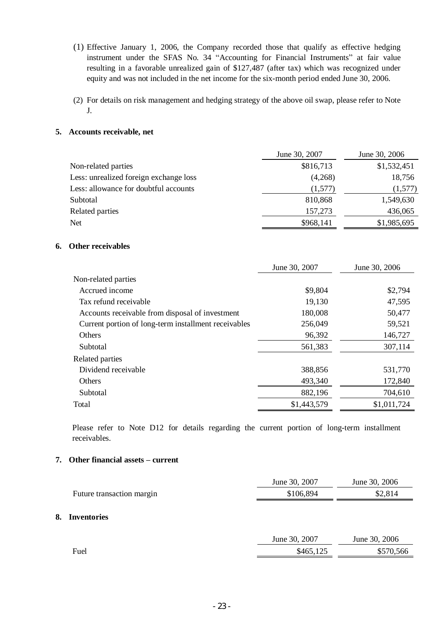- (1) Effective January 1, 2006, the Company recorded those that qualify as effective hedging instrument under the SFAS No. 34 "Accounting for Financial Instruments" at fair value resulting in a favorable unrealized gain of \$127,487 (after tax) which was recognized under equity and was not included in the net income for the six-month period ended June 30, 2006.
- (2) For details on risk management and hedging strategy of the above oil swap, please refer to Note J.

#### **5. Accounts receivable, net**

|                                        | June 30, 2007 | June 30, 2006 |
|----------------------------------------|---------------|---------------|
| Non-related parties                    | \$816,713     | \$1,532,451   |
| Less: unrealized foreign exchange loss | (4,268)       | 18,756        |
| Less: allowance for doubtful accounts  | (1,577)       | (1,577)       |
| Subtotal                               | 810,868       | 1,549,630     |
| Related parties                        | 157,273       | 436,065       |
| Net                                    | \$968,141     | \$1,985,695   |

## **6. Other receivables**

|                                                      | June 30, 2007 | June 30, 2006 |
|------------------------------------------------------|---------------|---------------|
| Non-related parties                                  |               |               |
| Accrued income                                       | \$9,804       | \$2,794       |
| Tax refund receivable                                | 19,130        | 47,595        |
| Accounts receivable from disposal of investment      | 180,008       | 50,477        |
| Current portion of long-term installment receivables | 256,049       | 59,521        |
| Others                                               | 96,392        | 146,727       |
| Subtotal                                             | 561,383       | 307,114       |
| Related parties                                      |               |               |
| Dividend receivable                                  | 388,856       | 531,770       |
| <b>Others</b>                                        | 493,340       | 172,840       |
| Subtotal                                             | 882,196       | 704,610       |
| Total                                                | \$1,443,579   | \$1,011,724   |

Please refer to Note D12 for details regarding the current portion of long-term installment receivables.

#### **7. Other financial assets – current**

**8. Inventories** 

|                           | June 30, 2007 | June 30, 2006 |
|---------------------------|---------------|---------------|
| Future transaction margin | \$106,894     | \$2,814       |
| <b>Inventories</b>        |               |               |
|                           | June 30, 2007 | June 30, 2006 |
| Fuel                      | \$465,125     | \$570,566     |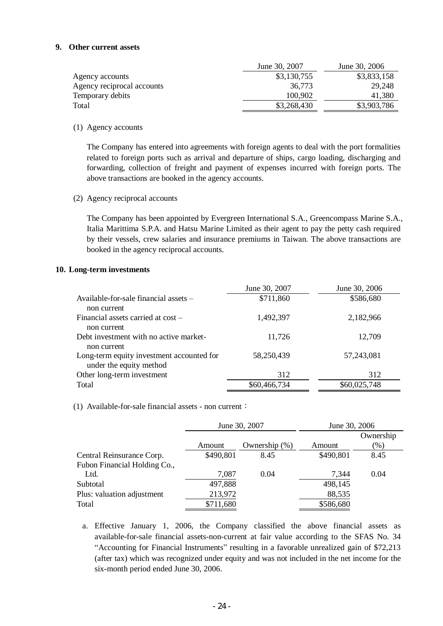#### **9. Other current assets**

|                            | June 30, 2007 | June 30, 2006 |
|----------------------------|---------------|---------------|
| Agency accounts            | \$3,130,755   | \$3,833,158   |
| Agency reciprocal accounts | 36,773        | 29,248        |
| Temporary debits           | 100.902       | 41.380        |
| Total                      | \$3,268,430   | \$3,903,786   |
|                            |               |               |

#### (1) Agency accounts

The Company has entered into agreements with foreign agents to deal with the port formalities related to foreign ports such as arrival and departure of ships, cargo loading, discharging and forwarding, collection of freight and payment of expenses incurred with foreign ports. The above transactions are booked in the agency accounts.

(2) Agency reciprocal accounts

The Company has been appointed by Evergreen International S.A., Greencompass Marine S.A., Italia Marittima S.P.A. and Hatsu Marine Limited as their agent to pay the petty cash required by their vessels, crew salaries and insurance premiums in Taiwan. The above transactions are booked in the agency reciprocal accounts.

#### **10. Long-term investments**

|                                           | June 30, 2007 | June 30, 2006 |
|-------------------------------------------|---------------|---------------|
| Available-for-sale financial assets –     | \$711,860     | \$586,680     |
| non current                               |               |               |
| Financial assets carried at cost –        | 1,492,397     | 2,182,966     |
| non current                               |               |               |
| Debt investment with no active market-    | 11,726        | 12,709        |
| non current                               |               |               |
| Long-term equity investment accounted for | 58,250,439    | 57,243,081    |
| under the equity method                   |               |               |
| Other long-term investment                | 312           | 312           |
| Total                                     | \$60,466,734  | \$60,025,748  |

(1) Available-for-sale financial assets - non current:

|                              | June 30, 2007 |               | June 30, 2006 |           |
|------------------------------|---------------|---------------|---------------|-----------|
|                              |               |               |               | Ownership |
|                              | Amount        | Ownership (%) | Amount        | (96)      |
| Central Reinsurance Corp.    | \$490,801     | 8.45          | \$490,801     | 8.45      |
| Fubon Financial Holding Co., |               |               |               |           |
| Ltd.                         | 7,087         | 0.04          | 7,344         | 0.04      |
| Subtotal                     | 497,888       |               | 498,145       |           |
| Plus: valuation adjustment   | 213,972       |               | 88,535        |           |
| Total                        | \$711,680     |               | \$586,680     |           |
|                              |               |               |               |           |

a. Effective January 1, 2006, the Company classified the above financial assets as available-for-sale financial assets-non-current at fair value according to the SFAS No. 34 "Accounting for Financial Instruments" resulting in a favorable unrealized gain of \$72,213 (after tax) which was recognized under equity and was not included in the net income for the six-month period ended June 30, 2006.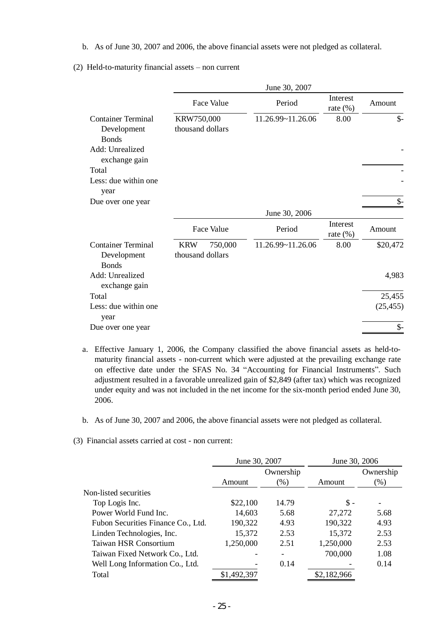b. As of June 30, 2007 and 2006, the above financial assets were not pledged as collateral.

|                                                                                                                                       |                                |            | June 30, 2007     |                         |                 |
|---------------------------------------------------------------------------------------------------------------------------------------|--------------------------------|------------|-------------------|-------------------------|-----------------|
|                                                                                                                                       |                                | Face Value | Period            | Interest<br>rate $(\%)$ | Amount          |
| <b>Container Terminal</b><br>Development<br><b>Bonds</b><br>Add: Unrealized<br>exchange gain<br>Total<br>Less: due within one<br>year | KRW750,000<br>thousand dollars |            | 11.26.99~11.26.06 | 8.00                    | $\mathcal{S}$ - |
| Due over one year                                                                                                                     |                                |            |                   |                         | $\mathcal{S}$ - |
|                                                                                                                                       |                                |            | June 30, 2006     |                         |                 |
|                                                                                                                                       |                                | Face Value | Period            | Interest<br>rate $(\%)$ | Amount          |
| <b>Container Terminal</b><br>Development<br><b>Bonds</b>                                                                              | <b>KRW</b><br>thousand dollars | 750,000    | 11.26.99~11.26.06 | 8.00                    | \$20,472        |
| Add: Unrealized<br>exchange gain                                                                                                      |                                |            |                   |                         | 4,983           |
| Total                                                                                                                                 |                                |            |                   |                         | 25,455          |
| Less: due within one<br>year                                                                                                          |                                |            |                   |                         | (25, 455)       |
| Due over one year                                                                                                                     |                                |            |                   |                         | $\frac{1}{2}$   |

(2) Held-to-maturity financial assets – non current

- a. Effective January 1, 2006, the Company classified the above financial assets as held-tomaturity financial assets - non-current which were adjusted at the prevailing exchange rate on effective date under the SFAS No. 34 "Accounting for Financial Instruments". Such adjustment resulted in a favorable unrealized gain of \$2,849 (after tax) which was recognized under equity and was not included in the net income for the six-month period ended June 30, 2006.
- b. As of June 30, 2007 and 2006, the above financial assets were not pledged as collateral.
- (3) Financial assets carried at cost non current:

|                                    | June 30, 2007 |           | June 30, 2006  |           |
|------------------------------------|---------------|-----------|----------------|-----------|
|                                    |               | Ownership |                | Ownership |
|                                    | Amount        | $(\%)$    | Amount         | $(\%)$    |
| Non-listed securities              |               |           |                |           |
| Top Logis Inc.                     | \$22,100      | 14.79     | $\mathbb{S}$ - |           |
| Power World Fund Inc.              | 14,603        | 5.68      | 27,272         | 5.68      |
| Fubon Securities Finance Co., Ltd. | 190,322       | 4.93      | 190,322        | 4.93      |
| Linden Technologies, Inc.          | 15,372        | 2.53      | 15,372         | 2.53      |
| Taiwan HSR Consortium              | 1,250,000     | 2.51      | 1,250,000      | 2.53      |
| Taiwan Fixed Network Co., Ltd.     |               |           | 700,000        | 1.08      |
| Well Long Information Co., Ltd.    |               | 0.14      |                | 0.14      |
| Total                              | \$1,492,397   |           | \$2,182,966    |           |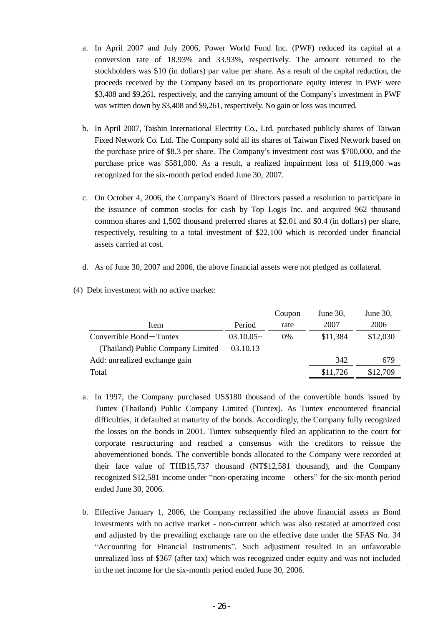- a. In April 2007 and July 2006, Power World Fund Inc. (PWF) reduced its capital at a conversion rate of 18.93% and 33.93%, respectively. The amount returned to the stockholders was \$10 (in dollars) par value per share. As a result of the capital reduction, the proceeds received by the Company based on its proportionate equity interest in PWF were \$3,408 and \$9,261, respectively, and the carrying amount of the Company's investment in PWF was written down by \$3,408 and \$9,261, respectively. No gain or loss was incurred.
- b. In April 2007, Taishin International Electrity Co., Ltd. purchased publicly shares of Taiwan Fixed Network Co. Ltd. The Company sold all its shares of Taiwan Fixed Network based on the purchase price of \$8.3 per share. The Company's investment cost was \$700,000, and the purchase price was \$581,000. As a result, a realized impairment loss of \$119,000 was recognized for the six-month period ended June 30, 2007.
- c. On October 4, 2006, the Company's Board of Directors passed a resolution to participate in the issuance of common stocks for cash by Top Logis Inc. and acquired 962 thousand common shares and 1,502 thousand preferred shares at \$2.01 and \$0.4 (in dollars) per share, respectively, resulting to a total investment of \$22,100 which is recorded under financial assets carried at cost.
- d. As of June 30, 2007 and 2006, the above financial assets were not pledged as collateral.

|                                   |             | Coupon | June 30, | June $30$ , |
|-----------------------------------|-------------|--------|----------|-------------|
| Item                              | Period      | rate   | 2007     | 2006        |
| Convertible Bond – Tuntex         | $03.10.05-$ | $0\%$  | \$11,384 | \$12,030    |
| (Thailand) Public Company Limited | 03.10.13    |        |          |             |
| Add: unrealized exchange gain     |             |        | 342      | 679         |
| Total                             |             |        | \$11,726 | \$12,709    |

(4) Debt investment with no active market:

- a. In 1997, the Company purchased US\$180 thousand of the convertible bonds issued by Tuntex (Thailand) Public Company Limited (Tuntex). As Tuntex encountered financial difficulties, it defaulted at maturity of the bonds. Accordingly, the Company fully recognized the losses on the bonds in 2001. Tuntex subsequently filed an application to the court for corporate restructuring and reached a consensus with the creditors to reissue the abovementioned bonds. The convertible bonds allocated to the Company were recorded at their face value of THB15,737 thousand (NT\$12,581 thousand), and the Company recognized \$12,581 income under "non-operating income – others" for the six-month period ended June 30, 2006.
- b. Effective January 1, 2006, the Company reclassified the above financial assets as Bond investments with no active market - non-current which was also restated at amortized cost and adjusted by the prevailing exchange rate on the effective date under the SFAS No. 34 "Accounting for Financial Instruments". Such adjustment resulted in an unfavorable unrealized loss of \$367 (after tax) which was recognized under equity and was not included in the net income for the six-month period ended June 30, 2006.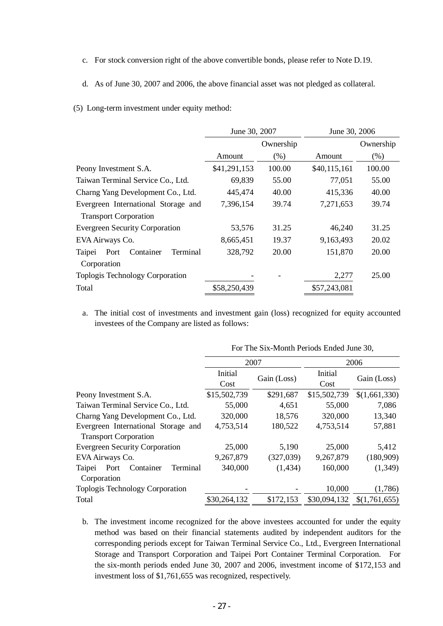- c. For stock conversion right of the above convertible bonds, please refer to Note D.19.
- d. As of June 30, 2007 and 2006, the above financial asset was not pledged as collateral.
- (5) Long-term investment under equity method:

|                                         | June 30, 2007 |           | June 30, 2006 |           |
|-----------------------------------------|---------------|-----------|---------------|-----------|
|                                         |               | Ownership |               | Ownership |
|                                         | Amount        | (% )      | Amount        | $(\% )$   |
| Peony Investment S.A.                   | \$41,291,153  | 100.00    | \$40,115,161  | 100.00    |
| Taiwan Terminal Service Co., Ltd.       | 69,839        | 55.00     | 77,051        | 55.00     |
| Charng Yang Development Co., Ltd.       | 445,474       | 40.00     | 415,336       | 40.00     |
| Evergreen International Storage and     | 7,396,154     | 39.74     | 7,271,653     | 39.74     |
| <b>Transport Corporation</b>            |               |           |               |           |
| <b>Evergreen Security Corporation</b>   | 53,576        | 31.25     | 46,240        | 31.25     |
| EVA Airways Co.                         | 8,665,451     | 19.37     | 9,163,493     | 20.02     |
| Port<br>Container<br>Terminal<br>Taipei | 328,792       | 20.00     | 151,870       | 20.00     |
| Corporation                             |               |           |               |           |
| Toplogis Technology Corporation         |               |           | 2,277         | 25.00     |
| Total                                   | \$58,250,439  |           | \$57,243,081  |           |

a. The initial cost of investments and investment gain (loss) recognized for equity accounted investees of the Company are listed as follows:

|                                                        | 2007            |             | 2006            |               |
|--------------------------------------------------------|-----------------|-------------|-----------------|---------------|
|                                                        | Initial<br>Cost | Gain (Loss) | Initial<br>Cost | Gain (Loss)   |
| Peony Investment S.A.                                  | \$15,502,739    | \$291,687   | \$15,502,739    | \$(1,661,330) |
| Taiwan Terminal Service Co., Ltd.                      | 55,000          | 4,651       | 55,000          | 7,086         |
| Charng Yang Development Co., Ltd.                      | 320,000         | 18,576      | 320,000         | 13,340        |
| Evergreen International Storage and                    | 4,753,514       | 180,522     | 4,753,514       | 57,881        |
| <b>Transport Corporation</b>                           |                 |             |                 |               |
| <b>Evergreen Security Corporation</b>                  | 25,000          | 5,190       | 25,000          | 5,412         |
| EVA Airways Co.                                        | 9,267,879       | (327,039)   | 9,267,879       | (180,909)     |
| Taipei<br>Port<br>Container<br>Terminal<br>Corporation | 340,000         | (1, 434)    | 160,000         | (1,349)       |
| <b>Toplogis Technology Corporation</b>                 |                 |             | 10,000          | (1,786)       |
| Total                                                  | \$30,264,132    | \$172,153   | \$30,094,132    | \$(1,761,655) |

For The Six-Month Periods Ended June 30,

b. The investment income recognized for the above investees accounted for under the equity method was based on their financial statements audited by independent auditors for the corresponding periods except for Taiwan Terminal Service Co., Ltd., Evergreen International Storage and Transport Corporation and Taipei Port Container Terminal Corporation. For the six-month periods ended June 30, 2007 and 2006, investment income of \$172,153 and investment loss of \$1,761,655 was recognized, respectively.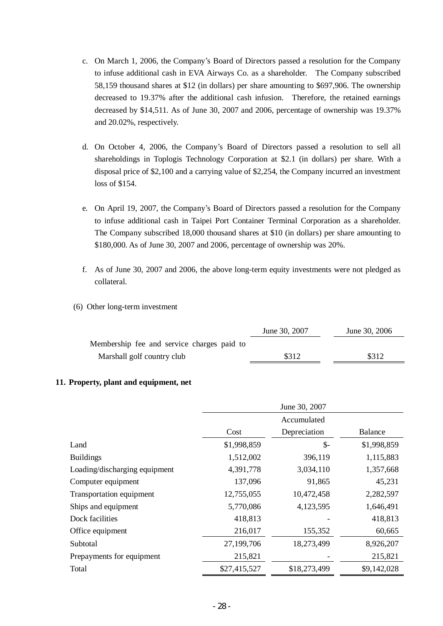- c. On March 1, 2006, the Company's Board of Directors passed a resolution for the Company to infuse additional cash in EVA Airways Co. as a shareholder. The Company subscribed 58,159 thousand shares at \$12 (in dollars) per share amounting to \$697,906. The ownership decreased to 19.37% after the additional cash infusion. Therefore, the retained earnings decreased by \$14,511. As of June 30, 2007 and 2006, percentage of ownership was 19.37% and 20.02%, respectively.
- d. On October 4, 2006, the Company's Board of Directors passed a resolution to sell all shareholdings in Toplogis Technology Corporation at \$2.1 (in dollars) per share. With a disposal price of \$2,100 and a carrying value of \$2,254, the Company incurred an investment loss of \$154.
- e. On April 19, 2007, the Company's Board of Directors passed a resolution for the Company to infuse additional cash in Taipei Port Container Terminal Corporation as a shareholder. The Company subscribed 18,000 thousand shares at \$10 (in dollars) per share amounting to \$180,000. As of June 30, 2007 and 2006, percentage of ownership was 20%.
- f. As of June 30, 2007 and 2006, the above long-term equity investments were not pledged as collateral.
- (6) Other long-term investment

|                                            | June 30, 2007 | June 30, 2006 |
|--------------------------------------------|---------------|---------------|
| Membership fee and service charges paid to |               |               |
| Marshall golf country club                 | \$312         | \$312         |

# **11. Property, plant and equipment, net**

|                               | June 30, 2007 |                 |                |
|-------------------------------|---------------|-----------------|----------------|
|                               |               | Accumulated     |                |
|                               | Cost          | Depreciation    | <b>Balance</b> |
| Land                          | \$1,998,859   | $\mathcal{S}$ - | \$1,998,859    |
| <b>Buildings</b>              | 1,512,002     | 396,119         | 1,115,883      |
| Loading/discharging equipment | 4,391,778     | 3,034,110       | 1,357,668      |
| Computer equipment            | 137,096       | 91,865          | 45,231         |
| Transportation equipment      | 12,755,055    | 10,472,458      | 2,282,597      |
| Ships and equipment           | 5,770,086     | 4,123,595       | 1,646,491      |
| Dock facilities               | 418,813       |                 | 418,813        |
| Office equipment              | 216,017       | 155,352         | 60,665         |
| Subtotal                      | 27,199,706    | 18,273,499      | 8,926,207      |
| Prepayments for equipment     | 215,821       |                 | 215,821        |
| Total                         | \$27,415,527  | \$18,273,499    | \$9,142,028    |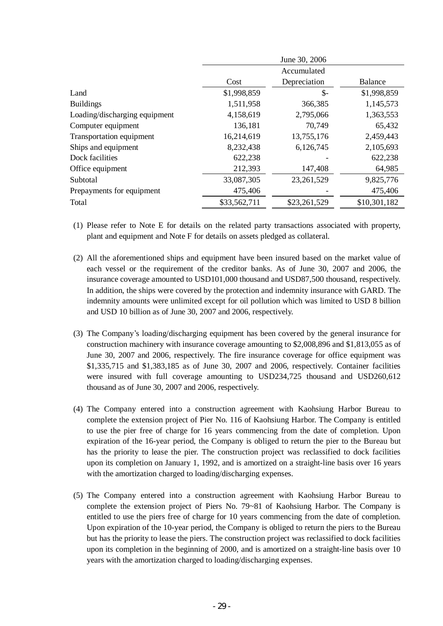|                               | June 30, 2006 |              |              |
|-------------------------------|---------------|--------------|--------------|
|                               |               | Accumulated  |              |
|                               | Cost          | Depreciation | Balance      |
| Land                          | \$1,998,859   | \$-          | \$1,998,859  |
| <b>Buildings</b>              | 1,511,958     | 366,385      | 1,145,573    |
| Loading/discharging equipment | 4,158,619     | 2,795,066    | 1,363,553    |
| Computer equipment            | 136,181       | 70,749       | 65,432       |
| Transportation equipment      | 16,214,619    | 13,755,176   | 2,459,443    |
| Ships and equipment           | 8,232,438     | 6,126,745    | 2,105,693    |
| Dock facilities               | 622,238       |              | 622,238      |
| Office equipment              | 212,393       | 147,408      | 64,985       |
| Subtotal                      | 33,087,305    | 23,261,529   | 9,825,776    |
| Prepayments for equipment     | 475,406       |              | 475,406      |
| Total                         | \$33,562,711  | \$23,261,529 | \$10,301,182 |

- (1) Please refer to Note E for details on the related party transactions associated with property, plant and equipment and Note F for details on assets pledged as collateral.
- (2) All the aforementioned ships and equipment have been insured based on the market value of each vessel or the requirement of the creditor banks. As of June 30, 2007 and 2006, the insurance coverage amounted to USD101,000 thousand and USD87,500 thousand, respectively. In addition, the ships were covered by the protection and indemnity insurance with GARD. The indemnity amounts were unlimited except for oil pollution which was limited to USD 8 billion and USD 10 billion as of June 30, 2007 and 2006, respectively.
- (3) The Company's loading/discharging equipment has been covered by the general insurance for construction machinery with insurance coverage amounting to \$2,008,896 and \$1,813,055 as of June 30, 2007 and 2006, respectively. The fire insurance coverage for office equipment was \$1,335,715 and \$1,383,185 as of June 30, 2007 and 2006, respectively. Container facilities were insured with full coverage amounting to USD234,725 thousand and USD260,612 thousand as of June 30, 2007 and 2006, respectively.
- (4) The Company entered into a construction agreement with Kaohsiung Harbor Bureau to complete the extension project of Pier No. 116 of Kaohsiung Harbor. The Company is entitled to use the pier free of charge for 16 years commencing from the date of completion. Upon expiration of the 16-year period, the Company is obliged to return the pier to the Bureau but has the priority to lease the pier. The construction project was reclassified to dock facilities upon its completion on January 1, 1992, and is amortized on a straight-line basis over 16 years with the amortization charged to loading/discharging expenses.
- (5) The Company entered into a construction agreement with Kaohsiung Harbor Bureau to complete the extension project of Piers No. 79~81 of Kaohsiung Harbor. The Company is entitled to use the piers free of charge for 10 years commencing from the date of completion. Upon expiration of the 10-year period, the Company is obliged to return the piers to the Bureau but has the priority to lease the piers. The construction project was reclassified to dock facilities upon its completion in the beginning of 2000, and is amortized on a straight-line basis over 10 years with the amortization charged to loading/discharging expenses.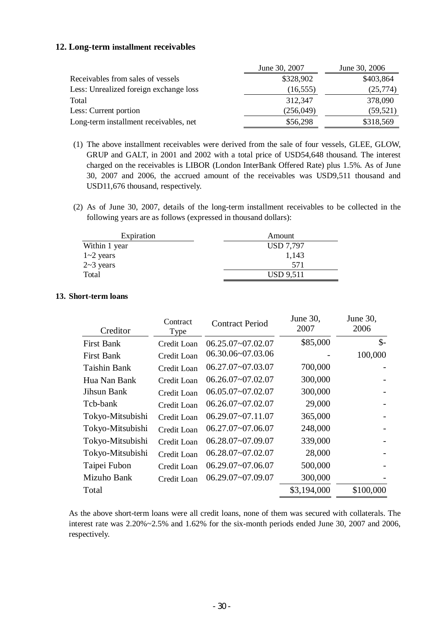## **12. Long-term installment receivables**

|                                        | June 30, 2007 | June 30, 2006 |
|----------------------------------------|---------------|---------------|
| Receivables from sales of vessels      | \$328,902     | \$403,864     |
| Less: Unrealized foreign exchange loss | (16, 555)     | (25,774)      |
| Total                                  | 312,347       | 378,090       |
| Less: Current portion                  | (256, 049)    | (59, 521)     |
| Long-term installment receivables, net | \$56,298      | \$318,569     |

- (1) The above installment receivables were derived from the sale of four vessels, GLEE, GLOW, GRUP and GALT, in 2001 and 2002 with a total price of USD54,648 thousand. The interest charged on the receivables is LIBOR (London InterBank Offered Rate) plus 1.5%. As of June 30, 2007 and 2006, the accrued amount of the receivables was USD9,511 thousand and USD11,676 thousand, respectively.
- (2) As of June 30, 2007, details of the long-term installment receivables to be collected in the following years are as follows (expressed in thousand dollars):

| Expiration    | Amount           |  |
|---------------|------------------|--|
| Within 1 year | <b>USD 7,797</b> |  |
| $1 - 2$ years | 1,143            |  |
| $2-3$ years   | 571              |  |
| Total         | USD 9,511        |  |

#### **13. Short-term loans**

| Creditor          | Contract<br>Type | <b>Contract Period</b> | June 30,<br>2007 | June 30,<br>2006 |
|-------------------|------------------|------------------------|------------------|------------------|
| <b>First Bank</b> | Credit Loan      | $06.25.07 - 07.02.07$  | \$85,000         | $\mathcal{S}$ -  |
| <b>First Bank</b> | Credit Loan      | 06.30.06~07.03.06      |                  | 100,000          |
| Taishin Bank      | Credit Loan      | $06.27.07 - 07.03.07$  | 700,000          |                  |
| Hua Nan Bank      | Credit Loan      | $06.26.07 - 07.02.07$  | 300,000          |                  |
| Jihsun Bank       | Credit Loan      | 06.05.07~07.02.07      | 300,000          |                  |
| Tcb-bank          | Credit Loan      | $06.26.07 - 07.02.07$  | 29,000           |                  |
| Tokyo-Mitsubishi  | Credit Loan      | $06.29.07 - 07.11.07$  | 365,000          |                  |
| Tokyo-Mitsubishi  | Credit Loan      | $06.27.07 - 07.06.07$  | 248,000          |                  |
| Tokyo-Mitsubishi  | Credit Loan      | 06.28.07~07.09.07      | 339,000          |                  |
| Tokyo-Mitsubishi  | Credit Loan      | 06.28.07~07.02.07      | 28,000           |                  |
| Taipei Fubon      | Credit Loan      | $06.29.07 - 07.06.07$  | 500,000          |                  |
| Mizuho Bank       | Credit Loan      | 06.29.07~07.09.07      | 300,000          |                  |
| Total             |                  |                        | \$3,194,000      | \$100,000        |

As the above short-term loans were all credit loans, none of them was secured with collaterals. The interest rate was 2.20%~2.5% and 1.62% for the six-month periods ended June 30, 2007 and 2006, respectively.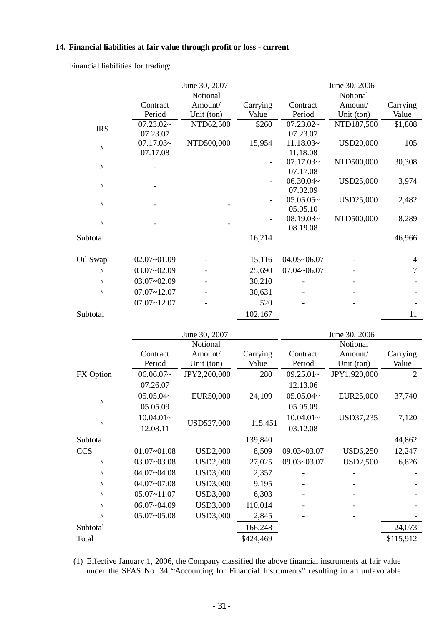# **14. Financial liabilities at fair value through profit or loss - current**

Financial liabilities for trading:

|                               |                 | June 30, 2007   |           |                                | June 30, 2006    |                |
|-------------------------------|-----------------|-----------------|-----------|--------------------------------|------------------|----------------|
|                               |                 | Notional        |           |                                | Notional         |                |
|                               | Contract        | Amount/         | Carrying  | Contract                       | Amount/          | Carrying       |
|                               | Period          | Unit (ton)      | Value     | Period                         | Unit (ton)       | Value          |
| <b>IRS</b>                    | 07.23.02~       | NTD62,500       | \$260     | 07.23.02~                      | NTD187,500       | \$1,808        |
|                               | 07.23.07        |                 |           | 07.23.07                       |                  |                |
| $\ensuremath{\mathnormal{H}}$ | 07.17.03~       | NTD500,000      | 15,954    | $11.18.03-$                    | <b>USD20,000</b> | 105            |
|                               | 07.17.08        |                 |           | 11.18.08                       |                  |                |
| $\ensuremath{\mathnormal{H}}$ |                 |                 |           | 07.17.03~                      | NTD500,000       | 30,308         |
|                               |                 |                 |           | 07.17.08                       |                  |                |
| $\label{eq:1} \mathcal{W}$    |                 |                 |           | 06.30.04~                      | USD25,000        | 3,974          |
|                               |                 |                 |           | 07.02.09                       |                  |                |
| $\ensuremath{\mathnormal{H}}$ |                 |                 |           | $05.05.05\sim$                 | USD25,000        | 2,482          |
|                               |                 |                 |           | 05.05.10<br>$08.19.03\text{-}$ | NTD500,000       | 8,289          |
| $\prime\prime$                |                 |                 |           | 08.19.08                       |                  |                |
| Subtotal                      |                 |                 | 16,214    |                                |                  | 46,966         |
|                               |                 |                 |           |                                |                  |                |
| Oil Swap                      | $02.07 - 01.09$ |                 | 15,116    | $04.05 - 06.07$                |                  | 4              |
| $^{\prime\prime}$             | $03.07 - 02.09$ |                 | 25,690    | $07.04 - 06.07$                |                  | 7              |
| $\prime$                      | $03.07 - 02.09$ |                 | 30,210    |                                |                  |                |
| $\ensuremath{\mathnormal{H}}$ | $07.07 - 12.07$ |                 | 30,631    |                                |                  |                |
|                               | $07.07 - 12.07$ |                 | 520       |                                |                  |                |
| Subtotal                      |                 |                 | 102,167   |                                |                  | 11             |
|                               |                 |                 |           |                                |                  |                |
|                               |                 | June 30, 2007   |           |                                | June 30, 2006    |                |
|                               |                 | Notional        |           |                                | Notional         |                |
|                               | Contract        | Amount/         | Carrying  | Contract                       | Amount/          | Carrying       |
|                               | Period          | Unit (ton)      | Value     | Period                         | Unit (ton)       | Value          |
| FX Option                     | $06.06.07-$     | JPY2,200,000    | 280       | $09.25.01-$                    | JPY1,920,000     | $\overline{2}$ |
|                               | 07.26.07        |                 |           | 12.13.06                       |                  |                |
|                               | $05.05.04-$     | EUR50,000       | 24,109    | $05.05.04-$                    | EUR25,000        | 37,740         |
| $\ensuremath{\mathnormal{H}}$ | 05.05.09        |                 |           | 05.05.09                       |                  |                |
|                               | $10.04.01 -$    |                 |           | $10.04.01-$                    | USD37,235        | 7,120          |
| $\label{eq:1} \mathcal{W}$    | 12.08.11        | USD527,000      | 115,451   | 03.12.08                       |                  |                |
| Subtotal                      |                 |                 | 139,840   |                                |                  | 44,862         |
| <b>CCS</b>                    | $01.07 - 01.08$ | <b>USD2,000</b> | 8,509     | 09.03~03.07                    | <b>USD6,250</b>  | 12,247         |
| $\prime\prime$                | 03.07~03.08     | <b>USD2,000</b> | 27,025    | 09.03~03.07                    | <b>USD2,500</b>  | 6,826          |
| $\ensuremath{\mathnormal{H}}$ | 04.07~04.08     | <b>USD3,000</b> | 2,357     |                                |                  |                |
| $\prime\prime$                | 04.07~07.08     | <b>USD3,000</b> | 9,195     |                                |                  |                |
| $\prime\prime$                | $05.07 - 11.07$ | <b>USD3,000</b> | 6,303     |                                |                  |                |
| $\prime\prime$                | 06.07~04.09     | <b>USD3,000</b> | 110,014   |                                |                  |                |
| $\prime\prime$                | $05.07 - 05.08$ | <b>USD3,000</b> | 2,845     |                                |                  |                |
| Subtotal                      |                 |                 | 166,248   |                                |                  | 24,073         |
| Total                         |                 |                 | \$424,469 |                                |                  |                |
|                               |                 |                 |           |                                |                  | \$115,912      |

(1) Effective January 1, 2006, the Company classified the above financial instruments at fair value under the SFAS No. 34 "Accounting for Financial Instruments" resulting in an unfavorable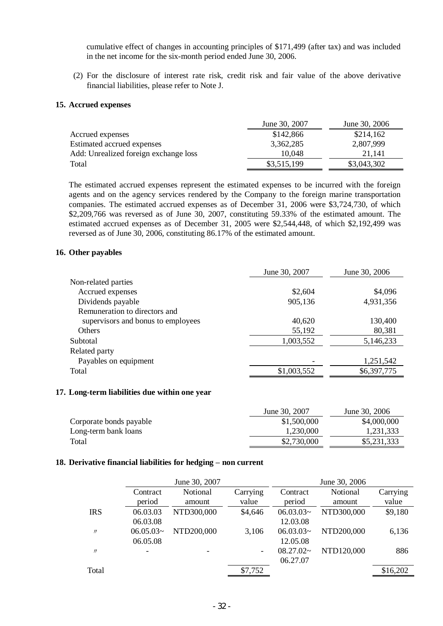cumulative effect of changes in accounting principles of \$171,499 (after tax) and was included in the net income for the six-month period ended June 30, 2006.

(2) For the disclosure of interest rate risk, credit risk and fair value of the above derivative financial liabilities, please refer to Note J.

#### **15. Accrued expenses**

|                                       | June 30, 2007 | June 30, 2006 |
|---------------------------------------|---------------|---------------|
| Accrued expenses                      | \$142,866     | \$214,162     |
| Estimated accrued expenses            | 3,362,285     | 2,807,999     |
| Add: Unrealized foreign exchange loss | 10,048        | 21.141        |
| Total                                 | \$3,515,199   | \$3,043,302   |

The estimated accrued expenses represent the estimated expenses to be incurred with the foreign agents and on the agency services rendered by the Company to the foreign marine transportation companies. The estimated accrued expenses as of December 31, 2006 were \$3,724,730, of which \$2,209,766 was reversed as of June 30, 2007, constituting 59.33% of the estimated amount. The estimated accrued expenses as of December 31, 2005 were \$2,544,448, of which \$2,192,499 was reversed as of June 30, 2006, constituting 86.17% of the estimated amount.

#### **16. Other payables**

|                                    | June 30, 2007 | June 30, 2006 |
|------------------------------------|---------------|---------------|
| Non-related parties                |               |               |
| Accrued expenses                   | \$2,604       | \$4,096       |
| Dividends payable                  | 905,136       | 4,931,356     |
| Remuneration to directors and      |               |               |
| supervisors and bonus to employees | 40,620        | 130,400       |
| <b>Others</b>                      | 55,192        | 80,381        |
| Subtotal                           | 1,003,552     | 5,146,233     |
| Related party                      |               |               |
| Payables on equipment              |               | 1,251,542     |
| Total                              | \$1,003,552   | \$6,397,775   |
|                                    |               |               |

#### **17. Long-term liabilities due within one year**

|                         | June 30, 2007 | June 30, 2006 |
|-------------------------|---------------|---------------|
| Corporate bonds payable | \$1,500,000   | \$4,000,000   |
| Long-term bank loans    | 1.230.000     | 1,231,333     |
| Total                   | \$2,730,000   | \$5,231,333   |

#### **18. Derivative financial liabilities for hedging – non current**

|                   | June 30, 2007      |            |                          | June 30, 2006  |            |          |
|-------------------|--------------------|------------|--------------------------|----------------|------------|----------|
|                   | Contract           | Notional   | Carrying                 | Contract       | Notional   | Carrying |
|                   | period             | amount     | value                    | period         | amount     | value    |
| <b>IRS</b>        | 06.03.03           | NTD300,000 | \$4,646                  | $06.03.03\sim$ | NTD300,000 | \$9,180  |
|                   | 06.03.08           |            |                          | 12.03.08       |            |          |
| $^{\prime\prime}$ | $06.05.03\text{-}$ | NTD200,000 | 3,106                    | $06.03.03\sim$ | NTD200,000 | 6,136    |
|                   | 06.05.08           |            |                          | 12.05.08       |            |          |
| $^{\prime\prime}$ |                    |            | $\overline{\phantom{a}}$ | $08.27.02\sim$ | NTD120,000 | 886      |
|                   |                    |            |                          | 06.27.07       |            |          |
| Total             |                    |            | \$7,752                  |                |            | \$16,202 |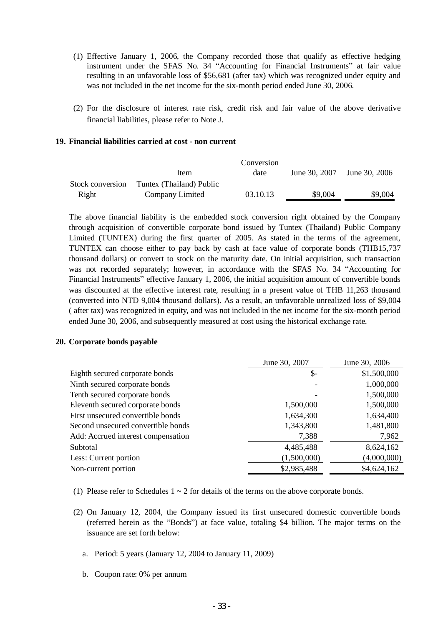- (1) Effective January 1, 2006, the Company recorded those that qualify as effective hedging instrument under the SFAS No. 34 "Accounting for Financial Instruments" at fair value resulting in an unfavorable loss of \$56,681 (after tax) which was recognized under equity and was not included in the net income for the six-month period ended June 30, 2006.
- (2) For the disclosure of interest rate risk, credit risk and fair value of the above derivative financial liabilities, please refer to Note J.

#### **19. Financial liabilities carried at cost - non current**

|                  |                          | Conversion |               |               |
|------------------|--------------------------|------------|---------------|---------------|
|                  | Item                     | date       | June 30, 2007 | June 30, 2006 |
| Stock conversion | Tuntex (Thailand) Public |            |               |               |
| Right            | Company Limited          | 03.10.13   | \$9,004       | \$9,004       |

The above financial liability is the embedded stock conversion right obtained by the Company through acquisition of convertible corporate bond issued by Tuntex (Thailand) Public Company Limited (TUNTEX) during the first quarter of 2005. As stated in the terms of the agreement, TUNTEX can choose either to pay back by cash at face value of corporate bonds (THB15,737 thousand dollars) or convert to stock on the maturity date. On initial acquisition, such transaction was not recorded separately; however, in accordance with the SFAS No. 34 "Accounting for Financial Instruments" effective January 1, 2006, the initial acquisition amount of convertible bonds was discounted at the effective interest rate, resulting in a present value of THB 11,263 thousand (converted into NTD 9,004 thousand dollars). As a result, an unfavorable unrealized loss of \$9,004 ( after tax) was recognized in equity, and was not included in the net income for the six-month period ended June 30, 2006, and subsequently measured at cost using the historical exchange rate.

#### **20. Corporate bonds payable**

|                                    | June 30, 2007   | June 30, 2006 |
|------------------------------------|-----------------|---------------|
| Eighth secured corporate bonds     | $\mathcal{S}$ - | \$1,500,000   |
| Ninth secured corporate bonds      |                 | 1,000,000     |
| Tenth secured corporate bonds      |                 | 1,500,000     |
| Eleventh secured corporate bonds   | 1,500,000       | 1,500,000     |
| First unsecured convertible bonds  | 1,634,300       | 1,634,400     |
| Second unsecured convertible bonds | 1,343,800       | 1,481,800     |
| Add: Accrued interest compensation | 7,388           | 7,962         |
| Subtotal                           | 4,485,488       | 8,624,162     |
| Less: Current portion              | (1,500,000)     | (4,000,000)   |
| Non-current portion                | \$2,985,488     | \$4,624,162   |

- (1) Please refer to Schedules  $1 \sim 2$  for details of the terms on the above corporate bonds.
- (2) On January 12, 2004, the Company issued its first unsecured domestic convertible bonds (referred herein as the "Bonds") at face value, totaling \$4 billion. The major terms on the issuance are set forth below:
	- a. Period: 5 years (January 12, 2004 to January 11, 2009)
	- b. Coupon rate: 0% per annum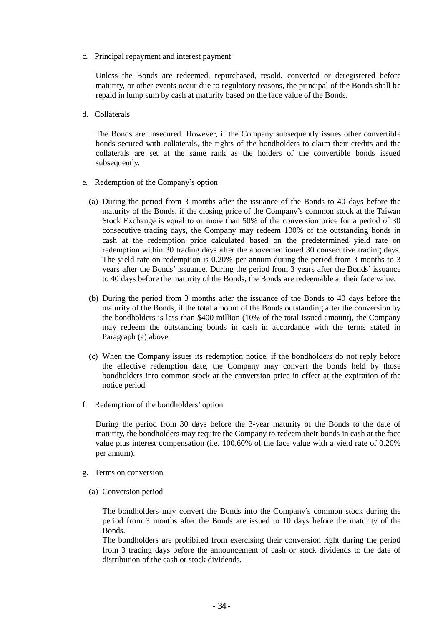c. Principal repayment and interest payment

Unless the Bonds are redeemed, repurchased, resold, converted or deregistered before maturity, or other events occur due to regulatory reasons, the principal of the Bonds shall be repaid in lump sum by cash at maturity based on the face value of the Bonds.

d. Collaterals

The Bonds are unsecured. However, if the Company subsequently issues other convertible bonds secured with collaterals, the rights of the bondholders to claim their credits and the collaterals are set at the same rank as the holders of the convertible bonds issued subsequently.

- e. Redemption of the Company's option
	- (a) During the period from 3 months after the issuance of the Bonds to 40 days before the maturity of the Bonds, if the closing price of the Company's common stock at the Taiwan Stock Exchange is equal to or more than 50% of the conversion price for a period of 30 consecutive trading days, the Company may redeem 100% of the outstanding bonds in cash at the redemption price calculated based on the predetermined yield rate on redemption within 30 trading days after the abovementioned 30 consecutive trading days. The yield rate on redemption is 0.20% per annum during the period from 3 months to 3 years after the Bonds' issuance. During the period from 3 years after the Bonds' issuance to 40 days before the maturity of the Bonds, the Bonds are redeemable at their face value.
	- (b) During the period from 3 months after the issuance of the Bonds to 40 days before the maturity of the Bonds, if the total amount of the Bonds outstanding after the conversion by the bondholders is less than \$400 million (10% of the total issued amount), the Company may redeem the outstanding bonds in cash in accordance with the terms stated in Paragraph (a) above.
	- (c) When the Company issues its redemption notice, if the bondholders do not reply before the effective redemption date, the Company may convert the bonds held by those bondholders into common stock at the conversion price in effect at the expiration of the notice period.
- f. Redemption of the bondholders' option

During the period from 30 days before the 3-year maturity of the Bonds to the date of maturity, the bondholders may require the Company to redeem their bonds in cash at the face value plus interest compensation (i.e. 100.60% of the face value with a yield rate of 0.20% per annum).

- g. Terms on conversion
	- (a) Conversion period

The bondholders may convert the Bonds into the Company's common stock during the period from 3 months after the Bonds are issued to 10 days before the maturity of the Bonds.

The bondholders are prohibited from exercising their conversion right during the period from 3 trading days before the announcement of cash or stock dividends to the date of distribution of the cash or stock dividends.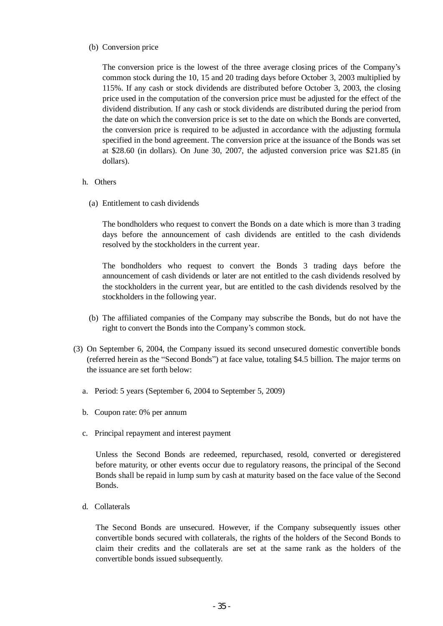### (b) Conversion price

The conversion price is the lowest of the three average closing prices of the Company's common stock during the 10, 15 and 20 trading days before October 3, 2003 multiplied by 115%. If any cash or stock dividends are distributed before October 3, 2003, the closing price used in the computation of the conversion price must be adjusted for the effect of the dividend distribution. If any cash or stock dividends are distributed during the period from the date on which the conversion price is set to the date on which the Bonds are converted, the conversion price is required to be adjusted in accordance with the adjusting formula specified in the bond agreement. The conversion price at the issuance of the Bonds was set at \$28.60 (in dollars). On June 30, 2007, the adjusted conversion price was \$21.85 (in dollars).

## h. Others

(a) Entitlement to cash dividends

The bondholders who request to convert the Bonds on a date which is more than 3 trading days before the announcement of cash dividends are entitled to the cash dividends resolved by the stockholders in the current year.

The bondholders who request to convert the Bonds 3 trading days before the announcement of cash dividends or later are not entitled to the cash dividends resolved by the stockholders in the current year, but are entitled to the cash dividends resolved by the stockholders in the following year.

- (b) The affiliated companies of the Company may subscribe the Bonds, but do not have the right to convert the Bonds into the Company's common stock.
- (3) On September 6, 2004, the Company issued its second unsecured domestic convertible bonds (referred herein as the "Second Bonds") at face value, totaling \$4.5 billion. The major terms on the issuance are set forth below:
	- a. Period: 5 years (September 6, 2004 to September 5, 2009)
	- b. Coupon rate: 0% per annum
	- c. Principal repayment and interest payment

Unless the Second Bonds are redeemed, repurchased, resold, converted or deregistered before maturity, or other events occur due to regulatory reasons, the principal of the Second Bonds shall be repaid in lump sum by cash at maturity based on the face value of the Second Bonds.

d. Collaterals

The Second Bonds are unsecured. However, if the Company subsequently issues other convertible bonds secured with collaterals, the rights of the holders of the Second Bonds to claim their credits and the collaterals are set at the same rank as the holders of the convertible bonds issued subsequently.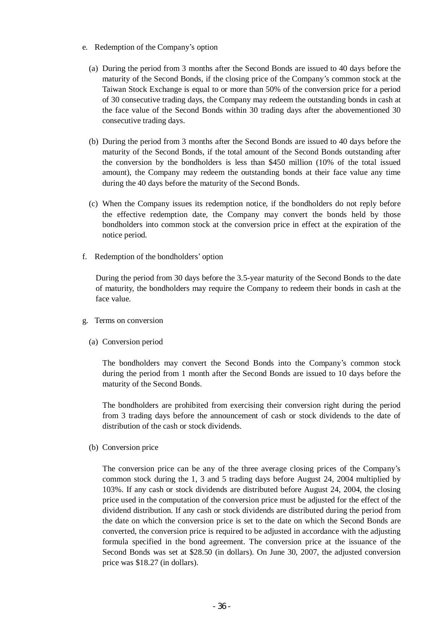- e. Redemption of the Company's option
	- (a) During the period from 3 months after the Second Bonds are issued to 40 days before the maturity of the Second Bonds, if the closing price of the Company's common stock at the Taiwan Stock Exchange is equal to or more than 50% of the conversion price for a period of 30 consecutive trading days, the Company may redeem the outstanding bonds in cash at the face value of the Second Bonds within 30 trading days after the abovementioned 30 consecutive trading days.
	- (b) During the period from 3 months after the Second Bonds are issued to 40 days before the maturity of the Second Bonds, if the total amount of the Second Bonds outstanding after the conversion by the bondholders is less than \$450 million (10% of the total issued amount), the Company may redeem the outstanding bonds at their face value any time during the 40 days before the maturity of the Second Bonds.
	- (c) When the Company issues its redemption notice, if the bondholders do not reply before the effective redemption date, the Company may convert the bonds held by those bondholders into common stock at the conversion price in effect at the expiration of the notice period.
- f. Redemption of the bondholders' option

During the period from 30 days before the 3.5-year maturity of the Second Bonds to the date of maturity, the bondholders may require the Company to redeem their bonds in cash at the face value.

- g. Terms on conversion
	- (a) Conversion period

The bondholders may convert the Second Bonds into the Company's common stock during the period from 1 month after the Second Bonds are issued to 10 days before the maturity of the Second Bonds.

The bondholders are prohibited from exercising their conversion right during the period from 3 trading days before the announcement of cash or stock dividends to the date of distribution of the cash or stock dividends.

(b) Conversion price

The conversion price can be any of the three average closing prices of the Company's common stock during the 1, 3 and 5 trading days before August 24, 2004 multiplied by 103%. If any cash or stock dividends are distributed before August 24, 2004, the closing price used in the computation of the conversion price must be adjusted for the effect of the dividend distribution. If any cash or stock dividends are distributed during the period from the date on which the conversion price is set to the date on which the Second Bonds are converted, the conversion price is required to be adjusted in accordance with the adjusting formula specified in the bond agreement. The conversion price at the issuance of the Second Bonds was set at \$28.50 (in dollars). On June 30, 2007, the adjusted conversion price was \$18.27 (in dollars).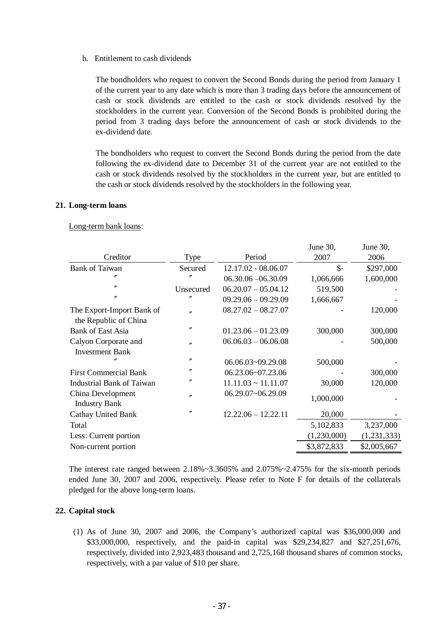### h. Entitlement to cash dividends

The bondholders who request to convert the Second Bonds during the period from January 1 of the current year to any date which is more than 3 trading days before the announcement of cash or stock dividends are entitled to the cash or stock dividends resolved by the stockholders in the current year. Conversion of the Second Bonds is prohibited during the period from 3 trading days before the announcement of cash or stock dividends to the ex-dividend date.

The bondholders who request to convert the Second Bonds during the period from the date following the ex-dividend date to December 31 of the current year are not entitled to the cash or stock dividends resolved by the stockholders in the current year, but are entitled to the cash or stock dividends resolved by the stockholders in the following year.

 $J_{\text{rms}}$  20

 $J_{\text{min}}$  20

## **21. Long-term loans**

## Long-term bank loans:

|                              |                   |                          | JUIIU JU,   | $J$ unt $J_{\rm U}$ |
|------------------------------|-------------------|--------------------------|-------------|---------------------|
| Creditor                     | Type              | Period                   | 2007        | 2006                |
| <b>Bank of Taiwan</b>        | Secured           | 12.17.02 - 08.06.07      | $S-$        | \$297,000           |
| n                            | n                 | $06.30.06 - 06.30.09$    | 1,066,666   | 1,600,000           |
| $\prime\prime$               | Unsecured         | $06.20.07 - 05.04.12$    | 519,500     |                     |
| $^{\prime\prime}$            | n                 | $09.29.06 - 09.29.09$    | 1,666,667   |                     |
| The Export-Import Bank of    | n                 | $08.27.02 - 08.27.07$    |             | 120,000             |
| the Republic of China        |                   |                          |             |                     |
| <b>Bank of East Asia</b>     | $^{\prime\prime}$ | $01.23.06 - 01.23.09$    | 300,000     | 300,000             |
| Calyon Corporate and         | $^{\prime\prime}$ | $06.06.03 - 06.06.08$    |             | 500,000             |
| <b>Investment Bank</b>       |                   |                          |             |                     |
|                              | $\prime\prime$    | 06.06.03~09.29.08        | 500,000     |                     |
| <b>First Commercial Bank</b> | n                 | 06.23.06~07.23.06        |             | 300,000             |
| Industrial Bank of Taiwan    | n                 | $11.11.03 \sim 11.11.07$ | 30,000      | 120,000             |
| China Development            | $^{\prime\prime}$ | 06.29.07~06.29.09        | 1,000,000   |                     |
| <b>Industry Bank</b>         |                   |                          |             |                     |
| <b>Cathay United Bank</b>    | $^{\prime\prime}$ | $12.22.06 - 12.22.11$    | 20,000      |                     |
| Total                        |                   |                          | 5,102,833   | 3,237,000           |
| Less: Current portion        |                   |                          | (1,230,000) | (1,231,333)         |
| Non-current portion          |                   |                          | \$3,872,833 | \$2,005,667         |
|                              |                   |                          |             |                     |

The interest rate ranged between 2.18%~3.3605% and 2.075%~2.475% for the six-month periods ended June 30, 2007 and 2006, respectively. Please refer to Note F for details of the collaterals pledged for the above long-term loans.

## **22. Capital stock**

(1) As of June 30, 2007 and 2006, the Company's authorized capital was \$36,000,000 and \$33,000,000, respectively, and the paid-in capital was \$29,234,827 and \$27,251,676, respectively, divided into 2,923,483 thousand and 2,725,168 thousand shares of common stocks, respectively, with a par value of \$10 per share.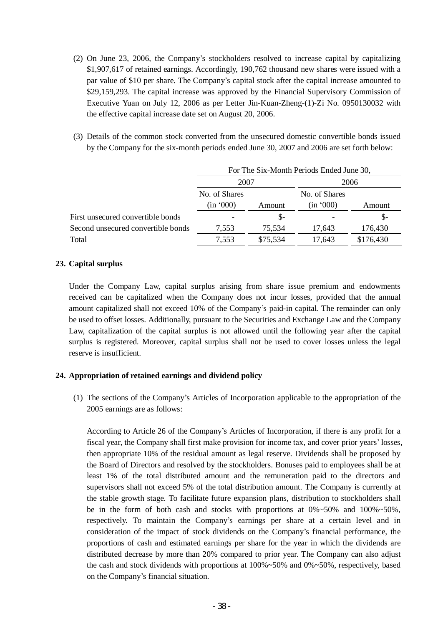- (2) On June 23, 2006, the Company's stockholders resolved to increase capital by capitalizing \$1,907,617 of retained earnings. Accordingly, 190,762 thousand new shares were issued with a par value of \$10 per share. The Company's capital stock after the capital increase amounted to \$29,159,293. The capital increase was approved by the Financial Supervisory Commission of Executive Yuan on July 12, 2006 as per Letter Jin-Kuan-Zheng-(1)-Zi No. 0950130032 with the effective capital increase date set on August 20, 2006.
- (3) Details of the common stock converted from the unsecured domestic convertible bonds issued by the Company for the six-month periods ended June 30, 2007 and 2006 are set forth below:

|                                    | For The Six-Month Periods Ended June 30, |          |               |           |  |
|------------------------------------|------------------------------------------|----------|---------------|-----------|--|
|                                    | 2007                                     |          | 2006          |           |  |
|                                    | No. of Shares                            |          | No. of Shares |           |  |
|                                    | (in '000)                                | Amount   | (in '000)     | Amount    |  |
| First unsecured convertible bonds  |                                          | $S-$     |               | $S-$      |  |
| Second unsecured convertible bonds | 7,553                                    | 75,534   | 17.643        | 176,430   |  |
| Total                              | 7,553                                    | \$75,534 | 17,643        | \$176,430 |  |

## **23. Capital surplus**

Under the Company Law, capital surplus arising from share issue premium and endowments received can be capitalized when the Company does not incur losses, provided that the annual amount capitalized shall not exceed 10% of the Company's paid-in capital. The remainder can only be used to offset losses. Additionally, pursuant to the Securities and Exchange Law and the Company Law, capitalization of the capital surplus is not allowed until the following year after the capital surplus is registered. Moreover, capital surplus shall not be used to cover losses unless the legal reserve is insufficient.

# **24. Appropriation of retained earnings and dividend policy**

(1) The sections of the Company's Articles of Incorporation applicable to the appropriation of the 2005 earnings are as follows:

According to Article 26 of the Company's Articles of Incorporation, if there is any profit for a fiscal year, the Company shall first make provision for income tax, and cover prior years' losses, then appropriate 10% of the residual amount as legal reserve. Dividends shall be proposed by the Board of Directors and resolved by the stockholders. Bonuses paid to employees shall be at least 1% of the total distributed amount and the remuneration paid to the directors and supervisors shall not exceed 5% of the total distribution amount. The Company is currently at the stable growth stage. To facilitate future expansion plans, distribution to stockholders shall be in the form of both cash and stocks with proportions at 0%~50% and 100%~50%, respectively. To maintain the Company's earnings per share at a certain level and in consideration of the impact of stock dividends on the Company's financial performance, the proportions of cash and estimated earnings per share for the year in which the dividends are distributed decrease by more than 20% compared to prior year. The Company can also adjust the cash and stock dividends with proportions at 100%~50% and 0%~50%, respectively, based on the Company's financial situation.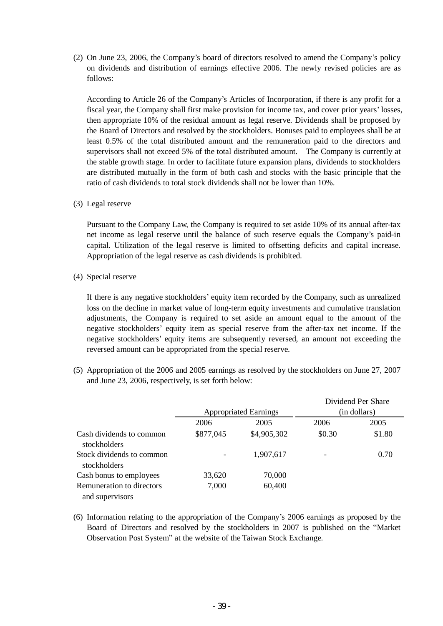(2) On June 23, 2006, the Company's board of directors resolved to amend the Company's policy on dividends and distribution of earnings effective 2006. The newly revised policies are as follows:

According to Article 26 of the Company's Articles of Incorporation, if there is any profit for a fiscal year, the Company shall first make provision for income tax, and cover prior years' losses, then appropriate 10% of the residual amount as legal reserve. Dividends shall be proposed by the Board of Directors and resolved by the stockholders. Bonuses paid to employees shall be at least 0.5% of the total distributed amount and the remuneration paid to the directors and supervisors shall not exceed 5% of the total distributed amount. The Company is currently at the stable growth stage. In order to facilitate future expansion plans, dividends to stockholders are distributed mutually in the form of both cash and stocks with the basic principle that the ratio of cash dividends to total stock dividends shall not be lower than 10%.

(3) Legal reserve

Pursuant to the Company Law, the Company is required to set aside 10% of its annual after-tax net income as legal reserve until the balance of such reserve equals the Company's paid-in capital. Utilization of the legal reserve is limited to offsetting deficits and capital increase. Appropriation of the legal reserve as cash dividends is prohibited.

(4) Special reserve

If there is any negative stockholders' equity item recorded by the Company, such as unrealized loss on the decline in market value of long-term equity investments and cumulative translation adjustments, the Company is required to set aside an amount equal to the amount of the negative stockholders' equity item as special reserve from the after-tax net income. If the negative stockholders' equity items are subsequently reversed, an amount not exceeding the reversed amount can be appropriated from the special reserve.

(5) Appropriation of the 2006 and 2005 earnings as resolved by the stockholders on June 27, 2007 and June 23, 2006, respectively, is set forth below:

|                                              | <b>Appropriated Earnings</b> |             | Dividend Per Share<br>(in dollars) |        |
|----------------------------------------------|------------------------------|-------------|------------------------------------|--------|
|                                              | 2006                         | 2005        | 2006                               | 2005   |
| Cash dividends to common<br>stockholders     | \$877,045                    | \$4,905,302 | \$0.30                             | \$1.80 |
| Stock dividends to common<br>stockholders    |                              | 1,907,617   |                                    | 0.70   |
| Cash bonus to employees                      | 33,620                       | 70,000      |                                    |        |
| Remuneration to directors<br>and supervisors | 7,000                        | 60,400      |                                    |        |

(6) Information relating to the appropriation of the Company's 2006 earnings as proposed by the Board of Directors and resolved by the stockholders in 2007 is published on the "Market Observation Post System" at the website of the Taiwan Stock Exchange.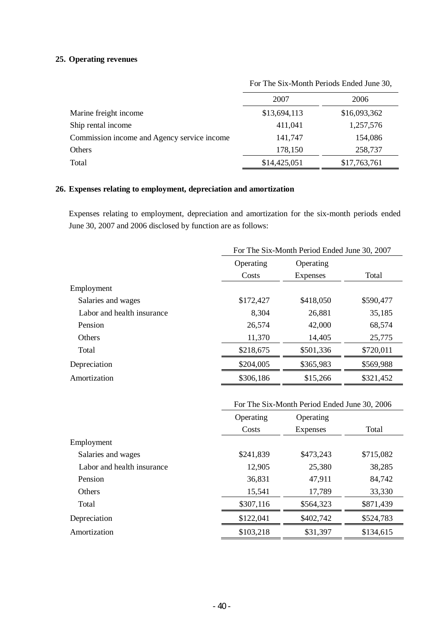# **25. Operating revenues**

|                                             | For The Six-Month Periods Ended June 30, |              |  |
|---------------------------------------------|------------------------------------------|--------------|--|
|                                             | 2007                                     | 2006         |  |
| Marine freight income                       | \$13,694,113                             | \$16,093,362 |  |
| Ship rental income                          | 411,041                                  | 1,257,576    |  |
| Commission income and Agency service income | 141,747                                  | 154,086      |  |
| Others                                      | 178,150                                  | 258,737      |  |
| Total                                       | \$14,425,051                             | \$17,763,761 |  |

# **26. Expenses relating to employment, depreciation and amortization**

Expenses relating to employment, depreciation and amortization for the six-month periods ended June 30, 2007 and 2006 disclosed by function are as follows:

|                            | For The Six-Month Period Ended June 30, 2007 |                 |           |  |
|----------------------------|----------------------------------------------|-----------------|-----------|--|
|                            | Operating                                    | Operating       |           |  |
|                            | Costs                                        | <b>Expenses</b> | Total     |  |
| Employment                 |                                              |                 |           |  |
| Salaries and wages         | \$172,427                                    | \$418,050       | \$590,477 |  |
| Labor and health insurance | 8,304                                        | 26,881          | 35,185    |  |
| Pension                    | 26,574                                       | 42,000          | 68,574    |  |
| <b>Others</b>              | 11,370                                       | 14,405          | 25,775    |  |
| Total                      | \$218,675                                    | \$501,336       | \$720,011 |  |
| Depreciation               | \$204,005                                    | \$365,983       | \$569,988 |  |
| Amortization               | \$306,186                                    | \$15,266        | \$321,452 |  |

|                            | For The Six-Month Period Ended June 30, 2006 |                 |           |  |
|----------------------------|----------------------------------------------|-----------------|-----------|--|
|                            | Operating                                    | Operating       |           |  |
|                            | Costs                                        | <b>Expenses</b> | Total     |  |
| Employment                 |                                              |                 |           |  |
| Salaries and wages         | \$241,839                                    | \$473,243       | \$715,082 |  |
| Labor and health insurance | 12,905                                       | 25,380          | 38,285    |  |
| Pension                    | 36,831                                       | 47,911          | 84,742    |  |
| <b>Others</b>              | 15,541                                       | 17,789          | 33,330    |  |
| Total                      | \$307,116                                    | \$564,323       | \$871,439 |  |
| Depreciation               | \$122,041                                    | \$402,742       | \$524,783 |  |
| Amortization               | \$103,218                                    | \$31,397        | \$134,615 |  |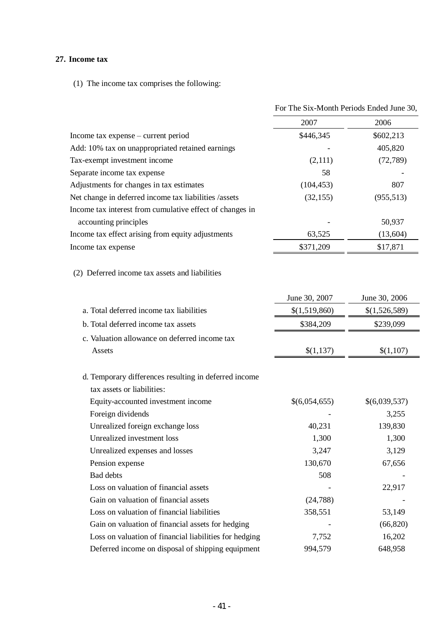# **27. Income tax**

(1) The income tax comprises the following:

|                                                                                     | For The Six-Month Periods Ended June 30, |               |  |
|-------------------------------------------------------------------------------------|------------------------------------------|---------------|--|
|                                                                                     | 2007                                     | 2006          |  |
| Income tax expense – current period                                                 | \$446,345                                | \$602,213     |  |
| Add: 10% tax on unappropriated retained earnings                                    |                                          | 405,820       |  |
| Tax-exempt investment income                                                        | (2,111)                                  | (72, 789)     |  |
| Separate income tax expense                                                         | 58                                       |               |  |
| Adjustments for changes in tax estimates                                            | (104, 453)                               | 807           |  |
| Net change in deferred income tax liabilities /assets                               | (32, 155)                                | (955, 513)    |  |
| Income tax interest from cumulative effect of changes in                            |                                          |               |  |
| accounting principles                                                               |                                          | 50,937        |  |
| Income tax effect arising from equity adjustments                                   | 63,525                                   | (13,604)      |  |
| Income tax expense                                                                  | \$371,209                                | \$17,871      |  |
| (2) Deferred income tax assets and liabilities                                      |                                          |               |  |
|                                                                                     | June 30, 2007                            | June 30, 2006 |  |
| a. Total deferred income tax liabilities                                            | \$(1,519,860)                            | \$(1,526,589) |  |
| b. Total deferred income tax assets                                                 | \$384,209                                | \$239,099     |  |
| c. Valuation allowance on deferred income tax                                       |                                          |               |  |
| Assets                                                                              | \$(1,137)                                | \$(1,107)     |  |
| d. Temporary differences resulting in deferred income<br>tax assets or liabilities: |                                          |               |  |
| Equity-accounted investment income                                                  | \$(6,054,655)                            | \$(6,039,537) |  |
| Foreign dividends                                                                   |                                          | 3,255         |  |
| Unrealized foreign exchange loss                                                    | 40,231                                   | 139,830       |  |
| Unrealized investment loss                                                          | 1,300                                    | 1,300         |  |
| Unrealized expenses and losses                                                      | 3,247                                    | 3,129         |  |
| Pension expense                                                                     | 130,670                                  | 67,656        |  |
| <b>Bad debts</b>                                                                    | 508                                      |               |  |
| Loss on valuation of financial assets                                               |                                          | 22,917        |  |
| Gain on valuation of financial assets                                               | (24,788)                                 |               |  |
| Loss on valuation of financial liabilities                                          | 358,551                                  | 53,149        |  |
| Gain on valuation of financial assets for hedging                                   |                                          | (66, 820)     |  |
| Loss on valuation of financial liabilities for hedging                              | 7,752                                    | 16,202        |  |
| Deferred income on disposal of shipping equipment                                   | 994,579                                  | 648,958       |  |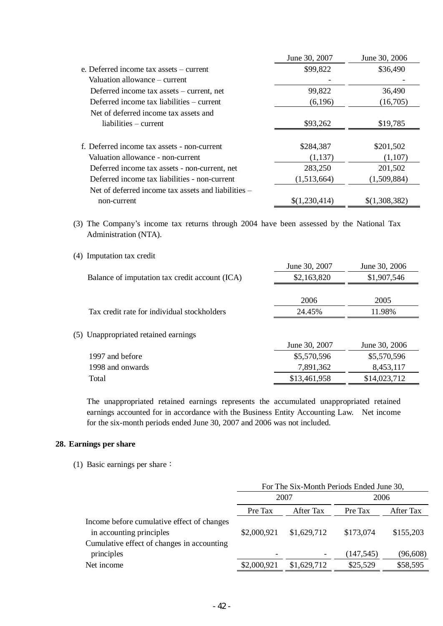|                                                     | June 30, 2007 | June 30, 2006 |
|-----------------------------------------------------|---------------|---------------|
| e. Deferred income tax assets – current             | \$99,822      | \$36,490      |
| Valuation allowance - current                       |               |               |
| Deferred income tax assets – current, net           | 99,822        | 36,490        |
| Deferred income tax liabilities – current           | (6,196)       | (16,705)      |
| Net of deferred income tax assets and               |               |               |
| liabilities – current                               | \$93,262      | \$19,785      |
|                                                     |               |               |
| f. Deferred income tax assets - non-current         | \$284,387     | \$201,502     |
| Valuation allowance - non-current                   | (1, 137)      | (1,107)       |
| Deferred income tax assets - non-current, net       | 283,250       | 201,502       |
| Deferred income tax liabilities - non-current       | (1,513,664)   | (1,509,884)   |
| Net of deferred income tax assets and liabilities – |               |               |
| non-current                                         | \$(1,230,414) | \$(1,308,382) |

(3) The Company's income tax returns through 2004 have been assessed by the National Tax Administration (NTA).

|                                                | June 30, 2007 | June 30, 2006 |
|------------------------------------------------|---------------|---------------|
| Balance of imputation tax credit account (ICA) | \$2,163,820   | \$1,907,546   |
|                                                |               |               |
|                                                | 2006          | 2005          |
| Tax credit rate for individual stockholders    | 24.45%        | 11.98%        |
|                                                |               |               |
| (5) Unappropriated retained earnings           |               |               |
|                                                | June 30, 2007 | June 30, 2006 |
| 1997 and before                                | \$5,570,596   | \$5,570,596   |
| 1998 and onwards                               | 7,891,362     | 8,453,117     |
| Total                                          | \$13,461,958  | \$14,023,712  |

The unappropriated retained earnings represents the accumulated unappropriated retained earnings accounted for in accordance with the Business Entity Accounting Law. Net income for the six-month periods ended June 30, 2007 and 2006 was not included.

### **28. Earnings per share**

(1) Basic earnings per share:

(4) Imputation tax credit

|                                            | For The Six-Month Periods Ended June 30, |             |            |           |
|--------------------------------------------|------------------------------------------|-------------|------------|-----------|
|                                            | 2007                                     |             | 2006       |           |
|                                            | Pre Tax                                  | After Tax   | Pre Tax    | After Tax |
| Income before cumulative effect of changes |                                          |             |            |           |
| in accounting principles                   | \$2,000,921                              | \$1,629,712 | \$173,074  | \$155,203 |
| Cumulative effect of changes in accounting |                                          |             |            |           |
| principles                                 |                                          | -           | (147, 545) | (96, 608) |
| Net income                                 | \$2,000,921                              | \$1,629,712 | \$25,529   | \$58,595  |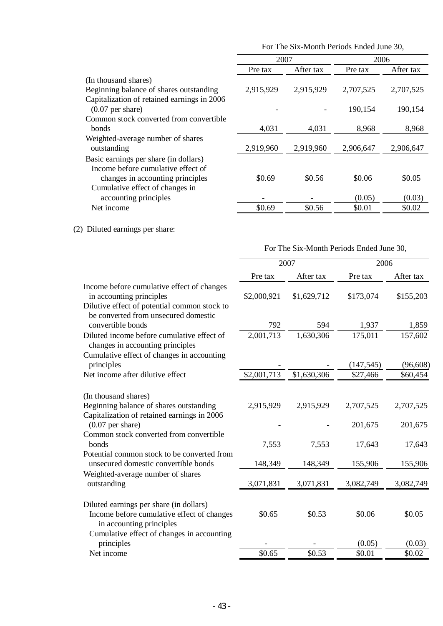|                                             | For The Six-Month Periods Ended June 30, |           |           |           |
|---------------------------------------------|------------------------------------------|-----------|-----------|-----------|
|                                             | 2007                                     |           | 2006      |           |
|                                             | Pre tax                                  | After tax | Pre tax   | After tax |
| (In thousand shares)                        |                                          |           |           |           |
| Beginning balance of shares outstanding     | 2,915,929                                | 2,915,929 | 2,707,525 | 2,707,525 |
| Capitalization of retained earnings in 2006 |                                          |           |           |           |
| $(0.07$ per share)                          |                                          |           | 190,154   | 190,154   |
| Common stock converted from convertible     |                                          |           |           |           |
| <b>bonds</b>                                | 4,031                                    | 4,031     | 8,968     | 8,968     |
| Weighted-average number of shares           |                                          |           |           |           |
| outstanding                                 | 2,919,960                                | 2,919,960 | 2,906,647 | 2,906,647 |
| Basic earnings per share (in dollars)       |                                          |           |           |           |
| Income before cumulative effect of          |                                          |           |           |           |
| changes in accounting principles            | \$0.69                                   | \$0.56    | \$0.06    | \$0.05    |
| Cumulative effect of changes in             |                                          |           |           |           |
| accounting principles                       |                                          |           | (0.05)    | (0.03)    |
| Net income                                  | \$0.69                                   | \$0.56    | \$0.01    | \$0.02    |

(2) Diluted earnings per share:

For The Six-Month Periods Ended June 30,

|                                                                                                                        | 2007        |             | 2006                 |                      |
|------------------------------------------------------------------------------------------------------------------------|-------------|-------------|----------------------|----------------------|
|                                                                                                                        | Pre tax     | After tax   | Pre tax              | After tax            |
| Income before cumulative effect of changes<br>in accounting principles<br>Dilutive effect of potential common stock to | \$2,000,921 | \$1,629,712 | \$173,074            | \$155,203            |
| be converted from unsecured domestic<br>convertible bonds                                                              | 792         | 594         | 1,937                | 1,859                |
| Diluted income before cumulative effect of<br>changes in accounting principles                                         | 2,001,713   | 1,630,306   | 175,011              | 157,602              |
| Cumulative effect of changes in accounting<br>principles                                                               |             |             | (147, 545)           | (96, 608)            |
| Net income after dilutive effect                                                                                       | \$2,001,713 | \$1,630,306 | \$27,466             | \$60,454             |
| (In thousand shares)                                                                                                   |             |             |                      |                      |
| Beginning balance of shares outstanding<br>Capitalization of retained earnings in 2006<br>$(0.07$ per share)           | 2,915,929   | 2,915,929   | 2,707,525<br>201,675 | 2,707,525<br>201,675 |
| Common stock converted from convertible<br>bonds                                                                       | 7,553       | 7,553       | 17,643               | 17,643               |
| Potential common stock to be converted from<br>unsecured domestic convertible bonds                                    | 148,349     | 148,349     | 155,906              | 155,906              |
| Weighted-average number of shares<br>outstanding                                                                       | 3,071,831   | 3,071,831   | 3,082,749            | 3,082,749            |
| Diluted earnings per share (in dollars)<br>Income before cumulative effect of changes<br>in accounting principles      | \$0.65      | \$0.53      | \$0.06               | \$0.05               |
| Cumulative effect of changes in accounting<br>principles                                                               |             |             | (0.05)               | (0.03)               |
| Net income                                                                                                             | \$0.65      | \$0.53      | \$0.01               | \$0.02               |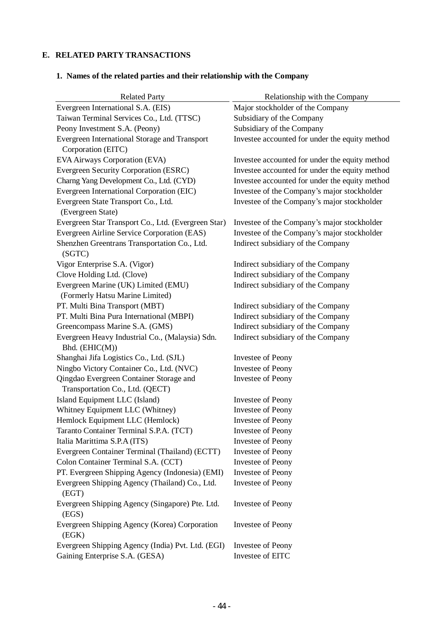# **E. RELATED PARTY TRANSACTIONS**

| <b>Related Party</b>                                              | Relationship with the Company                  |
|-------------------------------------------------------------------|------------------------------------------------|
| Evergreen International S.A. (EIS)                                | Major stockholder of the Company               |
| Taiwan Terminal Services Co., Ltd. (TTSC)                         | Subsidiary of the Company                      |
| Peony Investment S.A. (Peony)                                     | Subsidiary of the Company                      |
| Evergreen International Storage and Transport                     | Investee accounted for under the equity method |
| Corporation (EITC)                                                |                                                |
| EVA Airways Corporation (EVA)                                     | Investee accounted for under the equity method |
| Evergreen Security Corporation (ESRC)                             | Investee accounted for under the equity method |
| Charng Yang Development Co., Ltd. (CYD)                           | Investee accounted for under the equity method |
| Evergreen International Corporation (EIC)                         | Investee of the Company's major stockholder    |
| Evergreen State Transport Co., Ltd.                               | Investee of the Company's major stockholder    |
| (Evergreen State)                                                 |                                                |
| Evergreen Star Transport Co., Ltd. (Evergreen Star)               | Investee of the Company's major stockholder    |
| Evergreen Airline Service Corporation (EAS)                       | Investee of the Company's major stockholder    |
| Shenzhen Greentrans Transportation Co., Ltd.<br>(SGTC)            | Indirect subsidiary of the Company             |
| Vigor Enterprise S.A. (Vigor)                                     | Indirect subsidiary of the Company             |
| Clove Holding Ltd. (Clove)                                        | Indirect subsidiary of the Company             |
| Evergreen Marine (UK) Limited (EMU)                               | Indirect subsidiary of the Company             |
| (Formerly Hatsu Marine Limited)                                   |                                                |
| PT. Multi Bina Transport (MBT)                                    | Indirect subsidiary of the Company             |
| PT. Multi Bina Pura International (MBPI)                          | Indirect subsidiary of the Company             |
| Greencompass Marine S.A. (GMS)                                    | Indirect subsidiary of the Company             |
| Evergreen Heavy Industrial Co., (Malaysia) Sdn.<br>Bhd. (EHIC(M)) | Indirect subsidiary of the Company             |
| Shanghai Jifa Logistics Co., Ltd. (SJL)                           | <b>Investee of Peony</b>                       |
| Ningbo Victory Container Co., Ltd. (NVC)                          | <b>Investee of Peony</b>                       |
| Qingdao Evergreen Container Storage and                           | Investee of Peony                              |
| Transportation Co., Ltd. (QECT)                                   |                                                |
| Island Equipment LLC (Island)                                     | <b>Investee of Peony</b>                       |
| Whitney Equipment LLC (Whitney)                                   | <b>Investee of Peony</b>                       |
| Hemlock Equipment LLC (Hemlock)                                   | <b>Investee of Peony</b>                       |
| Taranto Container Terminal S.P.A. (TCT)                           | <b>Investee of Peony</b>                       |
| Italia Marittima S.P.A (ITS)                                      | <b>Investee of Peony</b>                       |
| Evergreen Container Terminal (Thailand) (ECTT)                    | <b>Investee of Peony</b>                       |
| Colon Container Terminal S.A. (CCT)                               | <b>Investee of Peony</b>                       |
| PT. Evergreen Shipping Agency (Indonesia) (EMI)                   | <b>Investee of Peony</b>                       |
| Evergreen Shipping Agency (Thailand) Co., Ltd.                    | <b>Investee of Peony</b>                       |
| (EGT)                                                             |                                                |
| Evergreen Shipping Agency (Singapore) Pte. Ltd.<br>(EGS)          | Investee of Peony                              |
| Evergreen Shipping Agency (Korea) Corporation<br>(EGK)            | Investee of Peony                              |
| Evergreen Shipping Agency (India) Pvt. Ltd. (EGI)                 | Investee of Peony                              |
| Gaining Enterprise S.A. (GESA)                                    | Investee of EITC                               |

# **1. Names of the related parties and their relationship with the Company**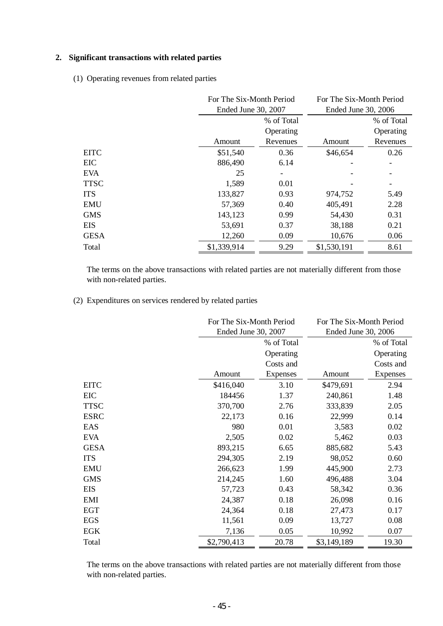# **2. Significant transactions with related parties**

(1) Operating revenues from related parties

|             | For The Six-Month Period<br>Ended June 30, 2007 |            | For The Six-Month Period<br>Ended June 30, 2006 |            |
|-------------|-------------------------------------------------|------------|-------------------------------------------------|------------|
|             |                                                 | % of Total |                                                 | % of Total |
|             |                                                 | Operating  |                                                 | Operating  |
|             | Amount                                          | Revenues   | Amount                                          | Revenues   |
| <b>EITC</b> | \$51,540                                        | 0.36       | \$46,654                                        | 0.26       |
| <b>EIC</b>  | 886,490                                         | 6.14       |                                                 |            |
| <b>EVA</b>  | 25                                              |            |                                                 |            |
| <b>TTSC</b> | 1,589                                           | 0.01       |                                                 |            |
| <b>ITS</b>  | 133,827                                         | 0.93       | 974,752                                         | 5.49       |
| <b>EMU</b>  | 57,369                                          | 0.40       | 405,491                                         | 2.28       |
| <b>GMS</b>  | 143,123                                         | 0.99       | 54,430                                          | 0.31       |
| <b>EIS</b>  | 53,691                                          | 0.37       | 38,188                                          | 0.21       |
| <b>GESA</b> | 12,260                                          | 0.09       | 10,676                                          | 0.06       |
| Total       | \$1,339,914                                     | 9.29       | \$1,530,191                                     | 8.61       |

The terms on the above transactions with related parties are not materially different from those with non-related parties.

(2) Expenditures on services rendered by related parties

|             | For The Six-Month Period |                 | For The Six-Month Period |            |
|-------------|--------------------------|-----------------|--------------------------|------------|
|             | Ended June 30, 2007      |                 | Ended June 30, 2006      |            |
|             |                          | % of Total      |                          | % of Total |
|             |                          | Operating       |                          | Operating  |
|             |                          | Costs and       |                          | Costs and  |
|             | Amount                   | <b>Expenses</b> | Amount                   | Expenses   |
| <b>EITC</b> | \$416,040                | 3.10            | \$479,691                | 2.94       |
| EIC         | 184456                   | 1.37            | 240,861                  | 1.48       |
| <b>TTSC</b> | 370,700                  | 2.76            | 333,839                  | 2.05       |
| <b>ESRC</b> | 22,173                   | 0.16            | 22,999                   | 0.14       |
| EAS         | 980                      | 0.01            | 3,583                    | 0.02       |
| <b>EVA</b>  | 2,505                    | 0.02            | 5,462                    | 0.03       |
| <b>GESA</b> | 893,215                  | 6.65            | 885,682                  | 5.43       |
| <b>ITS</b>  | 294,305                  | 2.19            | 98,052                   | 0.60       |
| <b>EMU</b>  | 266,623                  | 1.99            | 445,900                  | 2.73       |
| <b>GMS</b>  | 214,245                  | 1.60            | 496,488                  | 3.04       |
| <b>EIS</b>  | 57,723                   | 0.43            | 58,342                   | 0.36       |
| EMI         | 24,387                   | 0.18            | 26,098                   | 0.16       |
| <b>EGT</b>  | 24,364                   | 0.18            | 27,473                   | 0.17       |
| <b>EGS</b>  | 11,561                   | 0.09            | 13,727                   | 0.08       |
| EGK         | 7,136                    | 0.05            | 10,992                   | 0.07       |
| Total       | \$2,790,413              | 20.78           | \$3,149,189              | 19.30      |

The terms on the above transactions with related parties are not materially different from those with non-related parties.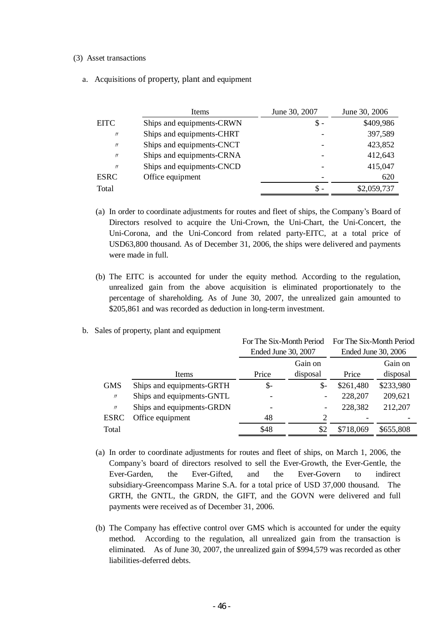#### (3) Asset transactions

a. Acquisitions of property, plant and equipment

|                   | Items                     | June 30, 2007 | June 30, 2006 |
|-------------------|---------------------------|---------------|---------------|
| <b>EITC</b>       | Ships and equipments-CRWN | \$ -          | \$409,986     |
| $\prime$          | Ships and equipments-CHRT |               | 397,589       |
| $^{\prime\prime}$ | Ships and equipments-CNCT |               | 423,852       |
| $\prime$          | Ships and equipments-CRNA |               | 412,643       |
| $^{\prime\prime}$ | Ships and equipments-CNCD |               | 415,047       |
| <b>ESRC</b>       | Office equipment          |               | 620           |
| Total             |                           | S             | \$2,059,737   |

- (a) In order to coordinate adjustments for routes and fleet of ships, the Company's Board of Directors resolved to acquire the Uni-Crown, the Uni-Chart, the Uni-Concert, the Uni-Corona, and the Uni-Concord from related party-EITC, at a total price of USD63,800 thousand. As of December 31, 2006, the ships were delivered and payments were made in full.
- (b) The EITC is accounted for under the equity method. According to the regulation, unrealized gain from the above acquisition is eliminated proportionately to the percentage of shareholding. As of June 30, 2007, the unrealized gain amounted to \$205,861 and was recorded as deduction in long-term investment.
- b. Sales of property, plant and equipment

|                   |                           | For The Six-Month Period |                          | For The Six-Month Period |           |
|-------------------|---------------------------|--------------------------|--------------------------|--------------------------|-----------|
|                   |                           | Ended June 30, 2007      |                          | Ended June 30, 2006      |           |
|                   |                           |                          | Gain on                  |                          | Gain on   |
|                   | Items                     | Price                    | disposal                 | Price                    | disposal  |
| <b>GMS</b>        | Ships and equipments-GRTH | $\frac{1}{2}$            | $\mathbb{S}^-$           | \$261,480                | \$233,980 |
| $^{\prime\prime}$ | Ships and equipments-GNTL | $\overline{\phantom{a}}$ | -                        | 228,207                  | 209,621   |
| $\prime$          | Ships and equipments-GRDN | $\overline{\phantom{a}}$ | $\overline{\phantom{0}}$ | 228,382                  | 212,207   |
| <b>ESRC</b>       | Office equipment          | 48                       | 2                        |                          |           |
| Total             |                           | \$48                     | \$2                      | \$718,069                | \$655,808 |
|                   |                           |                          |                          |                          |           |

- (a) In order to coordinate adjustments for routes and fleet of ships, on March 1, 2006, the Company's board of directors resolved to sell the Ever-Growth, the Ever-Gentle, the Ever-Garden, the Ever-Gifted, and the Ever-Govern to indirect subsidiary-Greencompass Marine S.A. for a total price of USD 37,000 thousand. The GRTH, the GNTL, the GRDN, the GIFT, and the GOVN were delivered and full payments were received as of December 31, 2006.
- (b) The Company has effective control over GMS which is accounted for under the equity method. According to the regulation, all unrealized gain from the transaction is eliminated. As of June 30, 2007, the unrealized gain of \$994,579 was recorded as other liabilities-deferred debts.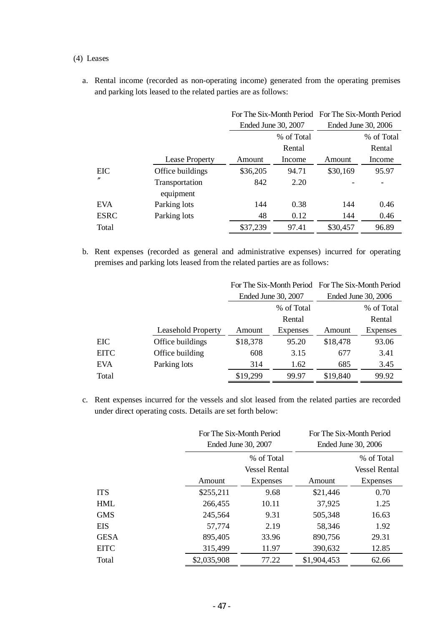### (4) Leases

a. Rental income (recorded as non-operating income) generated from the operating premises and parking lots leased to the related parties are as follows:

|                |                       |          | For The Six-Month Period For The Six-Month Period |          |                     |
|----------------|-----------------------|----------|---------------------------------------------------|----------|---------------------|
|                |                       |          | Ended June 30, 2007                               |          | Ended June 30, 2006 |
|                |                       |          | % of Total                                        |          | % of Total          |
|                |                       |          | Rental                                            |          | Rental              |
|                | <b>Lease Property</b> | Amount   | Income                                            | Amount   | Income              |
| <b>EIC</b>     | Office buildings      | \$36,205 | 94.71                                             | \$30,169 | 95.97               |
| $\prime\prime$ | Transportation        | 842      | 2.20                                              |          |                     |
|                | equipment             |          |                                                   |          |                     |
| <b>EVA</b>     | Parking lots          | 144      | 0.38                                              | 144      | 0.46                |
| <b>ESRC</b>    | Parking lots          | 48       | 0.12                                              | 144      | 0.46                |
| Total          |                       | \$37,239 | 97.41                                             | \$30,457 | 96.89               |

b. Rent expenses (recorded as general and administrative expenses) incurred for operating premises and parking lots leased from the related parties are as follows:

|             |                    |          | For The Six-Month Period For The Six-Month Period |          |                     |
|-------------|--------------------|----------|---------------------------------------------------|----------|---------------------|
|             |                    |          | Ended June 30, 2007                               |          | Ended June 30, 2006 |
|             |                    |          | % of Total                                        |          | % of Total          |
|             |                    |          | Rental                                            |          | Rental              |
|             | Leasehold Property | Amount   | Expenses                                          | Amount   | <b>Expenses</b>     |
| EIC         | Office buildings   | \$18,378 | 95.20                                             | \$18,478 | 93.06               |
| <b>EITC</b> | Office building    | 608      | 3.15                                              | 677      | 3.41                |
| <b>EVA</b>  | Parking lots       | 314      | 1.62                                              | 685      | 3.45                |
| Total       |                    | \$19,299 | 99.97                                             | \$19,840 | 99.92               |

c. Rent expenses incurred for the vessels and slot leased from the related parties are recorded under direct operating costs. Details are set forth below:

|             | For The Six-Month Period<br>Ended June 30, 2007 |                      |             | For The Six-Month Period<br>Ended June 30, 2006 |
|-------------|-------------------------------------------------|----------------------|-------------|-------------------------------------------------|
|             |                                                 | % of Total           |             | % of Total                                      |
|             |                                                 | <b>Vessel Rental</b> |             | <b>Vessel Rental</b>                            |
|             | Amount                                          | Expenses             | Amount      | <b>Expenses</b>                                 |
| <b>ITS</b>  | \$255,211                                       | 9.68                 | \$21,446    | 0.70                                            |
| <b>HML</b>  | 266,455                                         | 10.11                | 37,925      | 1.25                                            |
| <b>GMS</b>  | 245,564                                         | 9.31                 | 505,348     | 16.63                                           |
| <b>EIS</b>  | 57,774                                          | 2.19                 | 58,346      | 1.92                                            |
| <b>GESA</b> | 895,405                                         | 33.96                | 890,756     | 29.31                                           |
| <b>EITC</b> | 315,499                                         | 11.97                | 390,632     | 12.85                                           |
| Total       | \$2,035,908                                     | 77.22                | \$1,904,453 | 62.66                                           |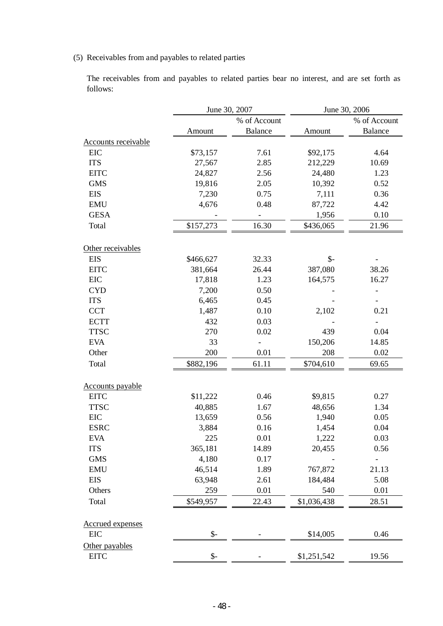(5) Receivables from and payables to related parties

The receivables from and payables to related parties bear no interest, and are set forth as follows:

| % of Account<br>% of Account<br><b>Balance</b><br><b>Balance</b><br>Amount<br>Amount<br><b>Accounts receivable</b><br><b>EIC</b><br>\$73,157<br>7.61<br>\$92,175<br>4.64<br><b>ITS</b><br>27,567<br>2.85<br>212,229<br>10.69<br><b>EITC</b><br>24,827<br>24,480<br>1.23<br>2.56<br><b>GMS</b><br>2.05<br>19,816<br>10,392<br>0.52<br><b>EIS</b><br>7,230<br>0.36<br>0.75<br>7,111<br><b>EMU</b><br>4,676<br>0.48<br>87,722<br>4.42<br><b>GESA</b><br>0.10<br>1,956<br>16.30<br>\$436,065<br>Total<br>\$157,273<br>21.96<br>Other receivables<br>$\mathcal{S}$ -<br><b>EIS</b><br>\$466,627<br>32.33<br><b>EITC</b><br>381,664<br>26.44<br>387,080<br>38.26<br>EIC<br>17,818<br>164,575<br>1.23<br>16.27<br><b>CYD</b><br>7,200<br>0.50<br><b>ITS</b><br>6,465<br>0.45<br>1,487<br>0.10<br>0.21<br><b>CCT</b><br>2,102<br><b>ECTT</b><br>432<br>0.03<br><b>TTSC</b><br>270<br>0.02<br>439<br>0.04<br>150,206<br><b>EVA</b><br>33<br>14.85<br>200<br>0.01<br>Other<br>208<br>0.02<br>Total<br>\$882,196<br>61.11<br>\$704,610<br>69.65<br><b>Accounts payable</b><br><b>EITC</b><br>\$9,815<br>\$11,222<br>0.46<br>0.27<br><b>TTSC</b><br>40,885<br>1.67<br>48,656<br>1.34<br>EIC<br>13,659<br>1,940<br>0.05<br>0.56<br><b>ESRC</b><br>3,884<br>0.16<br>0.04<br>1,454<br>1,222<br>EVA<br>225<br>0.01<br>0.03<br><b>ITS</b><br>365,181<br>20,455<br>0.56<br>14.89<br><b>GMS</b><br>4,180<br>0.17<br>46,514<br>767,872<br><b>EMU</b><br>1.89<br>21.13<br><b>EIS</b><br>184,484<br>63,948<br>2.61<br>5.08<br>Others<br>259<br>0.01<br>540<br>0.01<br>Total<br>\$549,957<br>22.43<br>\$1,036,438<br>28.51<br>Accrued expenses<br>$\mathcal{S}$ -<br>0.46<br><b>EIC</b><br>\$14,005<br>Other payables |             | June 30, 2007   |  | June 30, 2006 |       |  |
|------------------------------------------------------------------------------------------------------------------------------------------------------------------------------------------------------------------------------------------------------------------------------------------------------------------------------------------------------------------------------------------------------------------------------------------------------------------------------------------------------------------------------------------------------------------------------------------------------------------------------------------------------------------------------------------------------------------------------------------------------------------------------------------------------------------------------------------------------------------------------------------------------------------------------------------------------------------------------------------------------------------------------------------------------------------------------------------------------------------------------------------------------------------------------------------------------------------------------------------------------------------------------------------------------------------------------------------------------------------------------------------------------------------------------------------------------------------------------------------------------------------------------------------------------------------------------------------------------------------------------------------------------------------------------------------------|-------------|-----------------|--|---------------|-------|--|
|                                                                                                                                                                                                                                                                                                                                                                                                                                                                                                                                                                                                                                                                                                                                                                                                                                                                                                                                                                                                                                                                                                                                                                                                                                                                                                                                                                                                                                                                                                                                                                                                                                                                                                |             |                 |  |               |       |  |
|                                                                                                                                                                                                                                                                                                                                                                                                                                                                                                                                                                                                                                                                                                                                                                                                                                                                                                                                                                                                                                                                                                                                                                                                                                                                                                                                                                                                                                                                                                                                                                                                                                                                                                |             |                 |  |               |       |  |
|                                                                                                                                                                                                                                                                                                                                                                                                                                                                                                                                                                                                                                                                                                                                                                                                                                                                                                                                                                                                                                                                                                                                                                                                                                                                                                                                                                                                                                                                                                                                                                                                                                                                                                |             |                 |  |               |       |  |
|                                                                                                                                                                                                                                                                                                                                                                                                                                                                                                                                                                                                                                                                                                                                                                                                                                                                                                                                                                                                                                                                                                                                                                                                                                                                                                                                                                                                                                                                                                                                                                                                                                                                                                |             |                 |  |               |       |  |
|                                                                                                                                                                                                                                                                                                                                                                                                                                                                                                                                                                                                                                                                                                                                                                                                                                                                                                                                                                                                                                                                                                                                                                                                                                                                                                                                                                                                                                                                                                                                                                                                                                                                                                |             |                 |  |               |       |  |
|                                                                                                                                                                                                                                                                                                                                                                                                                                                                                                                                                                                                                                                                                                                                                                                                                                                                                                                                                                                                                                                                                                                                                                                                                                                                                                                                                                                                                                                                                                                                                                                                                                                                                                |             |                 |  |               |       |  |
|                                                                                                                                                                                                                                                                                                                                                                                                                                                                                                                                                                                                                                                                                                                                                                                                                                                                                                                                                                                                                                                                                                                                                                                                                                                                                                                                                                                                                                                                                                                                                                                                                                                                                                |             |                 |  |               |       |  |
|                                                                                                                                                                                                                                                                                                                                                                                                                                                                                                                                                                                                                                                                                                                                                                                                                                                                                                                                                                                                                                                                                                                                                                                                                                                                                                                                                                                                                                                                                                                                                                                                                                                                                                |             |                 |  |               |       |  |
|                                                                                                                                                                                                                                                                                                                                                                                                                                                                                                                                                                                                                                                                                                                                                                                                                                                                                                                                                                                                                                                                                                                                                                                                                                                                                                                                                                                                                                                                                                                                                                                                                                                                                                |             |                 |  |               |       |  |
|                                                                                                                                                                                                                                                                                                                                                                                                                                                                                                                                                                                                                                                                                                                                                                                                                                                                                                                                                                                                                                                                                                                                                                                                                                                                                                                                                                                                                                                                                                                                                                                                                                                                                                |             |                 |  |               |       |  |
|                                                                                                                                                                                                                                                                                                                                                                                                                                                                                                                                                                                                                                                                                                                                                                                                                                                                                                                                                                                                                                                                                                                                                                                                                                                                                                                                                                                                                                                                                                                                                                                                                                                                                                |             |                 |  |               |       |  |
|                                                                                                                                                                                                                                                                                                                                                                                                                                                                                                                                                                                                                                                                                                                                                                                                                                                                                                                                                                                                                                                                                                                                                                                                                                                                                                                                                                                                                                                                                                                                                                                                                                                                                                |             |                 |  |               |       |  |
|                                                                                                                                                                                                                                                                                                                                                                                                                                                                                                                                                                                                                                                                                                                                                                                                                                                                                                                                                                                                                                                                                                                                                                                                                                                                                                                                                                                                                                                                                                                                                                                                                                                                                                |             |                 |  |               |       |  |
|                                                                                                                                                                                                                                                                                                                                                                                                                                                                                                                                                                                                                                                                                                                                                                                                                                                                                                                                                                                                                                                                                                                                                                                                                                                                                                                                                                                                                                                                                                                                                                                                                                                                                                |             |                 |  |               |       |  |
|                                                                                                                                                                                                                                                                                                                                                                                                                                                                                                                                                                                                                                                                                                                                                                                                                                                                                                                                                                                                                                                                                                                                                                                                                                                                                                                                                                                                                                                                                                                                                                                                                                                                                                |             |                 |  |               |       |  |
|                                                                                                                                                                                                                                                                                                                                                                                                                                                                                                                                                                                                                                                                                                                                                                                                                                                                                                                                                                                                                                                                                                                                                                                                                                                                                                                                                                                                                                                                                                                                                                                                                                                                                                |             |                 |  |               |       |  |
|                                                                                                                                                                                                                                                                                                                                                                                                                                                                                                                                                                                                                                                                                                                                                                                                                                                                                                                                                                                                                                                                                                                                                                                                                                                                                                                                                                                                                                                                                                                                                                                                                                                                                                |             |                 |  |               |       |  |
|                                                                                                                                                                                                                                                                                                                                                                                                                                                                                                                                                                                                                                                                                                                                                                                                                                                                                                                                                                                                                                                                                                                                                                                                                                                                                                                                                                                                                                                                                                                                                                                                                                                                                                |             |                 |  |               |       |  |
|                                                                                                                                                                                                                                                                                                                                                                                                                                                                                                                                                                                                                                                                                                                                                                                                                                                                                                                                                                                                                                                                                                                                                                                                                                                                                                                                                                                                                                                                                                                                                                                                                                                                                                |             |                 |  |               |       |  |
|                                                                                                                                                                                                                                                                                                                                                                                                                                                                                                                                                                                                                                                                                                                                                                                                                                                                                                                                                                                                                                                                                                                                                                                                                                                                                                                                                                                                                                                                                                                                                                                                                                                                                                |             |                 |  |               |       |  |
|                                                                                                                                                                                                                                                                                                                                                                                                                                                                                                                                                                                                                                                                                                                                                                                                                                                                                                                                                                                                                                                                                                                                                                                                                                                                                                                                                                                                                                                                                                                                                                                                                                                                                                |             |                 |  |               |       |  |
|                                                                                                                                                                                                                                                                                                                                                                                                                                                                                                                                                                                                                                                                                                                                                                                                                                                                                                                                                                                                                                                                                                                                                                                                                                                                                                                                                                                                                                                                                                                                                                                                                                                                                                |             |                 |  |               |       |  |
|                                                                                                                                                                                                                                                                                                                                                                                                                                                                                                                                                                                                                                                                                                                                                                                                                                                                                                                                                                                                                                                                                                                                                                                                                                                                                                                                                                                                                                                                                                                                                                                                                                                                                                |             |                 |  |               |       |  |
|                                                                                                                                                                                                                                                                                                                                                                                                                                                                                                                                                                                                                                                                                                                                                                                                                                                                                                                                                                                                                                                                                                                                                                                                                                                                                                                                                                                                                                                                                                                                                                                                                                                                                                |             |                 |  |               |       |  |
|                                                                                                                                                                                                                                                                                                                                                                                                                                                                                                                                                                                                                                                                                                                                                                                                                                                                                                                                                                                                                                                                                                                                                                                                                                                                                                                                                                                                                                                                                                                                                                                                                                                                                                |             |                 |  |               |       |  |
|                                                                                                                                                                                                                                                                                                                                                                                                                                                                                                                                                                                                                                                                                                                                                                                                                                                                                                                                                                                                                                                                                                                                                                                                                                                                                                                                                                                                                                                                                                                                                                                                                                                                                                |             |                 |  |               |       |  |
|                                                                                                                                                                                                                                                                                                                                                                                                                                                                                                                                                                                                                                                                                                                                                                                                                                                                                                                                                                                                                                                                                                                                                                                                                                                                                                                                                                                                                                                                                                                                                                                                                                                                                                |             |                 |  |               |       |  |
|                                                                                                                                                                                                                                                                                                                                                                                                                                                                                                                                                                                                                                                                                                                                                                                                                                                                                                                                                                                                                                                                                                                                                                                                                                                                                                                                                                                                                                                                                                                                                                                                                                                                                                |             |                 |  |               |       |  |
|                                                                                                                                                                                                                                                                                                                                                                                                                                                                                                                                                                                                                                                                                                                                                                                                                                                                                                                                                                                                                                                                                                                                                                                                                                                                                                                                                                                                                                                                                                                                                                                                                                                                                                |             |                 |  |               |       |  |
|                                                                                                                                                                                                                                                                                                                                                                                                                                                                                                                                                                                                                                                                                                                                                                                                                                                                                                                                                                                                                                                                                                                                                                                                                                                                                                                                                                                                                                                                                                                                                                                                                                                                                                |             |                 |  |               |       |  |
|                                                                                                                                                                                                                                                                                                                                                                                                                                                                                                                                                                                                                                                                                                                                                                                                                                                                                                                                                                                                                                                                                                                                                                                                                                                                                                                                                                                                                                                                                                                                                                                                                                                                                                |             |                 |  |               |       |  |
|                                                                                                                                                                                                                                                                                                                                                                                                                                                                                                                                                                                                                                                                                                                                                                                                                                                                                                                                                                                                                                                                                                                                                                                                                                                                                                                                                                                                                                                                                                                                                                                                                                                                                                |             |                 |  |               |       |  |
|                                                                                                                                                                                                                                                                                                                                                                                                                                                                                                                                                                                                                                                                                                                                                                                                                                                                                                                                                                                                                                                                                                                                                                                                                                                                                                                                                                                                                                                                                                                                                                                                                                                                                                |             |                 |  |               |       |  |
|                                                                                                                                                                                                                                                                                                                                                                                                                                                                                                                                                                                                                                                                                                                                                                                                                                                                                                                                                                                                                                                                                                                                                                                                                                                                                                                                                                                                                                                                                                                                                                                                                                                                                                |             |                 |  |               |       |  |
|                                                                                                                                                                                                                                                                                                                                                                                                                                                                                                                                                                                                                                                                                                                                                                                                                                                                                                                                                                                                                                                                                                                                                                                                                                                                                                                                                                                                                                                                                                                                                                                                                                                                                                |             |                 |  |               |       |  |
|                                                                                                                                                                                                                                                                                                                                                                                                                                                                                                                                                                                                                                                                                                                                                                                                                                                                                                                                                                                                                                                                                                                                                                                                                                                                                                                                                                                                                                                                                                                                                                                                                                                                                                |             |                 |  |               |       |  |
|                                                                                                                                                                                                                                                                                                                                                                                                                                                                                                                                                                                                                                                                                                                                                                                                                                                                                                                                                                                                                                                                                                                                                                                                                                                                                                                                                                                                                                                                                                                                                                                                                                                                                                |             |                 |  |               |       |  |
|                                                                                                                                                                                                                                                                                                                                                                                                                                                                                                                                                                                                                                                                                                                                                                                                                                                                                                                                                                                                                                                                                                                                                                                                                                                                                                                                                                                                                                                                                                                                                                                                                                                                                                |             |                 |  |               |       |  |
|                                                                                                                                                                                                                                                                                                                                                                                                                                                                                                                                                                                                                                                                                                                                                                                                                                                                                                                                                                                                                                                                                                                                                                                                                                                                                                                                                                                                                                                                                                                                                                                                                                                                                                |             |                 |  |               |       |  |
|                                                                                                                                                                                                                                                                                                                                                                                                                                                                                                                                                                                                                                                                                                                                                                                                                                                                                                                                                                                                                                                                                                                                                                                                                                                                                                                                                                                                                                                                                                                                                                                                                                                                                                | <b>EITC</b> | $\mathcal{S}$ - |  | \$1,251,542   | 19.56 |  |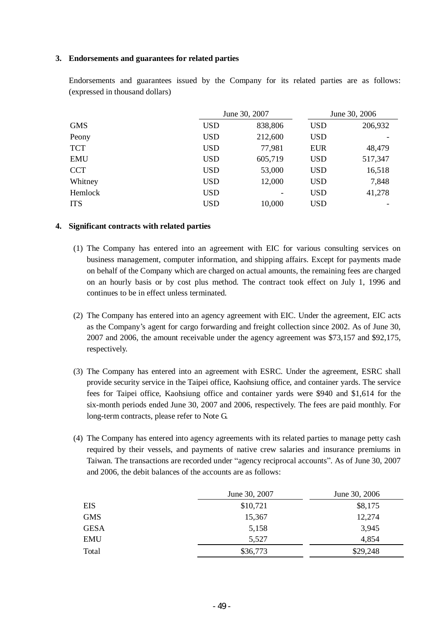## **3. Endorsements and guarantees for related parties**

|                |            | June 30, 2007 |            | June 30, 2006 |
|----------------|------------|---------------|------------|---------------|
| <b>GMS</b>     | <b>USD</b> | 838,806       | <b>USD</b> | 206,932       |
| Peony          | <b>USD</b> | 212,600       | <b>USD</b> |               |
| <b>TCT</b>     | <b>USD</b> | 77,981        | <b>EUR</b> | 48,479        |
| <b>EMU</b>     | <b>USD</b> | 605,719       | <b>USD</b> | 517,347       |
| <b>CCT</b>     | <b>USD</b> | 53,000        | <b>USD</b> | 16,518        |
| Whitney        | <b>USD</b> | 12,000        | <b>USD</b> | 7,848         |
| <b>Hemlock</b> | <b>USD</b> |               | <b>USD</b> | 41,278        |
| <b>ITS</b>     | <b>USD</b> | 10,000        | <b>USD</b> |               |

Endorsements and guarantees issued by the Company for its related parties are as follows: (expressed in thousand dollars)

## **4. Significant contracts with related parties**

- (1) The Company has entered into an agreement with EIC for various consulting services on business management, computer information, and shipping affairs. Except for payments made on behalf of the Company which are charged on actual amounts, the remaining fees are charged on an hourly basis or by cost plus method. The contract took effect on July 1, 1996 and continues to be in effect unless terminated.
- (2) The Company has entered into an agency agreement with EIC. Under the agreement, EIC acts as the Company's agent for cargo forwarding and freight collection since 2002. As of June 30, 2007 and 2006, the amount receivable under the agency agreement was \$73,157 and \$92,175, respectively.
- (3) The Company has entered into an agreement with ESRC. Under the agreement, ESRC shall provide security service in the Taipei office, Kaohsiung office, and container yards. The service fees for Taipei office, Kaohsiung office and container yards were \$940 and \$1,614 for the six-month periods ended June 30, 2007 and 2006, respectively. The fees are paid monthly. For long-term contracts, please refer to Note G.
- (4) The Company has entered into agency agreements with its related parties to manage petty cash required by their vessels, and payments of native crew salaries and insurance premiums in Taiwan. The transactions are recorded under "agency reciprocal accounts". As of June 30, 2007 and 2006, the debit balances of the accounts are as follows:

|             | June 30, 2007 | June 30, 2006 |
|-------------|---------------|---------------|
| <b>EIS</b>  | \$10,721      | \$8,175       |
| <b>GMS</b>  | 15,367        | 12,274        |
| <b>GESA</b> | 5,158         | 3,945         |
| <b>EMU</b>  | 5,527         | 4,854         |
| Total       | \$36,773      | \$29,248      |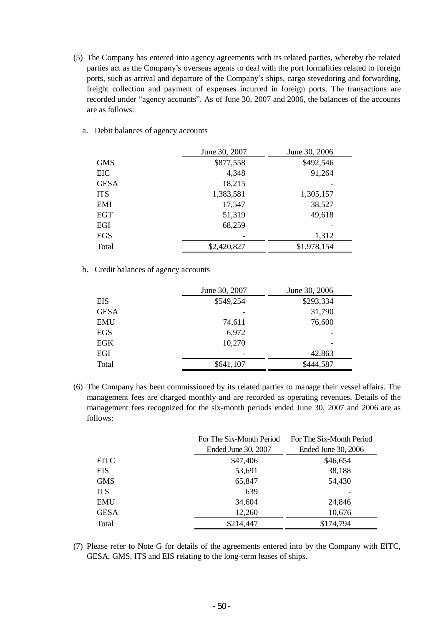(5) The Company has entered into agency agreements with its related parties, whereby the related parties act as the Company's overseas agents to deal with the port formalities related to foreign ports, such as arrival and departure of the Company's ships, cargo stevedoring and forwarding, freight collection and payment of expenses incurred in foreign ports. The transactions are recorded under "agency accounts". As of June 30, 2007 and 2006, the balances of the accounts are as follows:

|             | June 30, 2007 | June 30, 2006 |
|-------------|---------------|---------------|
| <b>GMS</b>  | \$877,558     | \$492,546     |
| EIC         | 4,348         | 91,264        |
| <b>GESA</b> | 18,215        |               |
| <b>ITS</b>  | 1,383,581     | 1,305,157     |
| EMI         | 17,547        | 38,527        |
| EGT         | 51,319        | 49,618        |
| EGI         | 68,259        |               |
| <b>EGS</b>  |               | 1,312         |
| Total       | \$2,420,827   | \$1,978,154   |

a. Debit balances of agency accounts

b. Credit balances of agency accounts

|             | June 30, 2007 | June 30, 2006 |
|-------------|---------------|---------------|
| EIS         | \$549,254     | \$293,334     |
| <b>GESA</b> |               | 31,790        |
| <b>EMU</b>  | 74,611        | 76,600        |
| <b>EGS</b>  | 6,972         |               |
| EGK         | 10,270        |               |
| EGI         |               | 42,863        |
| Total       | \$641,107     | \$444,587     |

(6) The Company has been commissioned by its related parties to manage their vessel affairs. The management fees are charged monthly and are recorded as operating revenues. Details of the management fees recognized for the six-month periods ended June 30, 2007 and 2006 are as follows:

|             | For The Six-Month Period | For The Six-Month Period |
|-------------|--------------------------|--------------------------|
|             | Ended June 30, 2007      | Ended June 30, 2006      |
| <b>EITC</b> | \$47,406                 | \$46,654                 |
| <b>EIS</b>  | 53,691                   | 38,188                   |
| <b>GMS</b>  | 65,847                   | 54,430                   |
| <b>ITS</b>  | 639                      |                          |
| <b>EMU</b>  | 34,604                   | 24,846                   |
| <b>GESA</b> | 12,260                   | 10,676                   |
| Total       | \$214,447                | \$174,794                |

(7) Please refer to Note G for details of the agreements entered into by the Company with EITC, GESA, GMS, ITS and EIS relating to the long-term leases of ships.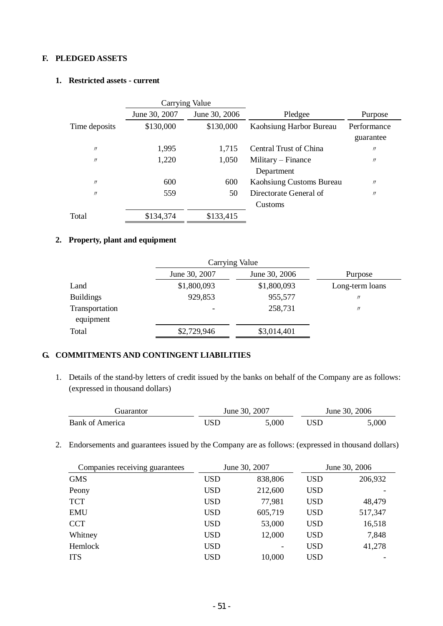# **F. PLEDGED ASSETS**

## **1. Restricted assets - current**

|                   |               | Carrying Value |                                  |                   |
|-------------------|---------------|----------------|----------------------------------|-------------------|
|                   | June 30, 2007 | June 30, 2006  | Pledgee                          | Purpose           |
| Time deposits     | \$130,000     | \$130,000      | Kaohsiung Harbor Bureau          | Performance       |
|                   |               |                |                                  | guarantee         |
| $^{\prime\prime}$ | 1,995         | 1,715          | Central Trust of China           | $^{\prime\prime}$ |
| $^{\prime\prime}$ | 1,220         | 1,050          | Military – Finance<br>Department | $^{\prime\prime}$ |
| $^{\prime\prime}$ | 600           | 600            | Kaohsiung Customs Bureau         | $^{\prime\prime}$ |
| $^{\prime\prime}$ | 559           | 50             | Directorate General of           | $^{\prime\prime}$ |
|                   |               |                | Customs                          |                   |
| Total             | \$134,374     | \$133,415      |                                  |                   |

## **2. Property, plant and equipment**

|                             | Carrying Value |               |                   |
|-----------------------------|----------------|---------------|-------------------|
|                             | June 30, 2007  | June 30, 2006 | Purpose           |
| Land                        | \$1,800,093    | \$1,800,093   | Long-term loans   |
| <b>Buildings</b>            | 929,853        | 955,577       | $^{\prime\prime}$ |
| Transportation<br>equipment | -              | 258,731       | $^{\prime\prime}$ |
| Total                       | \$2,729,946    | \$3,014,401   |                   |

# **G. COMMITMENTS AND CONTINGENT LIABILITIES**

1. Details of the stand-by letters of credit issued by the banks on behalf of the Company are as follows: (expressed in thousand dollars)

| . iuarantor            | June 30, 2007 |       | June 30, 2006 |
|------------------------|---------------|-------|---------------|
| <b>Bank of America</b> | JSD           | 5,000 | 5,000         |

2. Endorsements and guarantees issued by the Company are as follows: (expressed in thousand dollars)

| Companies receiving guarantees |            | June 30, 2007 |            | June 30, 2006 |
|--------------------------------|------------|---------------|------------|---------------|
| <b>GMS</b>                     | <b>USD</b> | 838,806       | <b>USD</b> | 206,932       |
| Peony                          | USD        | 212,600       | <b>USD</b> |               |
| <b>TCT</b>                     | USD        | 77,981        | <b>USD</b> | 48,479        |
| <b>EMU</b>                     | <b>USD</b> | 605,719       | <b>USD</b> | 517,347       |
| <b>CCT</b>                     | <b>USD</b> | 53,000        | <b>USD</b> | 16,518        |
| Whitney                        | <b>USD</b> | 12,000        | <b>USD</b> | 7,848         |
| <b>Hemlock</b>                 | USD        |               | <b>USD</b> | 41,278        |
| <b>ITS</b>                     | USD        | 10,000        | USD        |               |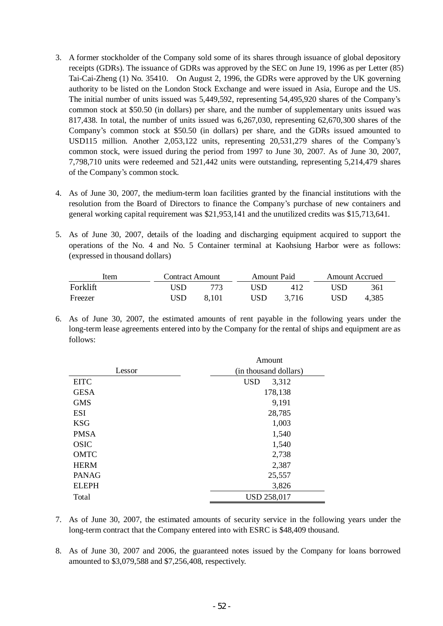- 3. A former stockholder of the Company sold some of its shares through issuance of global depository receipts (GDRs). The issuance of GDRs was approved by the SEC on June 19, 1996 as per Letter (85) Tai-Cai-Zheng (1) No. 35410. On August 2, 1996, the GDRs were approved by the UK governing authority to be listed on the London Stock Exchange and were issued in Asia, Europe and the US. The initial number of units issued was 5,449,592, representing 54,495,920 shares of the Company's common stock at \$50.50 (in dollars) per share, and the number of supplementary units issued was 817,438. In total, the number of units issued was 6,267,030, representing 62,670,300 shares of the Company's common stock at \$50.50 (in dollars) per share, and the GDRs issued amounted to USD115 million. Another 2,053,122 units, representing 20,531,279 shares of the Company's common stock, were issued during the period from 1997 to June 30, 2007. As of June 30, 2007, 7,798,710 units were redeemed and 521,442 units were outstanding, representing 5,214,479 shares of the Company's common stock.
- 4. As of June 30, 2007, the medium-term loan facilities granted by the financial institutions with the resolution from the Board of Directors to finance the Company's purchase of new containers and general working capital requirement was \$21,953,141 and the unutilized credits was \$15,713,641.
- 5. As of June 30, 2007, details of the loading and discharging equipment acquired to support the operations of the No. 4 and No. 5 Container terminal at Kaohsiung Harbor were as follows: (expressed in thousand dollars)

| Item     | <b>Contract Amount</b> |       | <b>Amount Paid</b> |       | <b>Amount Accrued</b> |       |
|----------|------------------------|-------|--------------------|-------|-----------------------|-------|
| Forklift | ISD                    | 773   | USD                | 412   | ISD                   | 361   |
| Freezer  | USD                    | 8.101 | USD                | 3.716 | USD                   | 4.385 |

6. As of June 30, 2007, the estimated amounts of rent payable in the following years under the long-term lease agreements entered into by the Company for the rental of ships and equipment are as follows:

|              | Amount                |
|--------------|-----------------------|
| Lessor       | (in thousand dollars) |
| <b>EITC</b>  | <b>USD</b><br>3,312   |
| <b>GESA</b>  | 178,138               |
| <b>GMS</b>   | 9,191                 |
| <b>ESI</b>   | 28,785                |
| <b>KSG</b>   | 1,003                 |
| <b>PMSA</b>  | 1,540                 |
| <b>OSIC</b>  | 1,540                 |
| <b>OMTC</b>  | 2,738                 |
| <b>HERM</b>  | 2,387                 |
| <b>PANAG</b> | 25,557                |
| <b>ELEPH</b> | 3,826                 |
| Total        | <b>USD 258,017</b>    |

- 7. As of June 30, 2007, the estimated amounts of security service in the following years under the long-term contract that the Company entered into with ESRC is \$48,409 thousand.
- 8. As of June 30, 2007 and 2006, the guaranteed notes issued by the Company for loans borrowed amounted to \$3,079,588 and \$7,256,408, respectively.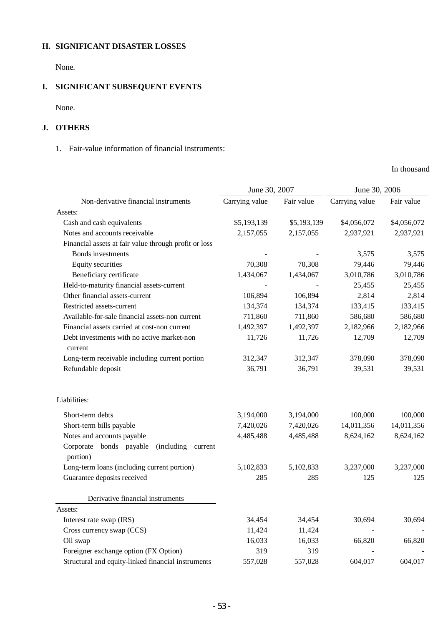# **H. SIGNIFICANT DISASTER LOSSES**

None.

# **I. SIGNIFICANT SUBSEQUENT EVENTS**

None.

# **J. OTHERS**

## 1. Fair-value information of financial instruments:

In thousand

|                                                               | June 30, 2007  |             | June 30, 2006  |             |
|---------------------------------------------------------------|----------------|-------------|----------------|-------------|
| Non-derivative financial instruments                          | Carrying value | Fair value  | Carrying value | Fair value  |
| Assets:                                                       |                |             |                |             |
| Cash and cash equivalents                                     | \$5,193,139    | \$5,193,139 | \$4,056,072    | \$4,056,072 |
| Notes and accounts receivable                                 | 2,157,055      | 2,157,055   | 2,937,921      | 2,937,921   |
| Financial assets at fair value through profit or loss         |                |             |                |             |
| Bonds investments                                             |                |             | 3,575          | 3,575       |
| <b>Equity securities</b>                                      | 70,308         | 70,308      | 79,446         | 79,446      |
| Beneficiary certificate                                       | 1,434,067      | 1,434,067   | 3,010,786      | 3,010,786   |
| Held-to-maturity financial assets-current                     |                |             | 25,455         | 25,455      |
| Other financial assets-current                                | 106,894        | 106,894     | 2,814          | 2,814       |
| Restricted assets-current                                     | 134,374        | 134,374     | 133,415        | 133,415     |
| Available-for-sale financial assets-non current               | 711,860        | 711,860     | 586,680        | 586,680     |
| Financial assets carried at cost-non current                  | 1,492,397      | 1,492,397   | 2,182,966      | 2,182,966   |
| Debt investments with no active market-non<br>current         | 11,726         | 11,726      | 12,709         | 12,709      |
| Long-term receivable including current portion                | 312,347        | 312,347     | 378,090        | 378,090     |
| Refundable deposit                                            | 36,791         | 36,791      | 39,531         | 39,531      |
| Liabilities:                                                  |                |             |                |             |
| Short-term debts                                              | 3,194,000      | 3,194,000   | 100,000        | 100,000     |
| Short-term bills payable                                      | 7,420,026      | 7,420,026   | 14,011,356     | 14,011,356  |
| Notes and accounts payable                                    | 4,485,488      | 4,485,488   | 8,624,162      | 8,624,162   |
| Corporate bonds payable<br>(including)<br>current<br>portion) |                |             |                |             |
| Long-term loans (including current portion)                   | 5,102,833      | 5,102,833   | 3,237,000      | 3,237,000   |
| Guarantee deposits received                                   | 285            | 285         | 125            | 125         |
| Derivative financial instruments                              |                |             |                |             |
| Assets:                                                       |                |             |                |             |
| Interest rate swap (IRS)                                      | 34,454         | 34,454      | 30,694         | 30,694      |
| Cross currency swap (CCS)                                     | 11,424         | 11,424      |                |             |
| Oil swap                                                      | 16,033         | 16,033      | 66,820         | 66,820      |
| Foreigner exchange option (FX Option)                         | 319            | 319         |                |             |
| Structural and equity-linked financial instruments            | 557,028        | 557,028     | 604,017        | 604,017     |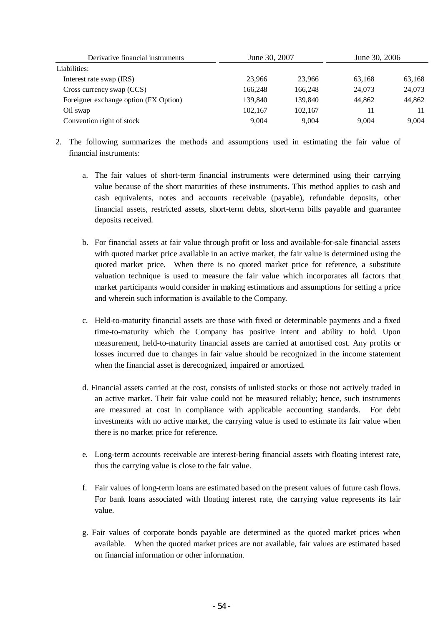| Derivative financial instruments      | June 30, 2007 |         | June 30, 2006 |        |
|---------------------------------------|---------------|---------|---------------|--------|
| Liabilities:                          |               |         |               |        |
| Interest rate swap (IRS)              | 23.966        | 23,966  | 63,168        | 63,168 |
| Cross currency swap (CCS)             | 166,248       | 166.248 | 24,073        | 24,073 |
| Foreigner exchange option (FX Option) | 139,840       | 139.840 | 44.862        | 44,862 |
| Oil swap                              | 102,167       | 102.167 | 11            | 11     |
| Convention right of stock             | 9.004         | 9.004   | 9.004         | 9.004  |

- 2. The following summarizes the methods and assumptions used in estimating the fair value of financial instruments:
	- a. The fair values of short-term financial instruments were determined using their carrying value because of the short maturities of these instruments. This method applies to cash and cash equivalents, notes and accounts receivable (payable), refundable deposits, other financial assets, restricted assets, short-term debts, short-term bills payable and guarantee deposits received.
	- b. For financial assets at fair value through profit or loss and available-for-sale financial assets with quoted market price available in an active market, the fair value is determined using the quoted market price. When there is no quoted market price for reference, a substitute valuation technique is used to measure the fair value which incorporates all factors that market participants would consider in making estimations and assumptions for setting a price and wherein such information is available to the Company.
	- c. Held-to-maturity financial assets are those with fixed or determinable payments and a fixed time-to-maturity which the Company has positive intent and ability to hold. Upon measurement, held-to-maturity financial assets are carried at amortised cost. Any profits or losses incurred due to changes in fair value should be recognized in the income statement when the financial asset is derecognized, impaired or amortized.
	- d. Financial assets carried at the cost, consists of unlisted stocks or those not actively traded in an active market. Their fair value could not be measured reliably; hence, such instruments are measured at cost in compliance with applicable accounting standards. For debt investments with no active market, the carrying value is used to estimate its fair value when there is no market price for reference.
	- e. Long-term accounts receivable are interest-bering financial assets with floating interest rate, thus the carrying value is close to the fair value.
	- f. Fair values of long-term loans are estimated based on the present values of future cash flows. For bank loans associated with floating interest rate, the carrying value represents its fair value.
	- g. Fair values of corporate bonds payable are determined as the quoted market prices when available. When the quoted market prices are not available, fair values are estimated based on financial information or other information.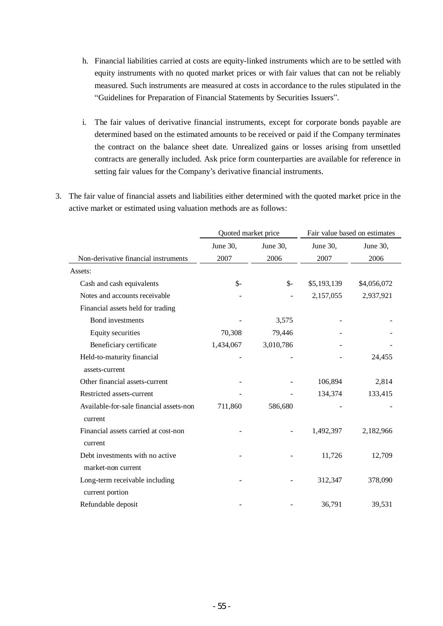- h. Financial liabilities carried at costs are equity-linked instruments which are to be settled with equity instruments with no quoted market prices or with fair values that can not be reliably measured. Such instruments are measured at costs in accordance to the rules stipulated in the "Guidelines for Preparation of Financial Statements by Securities Issuers".
- i. The fair values of derivative financial instruments, except for corporate bonds payable are determined based on the estimated amounts to be received or paid if the Company terminates the contract on the balance sheet date. Unrealized gains or losses arising from unsettled contracts are generally included. Ask price form counterparties are available for reference in setting fair values for the Company's derivative financial instruments.
- 3. The fair value of financial assets and liabilities either determined with the quoted market price in the active market or estimated using valuation methods are as follows:

|                                         | Quoted market price |                | Fair value based on estimates |             |  |
|-----------------------------------------|---------------------|----------------|-------------------------------|-------------|--|
|                                         | June 30,            | June 30,       | June 30,                      | June 30,    |  |
| Non-derivative financial instruments    | 2007                | 2006           | 2007                          | 2006        |  |
| Assets:                                 |                     |                |                               |             |  |
| Cash and cash equivalents               | \$-                 | $\mathsf{S}$ - | \$5,193,139                   | \$4,056,072 |  |
| Notes and accounts receivable           |                     |                | 2,157,055                     | 2,937,921   |  |
| Financial assets held for trading       |                     |                |                               |             |  |
| <b>Bond</b> investments                 |                     | 3,575          |                               |             |  |
| Equity securities                       | 70,308              | 79,446         |                               |             |  |
| Beneficiary certificate                 | 1,434,067           | 3,010,786      |                               |             |  |
| Held-to-maturity financial              |                     |                |                               | 24,455      |  |
| assets-current                          |                     |                |                               |             |  |
| Other financial assets-current          |                     |                | 106,894                       | 2,814       |  |
| Restricted assets-current               |                     |                | 134,374                       | 133,415     |  |
| Available-for-sale financial assets-non | 711,860             | 586,680        |                               |             |  |
| current                                 |                     |                |                               |             |  |
| Financial assets carried at cost-non    |                     |                | 1,492,397                     | 2,182,966   |  |
| current                                 |                     |                |                               |             |  |
| Debt investments with no active         |                     |                | 11,726                        | 12,709      |  |
| market-non current                      |                     |                |                               |             |  |
| Long-term receivable including          |                     |                | 312,347                       | 378,090     |  |
| current portion                         |                     |                |                               |             |  |
| Refundable deposit                      |                     |                | 36,791                        | 39,531      |  |
|                                         |                     |                |                               |             |  |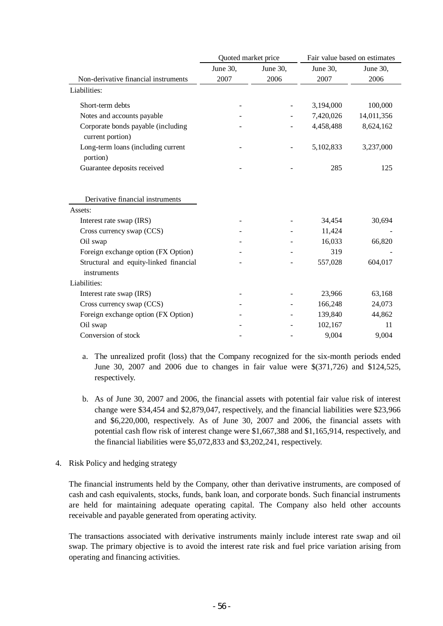|                                                        | Quoted market price |          | Fair value based on estimates |            |
|--------------------------------------------------------|---------------------|----------|-------------------------------|------------|
|                                                        | June 30,            | June 30, | June 30,                      | June 30,   |
| Non-derivative financial instruments                   | 2007                | 2006     | 2007                          | 2006       |
| Liabilities:                                           |                     |          |                               |            |
| Short-term debts                                       |                     |          | 3,194,000                     | 100,000    |
| Notes and accounts payable                             |                     |          | 7,420,026                     | 14,011,356 |
| Corporate bonds payable (including<br>current portion) |                     |          | 4,458,488                     | 8,624,162  |
| Long-term loans (including current<br>portion)         |                     |          | 5,102,833                     | 3,237,000  |
| Guarantee deposits received                            |                     |          | 285                           | 125        |
| Derivative financial instruments<br>Assets:            |                     |          |                               |            |
| Interest rate swap (IRS)                               |                     |          | 34,454                        | 30,694     |
| Cross currency swap (CCS)                              |                     |          | 11,424                        |            |
| Oil swap                                               |                     |          | 16,033                        | 66,820     |
| Foreign exchange option (FX Option)                    |                     |          | 319                           |            |
| Structural and equity-linked financial<br>instruments  |                     |          | 557,028                       | 604,017    |
| Liabilities:                                           |                     |          |                               |            |
| Interest rate swap (IRS)                               |                     |          | 23,966                        | 63,168     |
| Cross currency swap (CCS)                              |                     |          | 166,248                       | 24,073     |
| Foreign exchange option (FX Option)                    |                     |          | 139,840                       | 44,862     |
| Oil swap                                               |                     |          | 102,167                       | 11         |
| Conversion of stock                                    |                     |          | 9,004                         | 9,004      |

- a. The unrealized profit (loss) that the Company recognized for the six-month periods ended June 30, 2007 and 2006 due to changes in fair value were \$(371,726) and \$124,525, respectively.
- b. As of June 30, 2007 and 2006, the financial assets with potential fair value risk of interest change were \$34,454 and \$2,879,047, respectively, and the financial liabilities were \$23,966 and \$6,220,000, respectively. As of June 30, 2007 and 2006, the financial assets with potential cash flow risk of interest change were \$1,667,388 and \$1,165,914, respectively, and the financial liabilities were \$5,072,833 and \$3,202,241, respectively.
- 4. Risk Policy and hedging strategy

The financial instruments held by the Company, other than derivative instruments, are composed of cash and cash equivalents, stocks, funds, bank loan, and corporate bonds. Such financial instruments are held for maintaining adequate operating capital. The Company also held other accounts receivable and payable generated from operating activity.

The transactions associated with derivative instruments mainly include interest rate swap and oil swap. The primary objective is to avoid the interest rate risk and fuel price variation arising from operating and financing activities.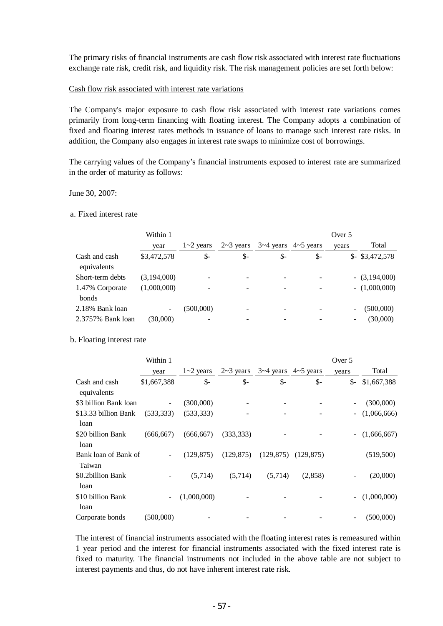The primary risks of financial instruments are cash flow risk associated with interest rate fluctuations exchange rate risk, credit risk, and liquidity risk. The risk management policies are set forth below:

### Cash flow risk associated with interest rate variations

The Company's major exposure to cash flow risk associated with interest rate variations comes primarily from long-term financing with floating interest. The Company adopts a combination of fixed and floating interest rates methods in issuance of loans to manage such interest rate risks. In addition, the Company also engages in interest rate swaps to minimize cost of borrowings.

The carrying values of the Company's financial instruments exposed to interest rate are summarized in the order of maturity as follows:

#### June 30, 2007:

#### a. Fixed interest rate

|                                 | Within 1    |                |                  |                          | Over 5          |       |                 |  |
|---------------------------------|-------------|----------------|------------------|--------------------------|-----------------|-------|-----------------|--|
|                                 | year        | $1 - 2$ years  | $2 \sim 3$ years | $3-4$ years $4-5$ years  |                 | vears | Total           |  |
| Cash and cash<br>equivalents    | \$3,472,578 | $\mathbb{S}$ - | $\mathbb{S}^-$   | \$-                      | $\mathcal{S}$ - | $S-$  | \$3,472,578     |  |
| Short-term debts                | (3,194,000) |                |                  | $\overline{\phantom{0}}$ |                 |       | $-(3,194,000)$  |  |
| 1.47% Corporate<br><b>bonds</b> | (1,000,000) |                |                  |                          |                 |       | $- (1,000,000)$ |  |
| 2.18% Bank loan                 |             | (500,000)      |                  |                          |                 |       | (500,000)       |  |
| 2.3757% Bank loan               | (30,000)    |                |                  |                          |                 |       | (30,000)        |  |

#### b. Floating interest rate

|                                | Within 1    |               |                  |                         |                | Over 5                   |             |
|--------------------------------|-------------|---------------|------------------|-------------------------|----------------|--------------------------|-------------|
|                                | year        | $1 - 2$ years | $2 \sim 3$ years | $3-4$ years $4-5$ years |                | years                    | Total       |
| Cash and cash<br>equivalents   | \$1,667,388 | \$-           | $\mathsf{s}$ -   | $\mathsf{S}$ -          | $\mathsf{S}$ - | $S-$                     | \$1,667,388 |
| \$3 billion Bank loan          |             | (300,000)     |                  |                         |                |                          | (300,000)   |
| \$13.33 billion Bank<br>loan   | (533, 333)  | (533, 333)    |                  |                         |                | $\overline{\phantom{a}}$ | (1,066,666) |
| \$20 billion Bank<br>loan      | (666, 667)  | (666, 667)    | (333, 333)       |                         |                | $\sim$                   | (1,666,667) |
| Bank loan of Bank of<br>Taiwan |             | (129.875)     | (129, 875)       | (129, 875)              | (129, 875)     |                          | (519,500)   |
| \$0.2billion Bank<br>loan      |             | (5,714)       | (5,714)          | (5,714)                 | (2,858)        | ۰                        | (20,000)    |
| \$10 billion Bank<br>loan      |             | (1,000,000)   |                  |                         |                | $\sim$                   | (1,000,000) |
| Corporate bonds                | (500,000)   |               |                  |                         |                |                          | (500,000)   |

The interest of financial instruments associated with the floating interest rates is remeasured within 1 year period and the interest for financial instruments associated with the fixed interest rate is fixed to maturity. The financial instruments not included in the above table are not subject to interest payments and thus, do not have inherent interest rate risk.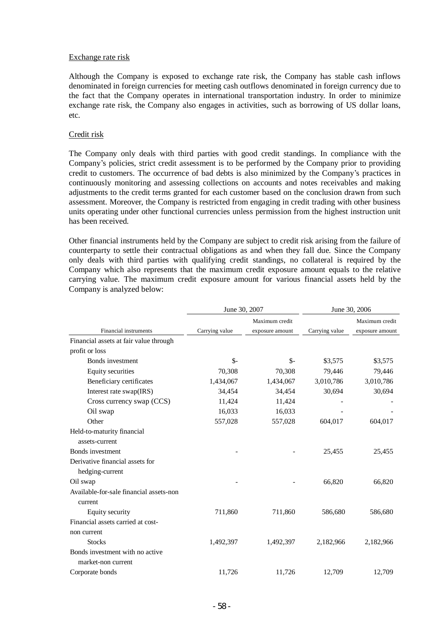#### Exchange rate risk

Although the Company is exposed to exchange rate risk, the Company has stable cash inflows denominated in foreign currencies for meeting cash outflows denominated in foreign currency due to the fact that the Company operates in international transportation industry. In order to minimize exchange rate risk, the Company also engages in activities, such as borrowing of US dollar loans, etc.

### Credit risk

The Company only deals with third parties with good credit standings. In compliance with the Company's policies, strict credit assessment is to be performed by the Company prior to providing credit to customers. The occurrence of bad debts is also minimized by the Company's practices in continuously monitoring and assessing collections on accounts and notes receivables and making adjustments to the credit terms granted for each customer based on the conclusion drawn from such assessment. Moreover, the Company is restricted from engaging in credit trading with other business units operating under other functional currencies unless permission from the highest instruction unit has been received.

Other financial instruments held by the Company are subject to credit risk arising from the failure of counterparty to settle their contractual obligations as and when they fall due. Since the Company only deals with third parties with qualifying credit standings, no collateral is required by the Company which also represents that the maximum credit exposure amount equals to the relative carrying value. The maximum credit exposure amount for various financial assets held by the Company is analyzed below:

|                                         | June 30, 2007  |                 | June 30, 2006  |                 |  |  |
|-----------------------------------------|----------------|-----------------|----------------|-----------------|--|--|
|                                         |                | Maximum credit  |                | Maximum credit  |  |  |
| Financial instruments                   | Carrying value | exposure amount | Carrying value | exposure amount |  |  |
| Financial assets at fair value through  |                |                 |                |                 |  |  |
| profit or loss                          |                |                 |                |                 |  |  |
| Bonds investment                        | $\mathbb{S}^-$ | $S-$            | \$3,575        | \$3,575         |  |  |
| <b>Equity securities</b>                | 70,308         | 70,308          | 79,446         | 79,446          |  |  |
| Beneficiary certificates                | 1,434,067      | 1,434,067       | 3,010,786      | 3,010,786       |  |  |
| Interest rate swap(IRS)                 | 34,454         | 34,454          | 30,694         | 30,694          |  |  |
| Cross currency swap (CCS)               | 11,424         | 11,424          |                |                 |  |  |
| Oil swap                                | 16,033         | 16,033          |                |                 |  |  |
| Other                                   | 557,028        | 557,028         | 604,017        | 604,017         |  |  |
| Held-to-maturity financial              |                |                 |                |                 |  |  |
| assets-current                          |                |                 |                |                 |  |  |
| Bonds investment                        |                |                 | 25,455         | 25,455          |  |  |
| Derivative financial assets for         |                |                 |                |                 |  |  |
| hedging-current                         |                |                 |                |                 |  |  |
| Oil swap                                |                |                 | 66,820         | 66,820          |  |  |
| Available-for-sale financial assets-non |                |                 |                |                 |  |  |
| current                                 |                |                 |                |                 |  |  |
| Equity security                         | 711,860        | 711,860         | 586,680        | 586,680         |  |  |
| Financial assets carried at cost-       |                |                 |                |                 |  |  |
| non current                             |                |                 |                |                 |  |  |
| <b>Stocks</b>                           | 1,492,397      | 1,492,397       | 2,182,966      | 2,182,966       |  |  |
| Bonds investment with no active         |                |                 |                |                 |  |  |
| market-non current                      |                |                 |                |                 |  |  |
| Corporate bonds                         | 11,726         | 11,726          | 12,709         | 12,709          |  |  |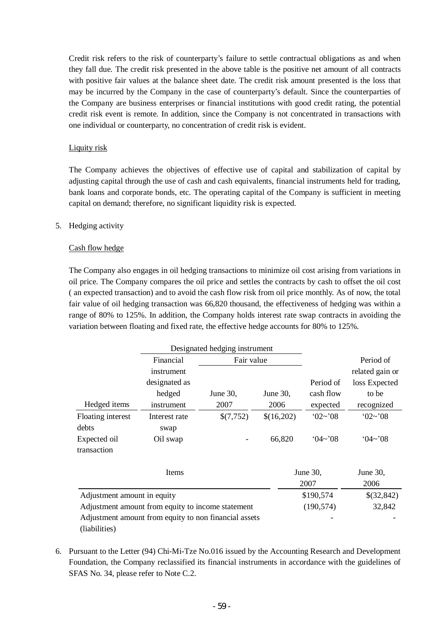Credit risk refers to the risk of counterparty's failure to settle contractual obligations as and when they fall due. The credit risk presented in the above table is the positive net amount of all contracts with positive fair values at the balance sheet date. The credit risk amount presented is the loss that may be incurred by the Company in the case of counterparty's default. Since the counterparties of the Company are business enterprises or financial institutions with good credit rating, the potential credit risk event is remote. In addition, since the Company is not concentrated in transactions with one individual or counterparty, no concentration of credit risk is evident.

# Liquity risk

The Company achieves the objectives of effective use of capital and stabilization of capital by adjusting capital through the use of cash and cash equivalents, financial instruments held for trading, bank loans and corporate bonds, etc. The operating capital of the Company is sufficient in meeting capital on demand; therefore, no significant liquidity risk is expected.

# 5. Hedging activity

# Cash flow hedge

The Company also engages in oil hedging transactions to minimize oil cost arising from variations in oil price. The Company compares the oil price and settles the contracts by cash to offset the oil cost ( an expected transaction) and to avoid the cash flow risk from oil price monthly. As of now, the total fair value of oil hedging transaction was 66,820 thousand, the effectiveness of hedging was within a range of 80% to 125%. In addition, the Company holds interest rate swap contracts in avoiding the variation between floating and fixed rate, the effective hedge accounts for 80% to 125%.

|                             | Designated hedging instrument                         |            |            |                |                 |
|-----------------------------|-------------------------------------------------------|------------|------------|----------------|-----------------|
|                             | Financial                                             | Fair value |            |                | Period of       |
|                             | instrument                                            |            |            |                | related gain or |
|                             | designated as                                         |            |            | Period of      | loss Expected   |
|                             | hedged                                                | June 30,   | June 30,   | cash flow      | to be           |
| Hedged items                | instrument                                            | 2007       | 2006       | expected       | recognized      |
| Floating interest           | Interest rate                                         | \$(7,752)  | \$(16,202) | $02 \sim 08$   | 02~2~08         |
| debts                       | swap                                                  |            |            |                |                 |
| Expected oil                | Oil swap                                              |            | 66,820     | $(14\sim 0.08$ | $(14\sim 0.08)$ |
| transaction                 |                                                       |            |            |                |                 |
|                             | Items                                                 |            |            | June 30,       | June 30,        |
|                             |                                                       |            |            | 2007           | 2006            |
| Adjustment amount in equity |                                                       |            |            | \$190,574      | \$(32,842)      |
|                             | Adjustment amount from equity to income statement     |            |            | (190, 574)     | 32,842          |
|                             | Adjustment amount from equity to non financial assets |            |            |                |                 |
| (liabilities)               |                                                       |            |            |                |                 |

6. Pursuant to the Letter (94) Chi-Mi-Tze No.016 issued by the Accounting Research and Development Foundation, the Company reclassified its financial instruments in accordance with the guidelines of SFAS No. 34, please refer to Note C.2.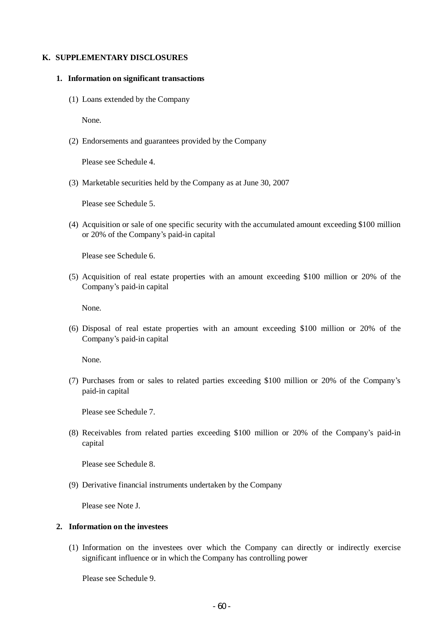### **K. SUPPLEMENTARY DISCLOSURES**

#### **1. Information on significant transactions**

(1) Loans extended by the Company

None.

(2) Endorsements and guarantees provided by the Company

Please see Schedule 4.

(3) Marketable securities held by the Company as at June 30, 2007

Please see Schedule 5.

(4) Acquisition or sale of one specific security with the accumulated amount exceeding \$100 million or 20% of the Company's paid-in capital

Please see Schedule 6.

(5) Acquisition of real estate properties with an amount exceeding \$100 million or 20% of the Company's paid-in capital

None.

(6) Disposal of real estate properties with an amount exceeding \$100 million or 20% of the Company's paid-in capital

None.

(7) Purchases from or sales to related parties exceeding \$100 million or 20% of the Company's paid-in capital

Please see Schedule 7.

(8) Receivables from related parties exceeding \$100 million or 20% of the Company's paid-in capital

Please see Schedule 8.

(9) Derivative financial instruments undertaken by the Company

Please see Note J.

# **2. Information on the investees**

(1) Information on the investees over which the Company can directly or indirectly exercise significant influence or in which the Company has controlling power

Please see Schedule 9.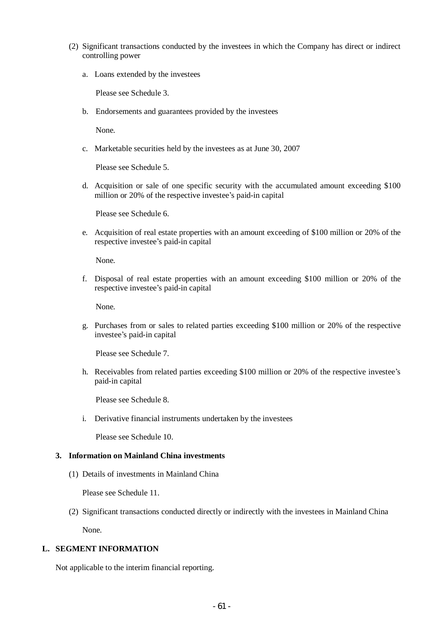- (2) Significant transactions conducted by the investees in which the Company has direct or indirect controlling power
	- a. Loans extended by the investees

Please see Schedule 3.

b. Endorsements and guarantees provided by the investees

None.

c. Marketable securities held by the investees as at June 30, 2007

Please see Schedule 5.

d. Acquisition or sale of one specific security with the accumulated amount exceeding \$100 million or 20% of the respective investee's paid-in capital

Please see Schedule 6.

e. Acquisition of real estate properties with an amount exceeding of \$100 million or 20% of the respective investee's paid-in capital

None.

f. Disposal of real estate properties with an amount exceeding \$100 million or 20% of the respective investee's paid-in capital

None.

g. Purchases from or sales to related parties exceeding \$100 million or 20% of the respective investee's paid-in capital

Please see Schedule 7.

h. Receivables from related parties exceeding \$100 million or 20% of the respective investee's paid-in capital

Please see Schedule 8.

i. Derivative financial instruments undertaken by the investees

Please see Schedule 10.

### **3. Information on Mainland China investments**

(1) Details of investments in Mainland China

Please see Schedule 11.

(2) Significant transactions conducted directly or indirectly with the investees in Mainland China

None.

## **L. SEGMENT INFORMATION**

Not applicable to the interim financial reporting.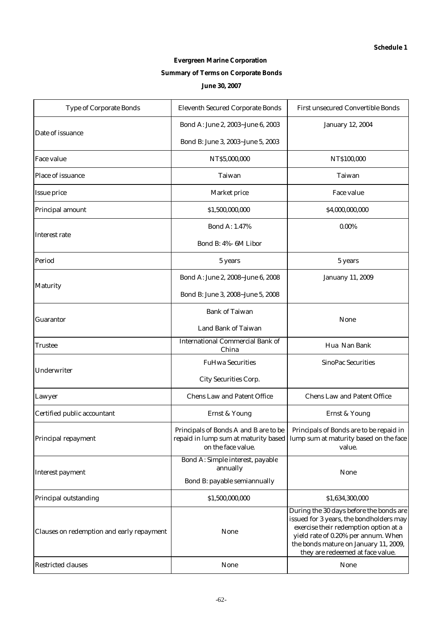# **Evergreen Marine Corporation Summary of Terms on Corporate Bonds June 30, 2007**

| <b>Type of Corporate Bonds</b>            | <b>Eleventh Secured Corporate Bonds</b>                     | <b>First unsecured Convertible Bonds</b>                                                                                                                                                                                                        |
|-------------------------------------------|-------------------------------------------------------------|-------------------------------------------------------------------------------------------------------------------------------------------------------------------------------------------------------------------------------------------------|
|                                           | Bond A: June 2, 2003~June 6, 2003                           | <b>January 12, 2004</b>                                                                                                                                                                                                                         |
| Date of issuance                          | Bond B: June 3, 2003~June 5, 2003                           |                                                                                                                                                                                                                                                 |
| <b>Face value</b>                         | NT\$5,000,000                                               | NT\$100,000                                                                                                                                                                                                                                     |
| Place of issuance                         | <b>Taiwan</b>                                               | <b>Taiwan</b>                                                                                                                                                                                                                                   |
| <b>Issue price</b>                        | <b>Market price</b>                                         | <b>Face value</b>                                                                                                                                                                                                                               |
| Principal amount                          | \$1,500,000,000                                             | \$4,000,000,000                                                                                                                                                                                                                                 |
|                                           | <b>Bond A: 1.47%</b>                                        | $0.00\%$                                                                                                                                                                                                                                        |
| <b>Interest rate</b>                      | Bond B: 4%- 6M Libor                                        |                                                                                                                                                                                                                                                 |
| Period                                    | 5 years                                                     | 5 years                                                                                                                                                                                                                                         |
|                                           | Bond A: June 2, 2008~June 6, 2008                           | <b>Januany 11, 2009</b>                                                                                                                                                                                                                         |
| <b>Maturity</b>                           | Bond B: June 3, 2008~June 5, 2008                           |                                                                                                                                                                                                                                                 |
| <b>Guarantor</b>                          | <b>Bank of Taiwan</b>                                       |                                                                                                                                                                                                                                                 |
|                                           | <b>Land Bank of Taiwan</b>                                  | <b>None</b>                                                                                                                                                                                                                                     |
| Trustee                                   | <b>International Commercial Bank of</b><br>China            | Hua Nan Bank                                                                                                                                                                                                                                    |
| Underwriter                               | <b>FuHwa Securities</b>                                     | <b>SinoPac Securities</b>                                                                                                                                                                                                                       |
|                                           | <b>City Securities Corp.</b>                                |                                                                                                                                                                                                                                                 |
| Lawyer                                    | <b>Chens Law and Patent Office</b>                          | <b>Chens Law and Patent Office</b>                                                                                                                                                                                                              |
| Certified public accountant               | <b>Ernst &amp; Young</b>                                    | <b>Ernst &amp; Young</b>                                                                                                                                                                                                                        |
| Principal repayment                       | Principals of Bonds A and B are to be<br>on the face value. | Principals of Bonds are to be repaid in<br>repaid in lump sum at maturity based   lump sum at maturity based on the face<br>value.                                                                                                              |
|                                           | Bond A: Simple interest, payable<br>annually                |                                                                                                                                                                                                                                                 |
| <b>Interest payment</b>                   | Bond B: payable semiannually                                | <b>None</b>                                                                                                                                                                                                                                     |
| Principal outstanding                     | \$1,500,000,000                                             | \$1,634,300,000                                                                                                                                                                                                                                 |
| Clauses on redemption and early repayment | <b>None</b>                                                 | During the 30 days before the bonds are<br>issued for 3 years, the bondholders may<br>exercise their redemption option at a<br>yield rate of 0.20% per annum. When<br>the bonds mature on January 11, 2009,<br>they are redeemed at face value. |
| <b>Restricted clauses</b>                 | <b>None</b>                                                 | <b>None</b>                                                                                                                                                                                                                                     |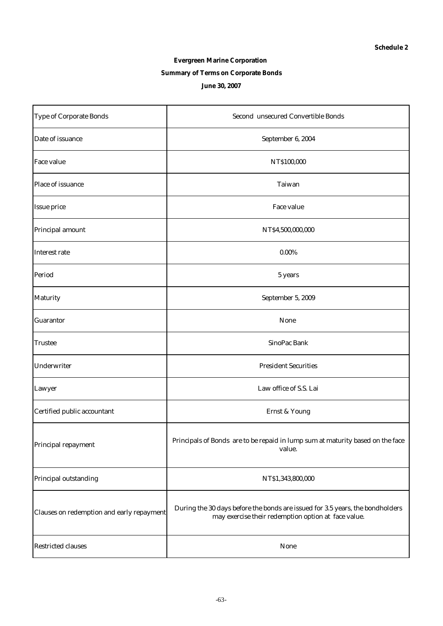# **Evergreen Marine Corporation Summary of Terms on Corporate Bonds June 30, 2007**

| <b>Type of Corporate Bonds</b>            | <b>Second unsecured Convertible Bonds</b>                                                                                            |
|-------------------------------------------|--------------------------------------------------------------------------------------------------------------------------------------|
| Date of issuance                          | September 6, 2004                                                                                                                    |
| <b>Face value</b>                         | NT\$100,000                                                                                                                          |
| Place of issuance                         | Taiwan                                                                                                                               |
| <b>Issue price</b>                        | Face value                                                                                                                           |
| Principal amount                          | NT\$4,500,000,000                                                                                                                    |
| Interest rate                             | $0.00\%$                                                                                                                             |
| Period                                    | 5 years                                                                                                                              |
| <b>Maturity</b>                           | September 5, 2009                                                                                                                    |
| <b>Guarantor</b>                          | None                                                                                                                                 |
| <b>Trustee</b>                            | SinoPac Bank                                                                                                                         |
| Underwriter                               | <b>President Securities</b>                                                                                                          |
| Lawyer                                    | Law office of S.S. Lai                                                                                                               |
| Certified public accountant               | <b>Ernst &amp; Young</b>                                                                                                             |
| Principal repayment                       | Principals of Bonds are to be repaid in lump sum at maturity based on the face<br>value.                                             |
| Principal outstanding                     | NT\$1,343,800,000                                                                                                                    |
| Clauses on redemption and early repayment | During the 30 days before the bonds are issued for 3.5 years, the bondholders<br>may exercise their redemption option at face value. |
| <b>Restricted clauses</b>                 | <b>None</b>                                                                                                                          |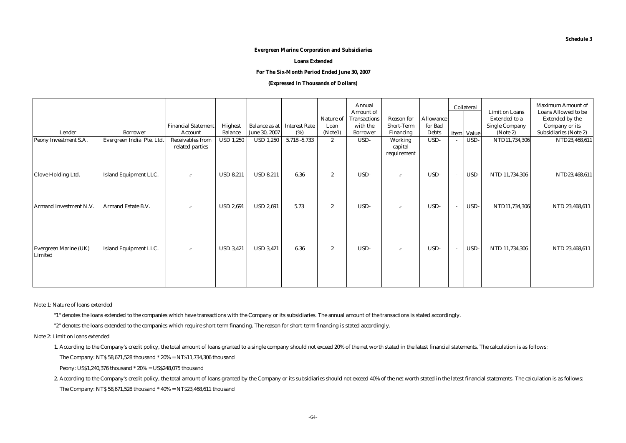#### **Evergreen Marine Corporation and Subsidiaries**

**Loans Extended**

**For The Six-Month Period Ended June 30, 2007**

#### **(Expressed in Thousands of Dollars)**

|                                         |                              | <b>Financial Statement</b>                 | Highest          | <b>Balance as at</b> | <b>Interest Rate</b> | Nature of<br>Loan | Annual<br><b>Amount of</b><br><b>Transactions</b><br>with the | <b>Reason for</b><br><b>Short-Term</b> | <b>Allowance</b><br>for Bad |                          | Collateral | <b>Limit on Loans</b><br><b>Extended to a</b><br><b>Single Company</b> | <b>Maximum Amount of</b><br><b>Loans Allowed to be</b><br><b>Extended by the</b><br>Company or its |
|-----------------------------------------|------------------------------|--------------------------------------------|------------------|----------------------|----------------------|-------------------|---------------------------------------------------------------|----------------------------------------|-----------------------------|--------------------------|------------|------------------------------------------------------------------------|----------------------------------------------------------------------------------------------------|
| Lender                                  | <b>Borrower</b>              | Account                                    | <b>Balance</b>   | June 30, 2007        | (%)                  | (Note1)           | <b>Borrower</b>                                               | <b>Financing</b>                       | <b>Debts</b>                |                          | Item Value | (Note 2)                                                               | <b>Subsidiaries (Note 2)</b>                                                                       |
| Peony Investment S.A.                   | Evergreen India Pte. Ltd.    | <b>Receivables from</b><br>related parties | <b>USD 1,250</b> | <b>USD 1,250</b>     | $5.718 - 5.733$      | $\boldsymbol{2}$  | USD-                                                          | Working<br>capital<br>requirement      | USD-                        |                          | USD-       | NTD11,734,306                                                          | NTD23,468,611                                                                                      |
| Clove Holding Ltd.                      | <b>Island Equipment LLC.</b> | $^{\prime\prime}$                          | <b>USD 8,211</b> | <b>USD 8,211</b>     | 6.36                 | $\boldsymbol{2}$  | USD-                                                          | $^{\prime\prime}$                      | USD-                        | $\overline{\phantom{a}}$ | USD-       | NTD 11,734,306                                                         | NTD23,468,611                                                                                      |
| Armand Investment N.V.                  | Armand Estate B.V.           | $^{\prime\prime}$                          | <b>USD 2,691</b> | <b>USD 2,691</b>     | 5.73                 | $\boldsymbol{2}$  | USD-                                                          | $^{\prime\prime}$                      | USD-                        |                          | USD-       | NTD11,734,306                                                          | NTD 23,468,611                                                                                     |
| <b>Evergreen Marine (UK)</b><br>Limited | <b>Island Equipment LLC.</b> | $\prime$                                   | <b>USD 3,421</b> | <b>USD 3,421</b>     | 6.36                 | $\boldsymbol{2}$  | USD-                                                          | $\prime$                               | USD-                        | $\overline{\phantom{a}}$ | USD-       | NTD 11,734,306                                                         | NTD 23,468,611                                                                                     |

Note 1: Nature of loans extended

"1" denotes the loans extended to the companies which have transactions with the Company or its subsidiaries. The annual amount of the transactions is stated accordingly.

"2" denotes the loans extended to the companies which require short-term financing. The reason for short-term financing is stated accordingly.

Note 2: Limit on loans extended

1. According to the Company's credit policy, the total amount of loans granted to a single company should not exceed 20% of the net worth stated in the latest financial statements. The calculation is as follows:

The Company: NT\$ 58,671,528 thousand \* 20% = NT\$11,734,306 thousand

Peony: US\$1,240,376 thousand \* 20% = US\$248,075 thousand

2. According to the Company's credit policy, the total amount of loans granted by the Company or its subsidiaries should not exceed 40% of the net worth stated in the latest financial statements. The calculation is as foll The Company: NT\$ 58,671,528 thousand \* 40% = NT\$23,468,611 thousand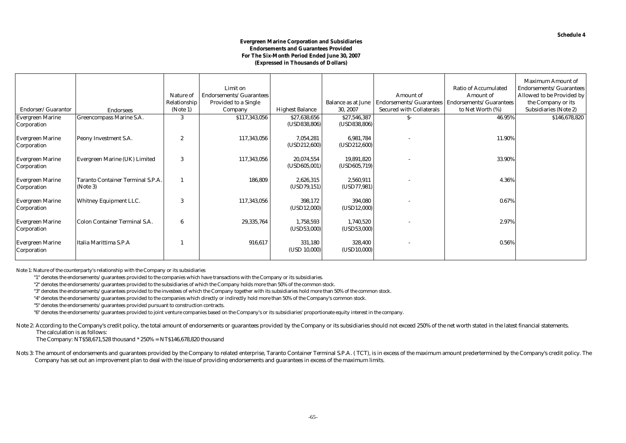#### **Evergreen Marine Corporation and Subsidiaries Endorsements and Guarantees Provided For The Six-Month Period Ended June 30, 2007 (Expressed in Thousands of Dollars)**

|                                        |                                                      | Nature of<br>Relationship | Limit on<br>Endorsements/Guarantees<br>Provided to a Single |                               | <b>Balance as at June</b>     | <b>Amount</b> of<br>Endorsements/Guarantees | <b>Ratio of Accumulated</b><br><b>Amount of</b><br>Endorsements/Guarantees | <b>Maximum Amount of</b><br>Endorsements/Guarantees<br>Allowed to be Provided by<br>the Company or its |
|----------------------------------------|------------------------------------------------------|---------------------------|-------------------------------------------------------------|-------------------------------|-------------------------------|---------------------------------------------|----------------------------------------------------------------------------|--------------------------------------------------------------------------------------------------------|
| Endorser/Guarantor                     | <b>Endorsees</b>                                     | (Note 1)                  | Company                                                     | <b>Highest Balance</b>        | 30, 2007                      | <b>Secured with Collaterals</b>             | to Net Worth (%)                                                           | <b>Subsidiaries (Note 2)</b>                                                                           |
| <b>Evergreen Marine</b><br>Corporation | Greencompass Marine S.A.                             | 3                         | \$117,343,056                                               | \$27,638,656<br>(USD838, 806) | \$27,546,387<br>(USD838, 806) | \$-                                         | 46.95%                                                                     | \$146,678,820                                                                                          |
| <b>Evergreen Marine</b><br>Corporation | Peony Investment S.A.                                |                           | 117,343,056                                                 | 7,054,281<br>(USD212,600)     | 6,981,784<br>(USD212,600)     |                                             | 11.90%                                                                     |                                                                                                        |
| <b>Evergreen Marine</b><br>Corporation | Evergreen Marine (UK) Limited                        | 3                         | 117,343,056                                                 | 20,074,554<br>(USD605,001)    | 19,891,820<br>(USD605,719)    |                                             | 33.90%                                                                     |                                                                                                        |
| <b>Evergreen Marine</b><br>Corporation | <b>Taranto Container Terminal S.P.A.</b><br>(Note 3) |                           | 186,809                                                     | 2,626,315<br>(USD79, 151)     | 2,560,911<br>(USD77, 981)     |                                             | 4.36%                                                                      |                                                                                                        |
| <b>Evergreen Marine</b><br>Corporation | <b>Whitney Equipment LLC.</b>                        | 3                         | 117,343,056                                                 | 398,172<br>(USD12,000)        | 394,080<br>(USD12,000)        |                                             | 0.67%                                                                      |                                                                                                        |
| <b>Evergreen Marine</b><br>Corporation | <b>Colon Container Terminal S.A.</b>                 | 6                         | 29,335,764                                                  | 1,758,593<br>(USD53,000)      | 1,740,520<br>(USD53,000)      |                                             | 2.97%                                                                      |                                                                                                        |
| <b>Evergreen Marine</b><br>Corporation | Italia Marittima S.P.A                               |                           | 916,617                                                     | 331,180<br>(USD 10,000)       | 328,400<br>(USD10,000)        |                                             | $0.56\%$                                                                   |                                                                                                        |

Note 1: Nature of the counterparty's relationship with the Company or its subsidiaries

"1" denotes the endorsements/guarantees provided to the companies which have transactions with the Company or its subsidiaries.

"2" denotes the endorsements/guarantees provided to the subsidiaries of which the Company holds more than 50% of the common stock.

"3" denotes the endorsements/guarantees provided to the investees of which the Company together with its subsidiaries hold more than 50% of the common stock.

"4" denotes the endorsements/guarantees provided to the companies which directly or indirectly hold more than 50% of the Company's common stock.

"5" denotes the endorsements/guarantees provided pursuant to construction contracts.

"6" denotes the endorsements/guarantees provided to joint venture companies based on the Company's or its subsidiaries' proportionate equity interest in the company.

Note 2: According to the Company's credit policy, the total amount of endorsements or guarantees provided by the Company or its subsidiaries should not exceed 250% of the net worth stated in the latest financial statements The calculation is as follows:

The Company: NT\$58,671,528 thousand \* 250% = NT\$146,678,820 thousand

Nots 3: The amount of endorsements and guarantees provided by the Company to related enterprise, Taranto Container Terminal S.P.A. (TCT), is in excess of the maximum amount predertermined by the Company's credit policy. Th Company has set out an improvement plan to deal with the issue of providing endorsements and guarantees in excess of the maximum limits.

**Schedule 4**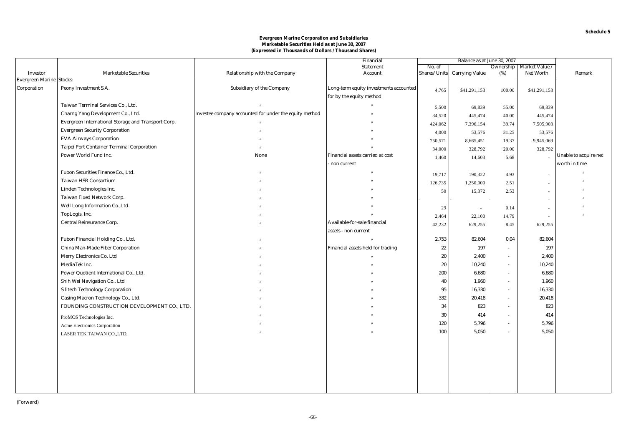|                                                    |                                                     |                                                        | Financial                              | Balance as at June 30, 2007 |                             |                |                |                       |
|----------------------------------------------------|-----------------------------------------------------|--------------------------------------------------------|----------------------------------------|-----------------------------|-----------------------------|----------------|----------------|-----------------------|
|                                                    |                                                     |                                                        | <b>Statement</b>                       | No. of                      |                             | Ownership      | Market Value / |                       |
| <b>Investor</b><br><b>Evergreen Marine Stocks:</b> | <b>Marketable Securities</b>                        | Relationship with the Company                          | Account                                |                             | Shares/Units Carrying Value | (%)            | Net Worth      | Remark                |
|                                                    |                                                     |                                                        |                                        |                             |                             |                |                |                       |
| Corporation                                        | Peony Investment S.A.                               | Subsidiary of the Company                              | Long-term equity investments accounted | 4,765                       | \$41,291,153                | 100.00         | \$41,291,153   |                       |
|                                                    |                                                     |                                                        | for by the equity method               |                             |                             |                |                |                       |
|                                                    | Taiwan Terminal Services Co., Ltd.                  |                                                        |                                        | 5,500                       | 69,839                      | 55.00          | 69,839         |                       |
|                                                    | Charng Yang Development Co., Ltd.                   | Investee company accounted for under the equity method |                                        | 34,520                      | 445,474                     | 40.00          | 445,474        |                       |
|                                                    | Evergreen International Storage and Transport Corp. |                                                        |                                        | 424,062                     | 7,396,154                   | 39.74          | 7,505,903      |                       |
|                                                    | <b>Evergreen Security Corporation</b>               |                                                        |                                        | 4,000                       | 53,576                      | 31.25          | 53,576         |                       |
|                                                    | <b>EVA Airways Corporation</b>                      |                                                        |                                        | 750,571                     | 8,665,451                   | 19.37          | 9,945,069      |                       |
|                                                    | <b>Taipei Port Container Terminal Corporation</b>   |                                                        |                                        | 34,000                      | 328,792                     | 20.00          | 328,792        |                       |
|                                                    | Power World Fund Inc.                               | None                                                   | Financial assets carried at cost       | 1,460                       | 14,603                      | 5.68           |                | Unable to acquire net |
|                                                    |                                                     |                                                        | non current                            |                             |                             |                |                | worth in time         |
|                                                    | Fubon Securities Finance Co., Ltd.                  |                                                        |                                        | 19,717                      | 190,322                     | 4.93           |                |                       |
|                                                    | <b>Taiwan HSR Consortium</b>                        |                                                        |                                        | 126,735                     | 1,250,000                   | 2.51           | $\sim$         |                       |
|                                                    | Linden Technologies Inc.                            |                                                        |                                        | 50                          | 15,372                      | 2.53           | $\sim$         |                       |
|                                                    | Taiwan Fixed Network Corp.                          |                                                        |                                        |                             |                             |                | $\sim$         |                       |
|                                                    | Well Long Information Co., Ltd.                     |                                                        |                                        | 29                          | $\sim$                      | 0.14           |                |                       |
|                                                    | TopLogis, Inc.                                      |                                                        |                                        | 2,464                       | 22,100                      | 14.79          | $\sim$         |                       |
|                                                    | Central Reinsurance Corp.                           |                                                        | Available-for-sale financial           | 42,232                      | 629,255                     | 8.45           | 629,255        |                       |
|                                                    |                                                     |                                                        | assets - non current                   |                             |                             |                |                |                       |
|                                                    | Fubon Financial Holding Co., Ltd.                   |                                                        |                                        | 2,753                       | 82,604                      | 0.04           | 82,604         |                       |
|                                                    | China Man-Made Fiber Corporation                    |                                                        | Financial assets held for trading      | 22                          | 197                         | $\sim$         | 197            |                       |
|                                                    | Merry Electronics Co, Ltd                           |                                                        |                                        | 20                          | 2,400                       | $\sim$         | 2,400          |                       |
|                                                    | MediaTek Inc.                                       |                                                        |                                        | 20                          | 10,240                      | $\sim$         | 10,240         |                       |
|                                                    | Power Quotient International Co., Ltd.              |                                                        |                                        | 200                         | 6,680                       | $\blacksquare$ | 6,680          |                       |
|                                                    | Shih Wei Navigation Co., Ltd                        |                                                        |                                        | 40                          | 1,960                       | $\blacksquare$ | 1,960          |                       |
|                                                    | <b>Silitech Technology Corporation</b>              |                                                        |                                        | 95                          | 16,330                      | $\sim$         | 16,330         |                       |
|                                                    | Casing Macron Technology Co., Ltd.                  |                                                        |                                        | 332                         | 20,418                      | $\sim$         | 20,418         |                       |
|                                                    | FOUNDING CONSTRUCTION DEVELOPMENT CO., LTD.         |                                                        |                                        | 34                          | 823                         | ÷.             | 823            |                       |
|                                                    | ProMOS Technologies Inc.                            |                                                        |                                        | 30                          | 414                         | $\sim$         | 414            |                       |
|                                                    | Acme Electronics Corporation                        |                                                        |                                        | 120                         | 5,796                       | $\sim$         | 5,796          |                       |
|                                                    | LASER TEK TAIWAN CO., LTD.                          |                                                        |                                        | 100                         | 5,050                       | ÷.             | 5.050          |                       |
|                                                    |                                                     |                                                        |                                        |                             |                             |                |                |                       |
|                                                    |                                                     |                                                        |                                        |                             |                             |                |                |                       |
|                                                    |                                                     |                                                        |                                        |                             |                             |                |                |                       |
|                                                    |                                                     |                                                        |                                        |                             |                             |                |                |                       |
|                                                    |                                                     |                                                        |                                        |                             |                             |                |                |                       |
|                                                    |                                                     |                                                        |                                        |                             |                             |                |                |                       |
|                                                    |                                                     |                                                        |                                        |                             |                             |                |                |                       |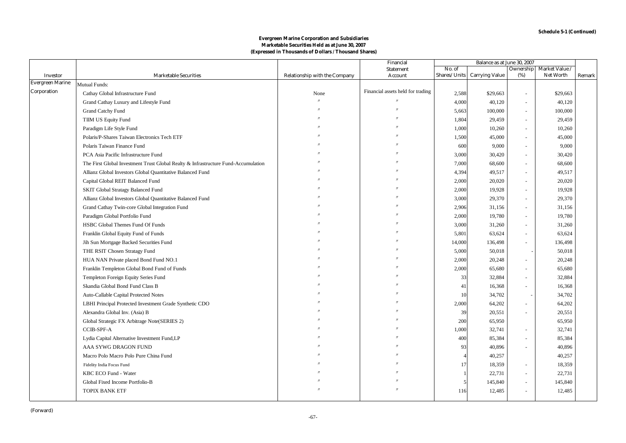|                                            |                                                                                    |                               | Financial                         | Balance as at June 30, 2007 |                       |                          |                  |        |
|--------------------------------------------|------------------------------------------------------------------------------------|-------------------------------|-----------------------------------|-----------------------------|-----------------------|--------------------------|------------------|--------|
|                                            |                                                                                    |                               | <b>Statement</b>                  | No. of                      |                       | Ownership                | Market Value /   |        |
| <b>Investor</b><br><b>Evergreen Marine</b> | <b>Marketable Securities</b>                                                       | Relationship with the Company | Account                           | Shares/Units                | <b>Carrying Value</b> | (%)                      | <b>Net Worth</b> | Remark |
| Corporation                                | Mutual Funds:                                                                      |                               | Financial assets held for trading |                             |                       |                          |                  |        |
|                                            | Cathay Global Infrastructure Fund                                                  | None                          |                                   | 2,588                       | \$29,663              | $\sim$                   | \$29,663         |        |
|                                            | Grand Cathay Luxury and Lifestyle Fund                                             |                               |                                   | 4,000                       | 40,120                | $\sim$                   | 40,120           |        |
|                                            | <b>Grand Catchy Fund</b>                                                           |                               |                                   | 5,663                       | 100,000               | $\overline{\phantom{a}}$ | 100,000          |        |
|                                            | TIIM US Equity Fund                                                                |                               |                                   | 1,804                       | 29,459                | ÷,                       | 29,459           |        |
|                                            | Paradigm Life Style Fund                                                           |                               |                                   | 1,000                       | 10,260                | ÷,                       | 10,260           |        |
|                                            | Polaris/P-Shares Taiwan Electronics Tech ETF                                       |                               |                                   | 1,500                       | 45,000                | $\sim$                   | 45,000           |        |
|                                            | Polaris Taiwan Finance Fund                                                        |                               |                                   | 600                         | 9,000                 | $\sim$                   | 9,000            |        |
|                                            | PCA Asia Pacific Infrastructure Fund                                               |                               |                                   | 3,000                       | 30,420                | $\sim$                   | 30,420           |        |
|                                            | The First Global Investment Trust Global Realty & Infrastructure Fund-Accumulation |                               |                                   | 7,000                       | 68,600                | $\overline{a}$           | 68,600           |        |
|                                            | Allianz Global Investors Global Quantitative Balanced Fund                         |                               |                                   | 4,394                       | 49,517                | $\sim$                   | 49,517           |        |
|                                            | Capital Global REIT Balanced Fund                                                  |                               |                                   | 2,000                       | 20,020                | $\overline{a}$           | 20,020           |        |
|                                            | <b>SKIT Global Stratagy Balanced Fund</b>                                          |                               |                                   | 2,000                       | 19,928                | $\overline{a}$           | 19,928           |        |
|                                            | Allianz Global Investors Global Quantitative Balanced Fund                         |                               |                                   | 3,000                       | 29,370                | $\sim$                   | 29,370           |        |
|                                            | Grand Cathay Twin-core Global Integration Fund                                     |                               |                                   | 2,906                       | 31,156                | $\sim$                   | 31,156           |        |
|                                            | Paradigm Global Portfolio Fund                                                     |                               |                                   | 2,000                       | 19,780                | ÷,                       | 19,780           |        |
|                                            | HSBC Global Themes Fund Of Funds                                                   |                               |                                   | 3,000                       | 31,260                | ÷,                       | 31,260           |        |
|                                            | Franklin Global Equity Fund of Funds                                               |                               |                                   | 5,801                       | 63,624                | $\overline{a}$           | 63,624           |        |
|                                            | Jih Sun Mortgage Backed Securities Fund                                            |                               |                                   | 14,000                      | 136,498               | $\bar{a}$                | 136,498          |        |
|                                            | THE RSIT Chosen Stratagy Fund                                                      |                               |                                   | 5,000                       | 50,018                |                          | 50,018           |        |
|                                            | HUA NAN Private placed Bond Fund NO.1                                              |                               |                                   | 2.000                       | 20,248                | $\sim$                   | 20,248           |        |
|                                            | Franklin Templeton Global Bond Fund of Funds                                       |                               |                                   | 2,000                       | 65,680                | ÷,                       | 65,680           |        |
|                                            | Templeton Foreign Equity Series Fund                                               |                               |                                   | 33                          | 32,884                | ÷,                       | 32,884           |        |
|                                            | Skandia Global Bond Fund Class B                                                   |                               |                                   | 41                          | 16,368                | $\sim$                   | 16,368           |        |
|                                            | Auto-Callable Capital Protected Notes                                              |                               |                                   | 10                          | 34,702                |                          | 34,702           |        |
|                                            | LBHI Principal Protected Investment Grade Synthetic CDO                            |                               |                                   | 2,000                       | 64,202                | ÷,                       | 64,202           |        |
|                                            | Alexandra Global Inv. (Asia) B                                                     |                               |                                   | 39                          | 20,551                | ÷,                       | 20,551           |        |
|                                            | Global Strategic FX Arbitrage Note(SERIES 2)                                       |                               |                                   | 200                         | 65,950                |                          | 65,950           |        |
|                                            | CCIB-SPF-A                                                                         |                               |                                   | 1,000                       | 32,741                | ÷,                       | 32,741           |        |
|                                            | Lydia Capital Alternative Investment Fund, LP                                      |                               |                                   | 400                         | 85,384                | ÷,                       | 85,384           |        |
|                                            | AAA SYWG DRAGON FUND                                                               |                               |                                   | 93                          | 40,896                | $\overline{a}$           | 40,896           |        |
|                                            | Macro Polo Macro Polo Pure China Fund                                              |                               |                                   |                             | 40,257                |                          | 40,257           |        |
|                                            | Fidelity India Focus Fund                                                          |                               |                                   |                             | 18,359                | $\omega$                 | 18,359           |        |
|                                            | KBC ECO Fund - Water                                                               |                               |                                   |                             | 22,731                | $\blacksquare$           | 22,731           |        |
|                                            | Global Fixed Income Portfolio-B                                                    |                               |                                   |                             | 145,840               | ÷,                       | 145,840          |        |
|                                            | <b>TOPIX BANK ETF</b>                                                              |                               |                                   | 116                         | 12,485                | $\sim$                   | 12,485           |        |
|                                            |                                                                                    |                               |                                   |                             |                       |                          |                  |        |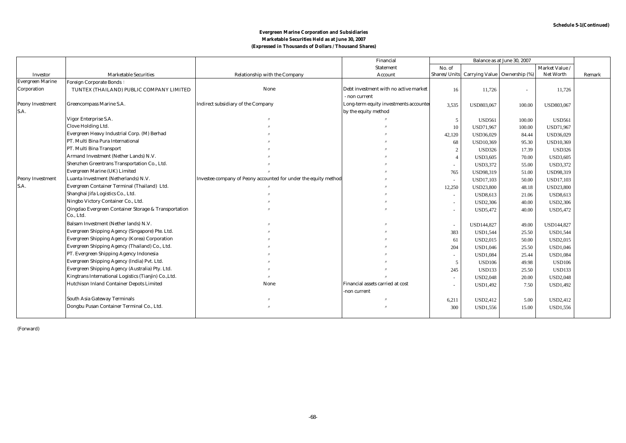|                         |                                                       |                                                                 | Financial                              | Balance as at June 30, 2007 |                                           |                          |                  |        |
|-------------------------|-------------------------------------------------------|-----------------------------------------------------------------|----------------------------------------|-----------------------------|-------------------------------------------|--------------------------|------------------|--------|
|                         |                                                       |                                                                 | <b>Statement</b>                       | No. of                      |                                           |                          | Market Value /   |        |
| <b>Investor</b>         | <b>Marketable Securities</b>                          | Relationship with the Company                                   | Account                                |                             | Shares/Units Carrying Value Ownership (%) |                          | Net Worth        | Remark |
| <b>Evergreen Marine</b> | <b>Foreign Corporate Bonds:</b>                       |                                                                 |                                        |                             |                                           |                          |                  |        |
| Corporation             | TUNTEX (THAILAND) PUBLIC COMPANY LIMITED              | None                                                            | Debt investment with no active market  | 16                          | 11,726                                    | $\overline{\phantom{a}}$ | 11,726           |        |
|                         |                                                       |                                                                 | non current                            |                             |                                           |                          |                  |        |
| <b>Peony Investment</b> | Greencompass Marine S.A.                              | <b>Indirect subsidiary of the Company</b>                       | Long-term equity investments accounted | 3,535                       | USD803,067                                | 100.00                   | USD803,067       |        |
| S.A.                    |                                                       |                                                                 | by the equity method                   |                             |                                           |                          |                  |        |
|                         | Vigor Enterprise S.A.                                 |                                                                 |                                        | 5                           | <b>USD561</b>                             | 100.00                   | <b>USD561</b>    |        |
|                         | Clove Holding Ltd.                                    |                                                                 |                                        | 10                          | USD71,967                                 | 100.00                   | USD71,967        |        |
|                         | Evergreen Heavy Industrial Corp. (M) Berhad           |                                                                 |                                        | 42,120                      | USD36,029                                 | 84.44                    | USD36,029        |        |
|                         | PT. Multi Bina Pura International                     |                                                                 |                                        | 68                          | <b>USD10,369</b>                          | 95.30                    | <b>USD10,369</b> |        |
|                         | PT. Multi Bina Transport                              |                                                                 |                                        | $\overline{2}$              | <b>USD326</b>                             | 17.39                    | <b>USD326</b>    |        |
|                         | Armand Investment (Nether Lands) N.V.                 |                                                                 |                                        |                             | <b>USD3,605</b>                           | 70.00                    | <b>USD3,605</b>  |        |
|                         | Shenzhen Greentrans Transportation Co., Ltd.          |                                                                 |                                        |                             | <b>USD3,372</b>                           | 55.00                    | USD3,372         |        |
|                         | Evergreen Marine (UK) Limited                         |                                                                 |                                        | 765                         | USD98,319                                 | 51.00                    | USD98,319        |        |
| <b>Peony Investment</b> | Luanta Investment (Netherlands) N.V.                  | Investee company of Peony accounted for under the equity method |                                        | $\sim$                      | <b>USD17,103</b>                          | 50.00                    | <b>USD17,103</b> |        |
| S.A.                    | Evergreen Container Terminal (Thailand) Ltd.          |                                                                 |                                        | 12,250                      | <b>USD23,800</b>                          | 48.18                    | <b>USD23,800</b> |        |
|                         | Shanghai Jifa Logistics Co., Ltd.                     |                                                                 |                                        | $\sim$                      | <b>USD8,613</b>                           | 21.06                    | <b>USD8,613</b>  |        |
|                         | Ningbo Victory Container Co., Ltd.                    |                                                                 |                                        | $\sim$                      | <b>USD2,306</b>                           | 40.00                    | <b>USD2,306</b>  |        |
|                         | Qingdao Evergreen Container Storage & Transportation  |                                                                 |                                        |                             | <b>USD5,472</b>                           | 40.00                    | USD5,472         |        |
|                         | Co., Ltd.                                             |                                                                 |                                        |                             |                                           |                          |                  |        |
|                         | Balsam Investment (Nether lands) N.V.                 |                                                                 |                                        | $\sim$                      | USD144,827                                | 49.00                    | USD144,827       |        |
|                         | Evergreen Shipping Agency (Singapore) Pte. Ltd.       |                                                                 |                                        | 383                         | <b>USD1,544</b>                           | 25.50                    | <b>USD1,544</b>  |        |
|                         | <b>Evergreen Shipping Agency (Korea) Corporation</b>  |                                                                 |                                        | 61                          | <b>USD2,015</b>                           | 50.00                    | USD2,015         |        |
|                         | Evergreen Shipping Agency (Thailand) Co., Ltd.        |                                                                 |                                        | 204                         | <b>USD1,046</b>                           | 25.50                    | USD1,046         |        |
|                         | PT. Evergreen Shipping Agency Indonesia               |                                                                 |                                        | $\sim$                      | <b>USD1,084</b>                           | 25.44                    | <b>USD1,084</b>  |        |
|                         | Evergreen Shipping Agency (India) Pvt. Ltd.           |                                                                 |                                        | 5                           | <b>USD106</b>                             | 49.98                    | <b>USD106</b>    |        |
|                         | Evergreen Shipping Agency (Australia) Pty. Ltd.       |                                                                 |                                        | 245                         | <b>USD133</b>                             | 25.50                    | <b>USD133</b>    |        |
|                         | Kingtrans International Logistics (Tianjin) Co., Ltd. |                                                                 |                                        | $\sim$                      | <b>USD2,048</b>                           | 20.00                    | <b>USD2,048</b>  |        |
|                         | Hutchison Inland Container Depots Limited             | None                                                            | Financial assets carried at cost       |                             | <b>USD1,492</b>                           | 7.50                     | USD1,492         |        |
|                         |                                                       |                                                                 | -non current                           |                             |                                           |                          |                  |        |
|                         | <b>South Asia Gateway Terminals</b>                   |                                                                 |                                        | 6,211                       | <b>USD2,412</b>                           | 5.00                     | USD2,412         |        |
|                         | Dongbu Pusan Container Terminal Co., Ltd.             |                                                                 |                                        | 300                         | USD1,556                                  | 15.00                    | USD1,556         |        |
|                         |                                                       |                                                                 |                                        |                             |                                           |                          |                  |        |

(Forward)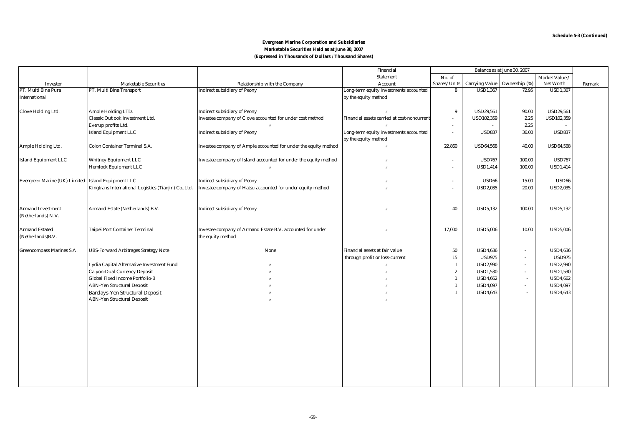|                                                    |                                                       |                                                                  | Financial                                   | Balance as at June 30, 2007 |                                |        |                   |        |
|----------------------------------------------------|-------------------------------------------------------|------------------------------------------------------------------|---------------------------------------------|-----------------------------|--------------------------------|--------|-------------------|--------|
|                                                    |                                                       |                                                                  | <b>Statement</b>                            | No. of                      |                                |        | Market Value /    |        |
| Investor                                           | <b>Marketable Securities</b>                          | Relationship with the Company                                    | Account                                     | Shares/Units                | Carrying Value   Ownership (%) |        | Net Worth         | Remark |
| PT. Multi Bina Pura                                | PT. Multi Bina Transport                              | <b>Indirect subsidiary of Peony</b>                              | Long-term equity investments accounted      | 8                           | <b>USD1,367</b>                | 72.95  | <b>USD1,367</b>   |        |
| <b>International</b>                               |                                                       |                                                                  | by the equity method                        |                             |                                |        |                   |        |
|                                                    |                                                       |                                                                  |                                             |                             |                                |        |                   |        |
| <b>Clove Holding Ltd.</b>                          | Ample Holding LTD.                                    | <b>Indirect subsidiary of Peony</b>                              |                                             | 9                           | <b>USD29,561</b>               | 90.00  | <b>USD29,561</b>  |        |
|                                                    | Classic Outlook Investment Ltd.                       | Investee company of Clove accounted for under cost method        | Financial assets carried at cost-noncurrent | $\sim$                      | <b>USD102,359</b>              | 2.25   | <b>USD102,359</b> |        |
|                                                    | Everup profits Ltd.                                   |                                                                  |                                             | $\sim$                      |                                | 2.25   |                   |        |
|                                                    | <b>Island Equipment LLC</b>                           | <b>Indirect subsidiary of Peony</b>                              | Long-term equity investments accounted      | $\sim$                      | <b>USD837</b>                  | 36.00  | <b>USD837</b>     |        |
|                                                    |                                                       |                                                                  | by the equity method                        |                             |                                |        |                   |        |
| Ample Holding Ltd.                                 | Colon Container Terminal S.A.                         | Investee company of Ample accounted for under the equity method  |                                             | 22,860                      | <b>USD64,568</b>               | 40.00  | <b>USD64,568</b>  |        |
|                                                    |                                                       |                                                                  |                                             |                             |                                |        |                   |        |
| <b>Island Equipment LLC</b>                        | <b>Whitney Equipment LLC</b>                          | Investee company of Island accounted for under the equity method |                                             | $\sim$                      | <b>USD767</b>                  | 100.00 | <b>USD767</b>     |        |
|                                                    | <b>Hemlock Equipment LLC</b>                          |                                                                  |                                             | $\blacksquare$              | <b>USD1,414</b>                | 100.00 | <b>USD1,414</b>   |        |
|                                                    |                                                       |                                                                  |                                             |                             |                                |        |                   |        |
| Evergreen Marine (UK) Limited Island Equipment LLC |                                                       | <b>Indirect subsidiary of Peony</b>                              |                                             | $\sim$                      | <b>USD66</b>                   | 15.00  | <b>USD66</b>      |        |
|                                                    | Kingtrans International Logistics (Tianjin) Co., Ltd. | Investee company of Hatsu accounted for under equity method      |                                             | ÷                           | <b>USD2,035</b>                | 20.00  | <b>USD2,035</b>   |        |
|                                                    |                                                       |                                                                  |                                             |                             |                                |        |                   |        |
|                                                    |                                                       |                                                                  |                                             |                             |                                |        |                   |        |
| <b>Armand Investment</b>                           | Armand Estate (Netherlands) B.V.                      | <b>Indirect subsidiary of Peony</b>                              |                                             | 40                          | <b>USD5,132</b>                | 100.00 | <b>USD5,132</b>   |        |
| (Netherlands) N.V.                                 |                                                       |                                                                  |                                             |                             |                                |        |                   |        |
|                                                    |                                                       |                                                                  |                                             |                             |                                |        |                   |        |
| <b>Armand Estated</b>                              | Taipei Port Container Terminal                        | Investee company of Armand Estate B.V. accounted for under       |                                             | 17,000                      | <b>USD5,006</b>                | 10.00  | <b>USD5,006</b>   |        |
| (Netherlands)B.V.                                  |                                                       | the equity method                                                |                                             |                             |                                |        |                   |        |
|                                                    |                                                       |                                                                  |                                             |                             |                                |        |                   |        |
| <b>Greencompass Marines S.A.</b>                   | <b>UBS-Forward Arbitrages Strategy Note</b>           | None                                                             | Financial assets at fair value              | 50                          | <b>USD4,636</b>                | $\sim$ | <b>USD4,636</b>   |        |
|                                                    |                                                       |                                                                  | through profit or loss-current              | $15\,$                      | <b>USD975</b>                  | $\sim$ | <b>USD975</b>     |        |
|                                                    | Lydia Capital Alternative Investment Fund             |                                                                  |                                             | 1                           | <b>USD2,990</b>                | $\sim$ | <b>USD2,990</b>   |        |
|                                                    | <b>Calyon-Dual Currency Deposit</b>                   |                                                                  |                                             | $\boldsymbol{2}$            | <b>USD1,530</b>                | $\sim$ | <b>USD1,530</b>   |        |
|                                                    | <b>Global Fixed Income Portfolio-B</b>                |                                                                  |                                             | $\mathbf{1}$                | <b>USD4,662</b>                | $\sim$ | <b>USD4,662</b>   |        |
|                                                    | <b>ABN-Yen Structural Deposit</b>                     |                                                                  |                                             | $\mathbf{1}$                | <b>USD4,097</b>                | $\sim$ | <b>USD4,097</b>   |        |
|                                                    | <b>Barclays-Yen Structural Deposit</b>                |                                                                  |                                             | $\mathbf{1}$                | <b>USD4,643</b>                | $\sim$ | <b>USD4,643</b>   |        |
|                                                    | <b>ABN-Yen Structural Deposit</b>                     |                                                                  |                                             |                             |                                |        |                   |        |
|                                                    |                                                       |                                                                  |                                             |                             |                                |        |                   |        |
|                                                    |                                                       |                                                                  |                                             |                             |                                |        |                   |        |
|                                                    |                                                       |                                                                  |                                             |                             |                                |        |                   |        |
|                                                    |                                                       |                                                                  |                                             |                             |                                |        |                   |        |
|                                                    |                                                       |                                                                  |                                             |                             |                                |        |                   |        |
|                                                    |                                                       |                                                                  |                                             |                             |                                |        |                   |        |
|                                                    |                                                       |                                                                  |                                             |                             |                                |        |                   |        |
|                                                    |                                                       |                                                                  |                                             |                             |                                |        |                   |        |
|                                                    |                                                       |                                                                  |                                             |                             |                                |        |                   |        |
|                                                    |                                                       |                                                                  |                                             |                             |                                |        |                   |        |
|                                                    |                                                       |                                                                  |                                             |                             |                                |        |                   |        |
|                                                    |                                                       |                                                                  |                                             |                             |                                |        |                   |        |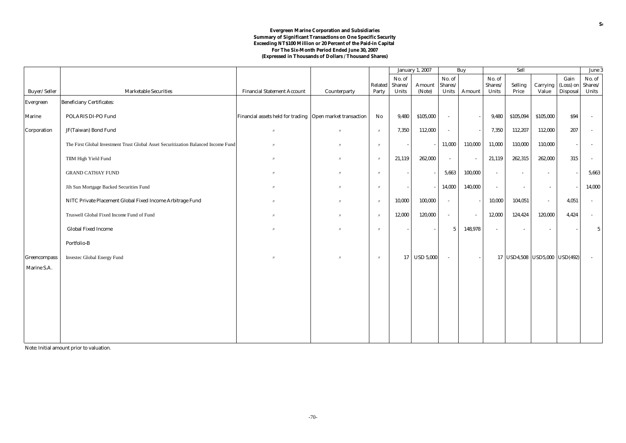#### **For The Six-Month Period Ended June 30, 2007 (Expressed in Thousands of Dollars / Thousand Shares) Evergreen Marine Corporation and Subsidiaries Summary of Significant Transactions on One Specific Security Exceeding NT\$100 Million or 20 Percent of the Paid-in Capital**

|                  |                                                                                    |                                                           |                   |                   | <b>January 1, 2007</b> |                  | Buy              |                          | Sell             |                               |                   |                          | June 3           |
|------------------|------------------------------------------------------------------------------------|-----------------------------------------------------------|-------------------|-------------------|------------------------|------------------|------------------|--------------------------|------------------|-------------------------------|-------------------|--------------------------|------------------|
|                  |                                                                                    |                                                           |                   |                   | No. of                 |                  | No. of           |                          | No. of           |                               |                   | Gain                     | No. of           |
| Buyer/Seller     | <b>Marketable Securities</b>                                                       | <b>Financial Statement Account</b>                        |                   | Related<br>Party  | Shares/<br>Units       | Amount<br>(Note) | Shares/<br>Units |                          | Shares/<br>Units | Selling<br>Price              | Carrying<br>Value | (Loss) on                | Shares/<br>Units |
|                  |                                                                                    |                                                           | Counterparty      |                   |                        |                  |                  | Amount                   |                  |                               |                   | Disposal                 |                  |
| <b>Evergreen</b> | <b>Beneficiany Certificates:</b>                                                   |                                                           |                   |                   |                        |                  |                  |                          |                  |                               |                   |                          |                  |
| <b>Marine</b>    | POLARIS DI-PO Fund                                                                 | Financial assets held for trading Open market transaction |                   | No                | 9,480                  | \$105,000        | $\sim$           |                          | 9,480            | \$105,094                     | \$105,000         | \$94                     |                  |
| Corporation      | JF(Taiwan) Bond Fund                                                               |                                                           | $^{\prime\prime}$ |                   | 7,350                  | 112,000          | $\sim$           |                          | 7,350            | 112,207                       | 112,000           | 207                      |                  |
|                  | The First Global Investment Trust Global Asset Securitization Balanced Income Fund |                                                           | $^{\prime\prime}$ | $^{\prime\prime}$ |                        |                  | 11,000           | 110,000                  | 11,000           | 110,000                       | 110,000           | $\overline{\phantom{a}}$ |                  |
|                  | TIIM High Yield Fund                                                               |                                                           |                   |                   | 21,119                 | 262,000          | $\sim$           |                          | 21,119           | 262,315                       | 262,000           | 315                      |                  |
|                  | <b>GRAND CATHAY FUND</b>                                                           |                                                           | $^{\prime\prime}$ |                   |                        |                  | 5,663            | 100,000                  | $\sim$           | $\sim$                        | $\sim$            |                          | 5,663            |
|                  | Jih Sun Mortgage Backed Securities Fund                                            |                                                           | $^{\prime\prime}$ | $^{\prime\prime}$ |                        |                  | 14,000           | 140,000                  | $\sim$           | $\sim$                        | $\sim$            |                          | 14,000           |
|                  | NITC Private Placement Global Fixed Income Arbitrage Fund                          |                                                           |                   | $^{\prime\prime}$ | 10,000                 | 100,000          | $\sim$           |                          | 10,000           | 104,051                       | $\sim$            | 4,051                    |                  |
|                  | Truswell Global Fixed Income Fund of Fund                                          |                                                           | $^{\prime\prime}$ | $^{\prime\prime}$ | 12,000                 | 120,000          | $\sim$           | $\overline{\phantom{a}}$ | 12,000           | 124,424                       | 120,000           | 4,424                    |                  |
|                  | <b>Global Fixed Income</b>                                                         |                                                           | $^{\prime}$       |                   |                        |                  | 5                | 148,978                  | $\sim$           |                               | $\sim$            |                          | $5\overline{)}$  |
|                  | Portfolio-B                                                                        |                                                           |                   |                   |                        |                  |                  |                          |                  |                               |                   |                          |                  |
| Greencompass     | <b>Investec Global Energy Fund</b>                                                 |                                                           | $^{\prime\prime}$ | $^{\prime\prime}$ | 17 <sup>1</sup>        | <b>USD 5,000</b> | $\sim$           |                          |                  | 17 USD4,508 USD5,000 USD(492) |                   |                          |                  |
| Marine S.A.      |                                                                                    |                                                           |                   |                   |                        |                  |                  |                          |                  |                               |                   |                          |                  |

Note: Initial amount prior to valuation.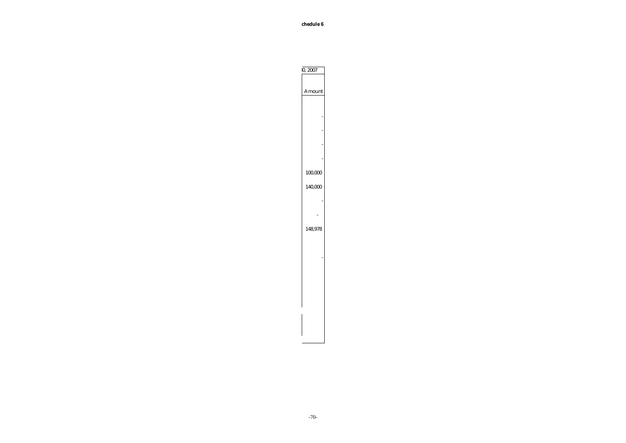**Schedule 6**

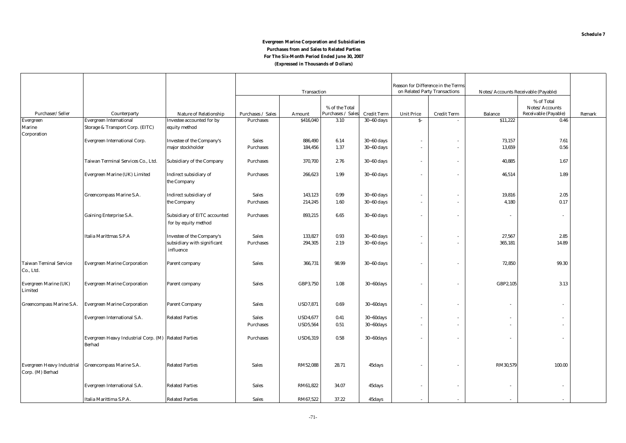#### **(Expressed in Thousands of Dollars) Evergreen Marine Corporation and Subsidiaries Purchases from and Sales to Related Parties For The Six-Month Period Ended June 30, 2007**

|                                                       |                                                                       |                                                             |                   |                 |                                     |                    | Reason for Difference in the Terms |                               |                                     |                                                      |        |
|-------------------------------------------------------|-----------------------------------------------------------------------|-------------------------------------------------------------|-------------------|-----------------|-------------------------------------|--------------------|------------------------------------|-------------------------------|-------------------------------------|------------------------------------------------------|--------|
|                                                       |                                                                       |                                                             | Transaction       |                 |                                     |                    |                                    | on Related Party Transactions | Notes/Accounts Receivable (Payable) |                                                      |        |
| Purchaser/Seller                                      | Counterparty                                                          | Nature of Relationship                                      | Purchases / Sales | Amount          | % of the Total<br>Purchases / Sales | <b>Credit Term</b> | <b>Unit Price</b>                  | <b>Credit Term</b>            | <b>Balance</b>                      | % of Total<br>Notes/Accounts<br>Receivable (Payable) | Remark |
| Evergreen                                             | <b>Evergreen International</b>                                        | Investee accounted for by                                   | <b>Purchases</b>  | \$416,040       | 3.10                                | $30 - 60$ days     | $S-$                               |                               | \$11,222                            | 0.46                                                 |        |
| Marine                                                | Storage & Transport Corp. (EITC)                                      | equity method                                               |                   |                 |                                     |                    |                                    |                               |                                     |                                                      |        |
| Corporation                                           |                                                                       |                                                             |                   |                 |                                     |                    |                                    |                               |                                     |                                                      |        |
|                                                       | Evergreen International Corp.                                         | <b>Investee of the Company's</b>                            | <b>Sales</b>      | 886,490         | 6.14                                | $30 - 60$ days     |                                    | $\sim$                        | 73,157                              | 7.61                                                 |        |
|                                                       |                                                                       | major stockholder                                           | Purchases         | 184,456         | 1.37                                | $30 - 60$ days     | $\sim$                             | $\sim$                        | 13,659                              | 0.56                                                 |        |
|                                                       | Taiwan Terminal Services Co., Ltd.                                    | Subsidiary of the Company                                   | <b>Purchases</b>  | 370,700         | 2.76                                | $30 - 60$ days     | $\sim$                             | $\sim$                        | 40,885                              | 1.67                                                 |        |
|                                                       | Evergreen Marine (UK) Limited                                         | Indirect subsidiary of<br>the Company                       | <b>Purchases</b>  | 266,623         | 1.99                                | $30 - 60$ days     |                                    | $\overline{\phantom{a}}$      | 46,514                              | 1.89                                                 |        |
|                                                       | Greencompass Marine S.A.                                              | Indirect subsidiary of                                      | <b>Sales</b>      | 143,123         | 0.99                                | $30 - 60$ days     | $\sim$                             | $\overline{\phantom{a}}$      | 19,816                              | 2.05                                                 |        |
|                                                       |                                                                       | the Company                                                 | <b>Purchases</b>  | 214,245         | 1.60                                | $30 - 60$ days     | $\sim$                             | $\sim$                        | 4,180                               | 0.17                                                 |        |
|                                                       |                                                                       |                                                             |                   |                 |                                     |                    |                                    |                               |                                     |                                                      |        |
|                                                       | <b>Gaining Enterprise S.A.</b>                                        | <b>Subsidiary of EITC accounted</b><br>for by equity method | <b>Purchases</b>  | 893,215         | 6.65                                | $30 - 60$ days     |                                    |                               |                                     | $\overline{\phantom{a}}$                             |        |
|                                                       | Italia Marittmas S.P.A                                                | <b>Investee of the Company's</b>                            | <b>Sales</b>      | 133,827         | 0.93                                | $30 - 60$ days     |                                    | $\overline{\phantom{a}}$      | 27,567                              | 2.85                                                 |        |
|                                                       |                                                                       | subsidiary with significant<br>influence                    | <b>Purchases</b>  | 294,305         | 2.19                                | $30 - 60$ days     |                                    | $\sim$                        | 365,181                             | 14.89                                                |        |
| <b>Taiwan Teminal Service</b><br>Co., Ltd.            | <b>Evergreen Marine Corporation</b>                                   | Parent company                                              | <b>Sales</b>      | 366,731         | 98.99                               | $30 - 60$ days     |                                    | $\overline{\phantom{a}}$      | 72,850                              | 99.30                                                |        |
| Evergreen Marine (UK)<br>Limited                      | <b>Evergreen Marine Corporation</b>                                   | Parent company                                              | <b>Sales</b>      | GBP3,750        | 1.08                                | $30 - 60$ days     |                                    |                               | GBP2,105                            | 3.13                                                 |        |
| Greencompass Marine S.A.                              | <b>Evergreen Marine Corporation</b>                                   | <b>Parent Company</b>                                       | <b>Sales</b>      | <b>USD7,871</b> | 0.69                                | $30 - 60$ days     |                                    | ÷.                            |                                     | $\mathbf{r}$                                         |        |
|                                                       | Evergreen International S.A.                                          | <b>Related Parties</b>                                      | <b>Sales</b>      | <b>USD4,677</b> | 0.41                                | $30 - 60$ days     |                                    | $\overline{\phantom{a}}$      |                                     |                                                      |        |
|                                                       |                                                                       |                                                             | Purchases         | <b>USD5,564</b> | 0.51                                | $30 - 60$ days     |                                    | $\sim$                        |                                     |                                                      |        |
|                                                       | Evergreen Heavy Industrial Corp. (M) Related Parties<br><b>Berhad</b> |                                                             | Purchases         | <b>USD6,319</b> | 0.58                                | $30 - 60$ days     |                                    | $\overline{\phantom{a}}$      |                                     | ٠                                                    |        |
| <b>Evergreen Heavy Industrial</b><br>Corp. (M) Berhad | Greencompass Marine S.A.                                              | <b>Related Parties</b>                                      | <b>Sales</b>      | RM52,088        | 28.71                               | 45days             |                                    |                               | RM30,579                            | 100.00                                               |        |
|                                                       | Evergreen International S.A.                                          | <b>Related Parties</b>                                      | <b>Sales</b>      | RM61,822        | 34.07                               | 45days             |                                    | $\sim$                        |                                     | $\sim$                                               |        |
|                                                       | Italia Marittima S.P.A.                                               | <b>Related Parties</b>                                      | <b>Sales</b>      | RM67,522        | 37.22                               | 45days             |                                    |                               |                                     |                                                      |        |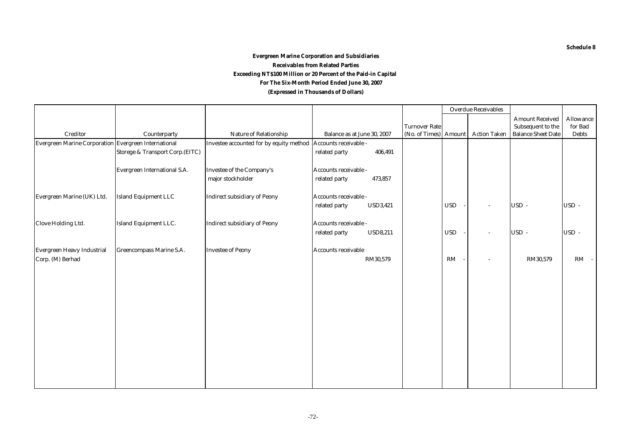### **(Expressed in Thousands of Dollars) Evergreen Marine Corporation and Subsidiaries Receivables from Related Parties Exceeding NT\$100 Million or 20 Percent of the Paid-in Capital For The Six-Month Period Ended June 30, 2007**

|                                                      |                                 |                                                               |                                  |                       | <b>Overdue Receivables</b> |                     |                           |              |
|------------------------------------------------------|---------------------------------|---------------------------------------------------------------|----------------------------------|-----------------------|----------------------------|---------------------|---------------------------|--------------|
|                                                      |                                 |                                                               |                                  |                       |                            |                     | <b>Amount Received</b>    | Allowance    |
|                                                      |                                 |                                                               |                                  | <b>Turnover Rate</b>  |                            |                     | Subsequent to the         | for Bad      |
| <b>Creditor</b>                                      | Counterparty                    | <b>Nature of Relationship</b>                                 | Balance as at June 30, 2007      | (No. of Times) Amount |                            | <b>Action Taken</b> | <b>Balance Sheet Date</b> | <b>Debts</b> |
| Evergreen Marine Corporation Evergreen International |                                 | Investee accounted for by equity method Accounts receivable - |                                  |                       |                            |                     |                           |              |
|                                                      | Storege & Transport Corp.(EITC) |                                                               | related party<br>406,491         |                       |                            |                     |                           |              |
|                                                      |                                 |                                                               |                                  |                       |                            |                     |                           |              |
|                                                      | Evergreen International S.A.    | Investee of the Company's                                     | Accounts receivable -            |                       |                            |                     |                           |              |
|                                                      |                                 | major stockholder                                             | 473,857<br>related party         |                       |                            |                     |                           |              |
|                                                      |                                 |                                                               |                                  |                       |                            |                     |                           |              |
| Evergreen Marine (UK) Ltd.                           | <b>Island Equipment LLC</b>     | <b>Indirect subsidiary of Peony</b>                           | Accounts receivable -            |                       |                            |                     |                           |              |
|                                                      |                                 |                                                               | <b>USD3,421</b><br>related party |                       | <b>USD</b>                 |                     | USD-                      | USD-         |
|                                                      |                                 |                                                               |                                  |                       |                            |                     |                           |              |
| <b>Clove Holding Ltd.</b>                            | <b>Island Equipment LLC.</b>    | <b>Indirect subsidiary of Peony</b>                           | Accounts receivable -            |                       |                            |                     |                           |              |
|                                                      |                                 |                                                               | <b>USD8,211</b><br>related party |                       | <b>USD</b>                 |                     | USD-                      | USD-         |
|                                                      |                                 |                                                               |                                  |                       |                            |                     |                           |              |
| <b>Evergreen Heavy Industrial</b>                    | <b>Greencompass Marine S.A.</b> | <b>Investee of Peony</b>                                      | <b>Accounts receivable</b>       |                       |                            |                     |                           |              |
| Corp. (M) Berhad                                     |                                 |                                                               | RM30,579                         |                       | $\mathbf{RM}$              |                     | RM30,579                  | $RM -$       |
|                                                      |                                 |                                                               |                                  |                       |                            |                     |                           |              |
|                                                      |                                 |                                                               |                                  |                       |                            |                     |                           |              |
|                                                      |                                 |                                                               |                                  |                       |                            |                     |                           |              |
|                                                      |                                 |                                                               |                                  |                       |                            |                     |                           |              |
|                                                      |                                 |                                                               |                                  |                       |                            |                     |                           |              |
|                                                      |                                 |                                                               |                                  |                       |                            |                     |                           |              |
|                                                      |                                 |                                                               |                                  |                       |                            |                     |                           |              |
|                                                      |                                 |                                                               |                                  |                       |                            |                     |                           |              |
|                                                      |                                 |                                                               |                                  |                       |                            |                     |                           |              |
|                                                      |                                 |                                                               |                                  |                       |                            |                     |                           |              |
|                                                      |                                 |                                                               |                                  |                       |                            |                     |                           |              |
|                                                      |                                 |                                                               |                                  |                       |                            |                     |                           |              |
|                                                      |                                 |                                                               |                                  |                       |                            |                     |                           |              |
|                                                      |                                 |                                                               |                                  |                       |                            |                     |                           |              |
|                                                      |                                 |                                                               |                                  |                       |                            |                     |                           |              |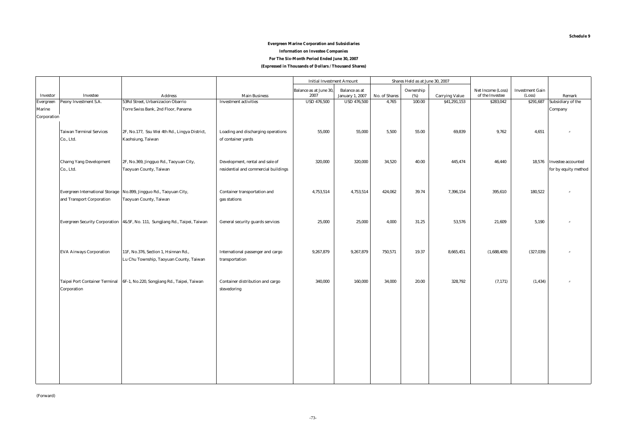### **Evergreen Marine Corporation and Subsidiaries Information on Investee Companies**

### **For The Six-Month Period Ended June 30, 2007**

**(Expressed in Thousands of Dollars / Thousand Shares)**

|             |                                        |                                                                             |                                      | <b>Initial Investment Amount</b> |                        |               | Shares Held as at June 30, 2007 |                       |                   |                        |                           |
|-------------|----------------------------------------|-----------------------------------------------------------------------------|--------------------------------------|----------------------------------|------------------------|---------------|---------------------------------|-----------------------|-------------------|------------------------|---------------------------|
|             |                                        |                                                                             |                                      | <b>Balance as at June 30,</b>    | <b>Balance</b> as at   |               | Ownership                       |                       | Net Income (Loss) | <b>Investment Gain</b> |                           |
| Investor    | Investee                               | <b>Address</b>                                                              | <b>Main Business</b>                 | 2007                             | <b>January 1, 2007</b> | No. of Shares | (%)                             | <b>Carrying Value</b> | of the Investee   | (Loss)                 | Remark                    |
| Evergreen   | Peony Investment S.A.                  | 53Rd Street, Urbanizacion Obarrio                                           | <b>Investment activities</b>         | <b>USD 476,500</b>               | <b>USD 476,500</b>     | 4,765         | 100.00                          | \$41,291,153          | \$283,042         | \$291,687              | Subsidiary of the         |
| Marine      |                                        | Torre Swiss Bank, 2nd Floor, Panama                                         |                                      |                                  |                        |               |                                 |                       |                   |                        | Company                   |
| Corporation |                                        |                                                                             |                                      |                                  |                        |               |                                 |                       |                   |                        |                           |
|             |                                        |                                                                             |                                      |                                  |                        |               |                                 |                       |                   |                        |                           |
|             | <b>Taiwan Terminal Services</b>        | 2F, No.177, Ssu Wei 4th Rd., Lingya District,                               | Loading and discharging operations   | 55,000                           | 55,000                 | 5,500         | 55.00                           | 69,839                | 9,762             | 4,651                  |                           |
|             | Co., Ltd.                              | Kaohsiung, Taiwan                                                           | of container yards                   |                                  |                        |               |                                 |                       |                   |                        |                           |
|             |                                        |                                                                             |                                      |                                  |                        |               |                                 |                       |                   |                        |                           |
|             |                                        |                                                                             |                                      |                                  |                        |               |                                 |                       |                   |                        |                           |
|             | <b>Charng Yang Development</b>         | 2F, No.369, Jingguo Rd., Taoyuan City,                                      | Development, rental and sale of      | 320,000                          | 320,000                | 34,520        | 40.00                           | 445,474               | 46,440            |                        | 18,576 Investee accounted |
|             | Co., Ltd.                              | Taoyuan County, Taiwan                                                      | residential and commercial buildings |                                  |                        |               |                                 |                       |                   |                        | for by equity method      |
|             |                                        |                                                                             |                                      |                                  |                        |               |                                 |                       |                   |                        |                           |
|             |                                        |                                                                             |                                      |                                  |                        |               |                                 |                       |                   |                        |                           |
|             | <b>Evergreen International Storage</b> | No.899, Jingguo Rd., Taoyuan City,                                          | Container transportation and         | 4,753,514                        | 4,753,514              | 424,062       | 39.74                           | 7,396,154             | 395,610           | 180,522                |                           |
|             | and Transport Corporation              | Taoyuan County, Taiwan                                                      | gas stations                         |                                  |                        |               |                                 |                       |                   |                        |                           |
|             |                                        |                                                                             |                                      |                                  |                        |               |                                 |                       |                   |                        |                           |
|             |                                        |                                                                             |                                      |                                  |                        |               |                                 |                       |                   |                        |                           |
|             |                                        | Evergreen Security Corporation 4&5F, No. 111, Sungjiang Rd., Taipei, Taiwan | General security guards services     | 25,000                           | 25,000                 | 4,000         | 31.25                           | 53,576                | 21,609            | 5,190                  |                           |
|             |                                        |                                                                             |                                      |                                  |                        |               |                                 |                       |                   |                        |                           |
|             |                                        |                                                                             |                                      |                                  |                        |               |                                 |                       |                   |                        |                           |
|             |                                        |                                                                             |                                      |                                  |                        |               |                                 |                       |                   |                        |                           |
|             | <b>EVA Airways Corporation</b>         | 11F, No.376, Section 1, Hsinnan Rd.,                                        | International passenger and cargo    | 9,267,879                        | 9,267,879              | 750,571       | 19.37                           | 8,665,451             | (1,688,409)       | (327, 039)             |                           |
|             |                                        | Lu Chu Township, Taoyuan County, Taiwan                                     | transportation                       |                                  |                        |               |                                 |                       |                   |                        |                           |
|             |                                        |                                                                             |                                      |                                  |                        |               |                                 |                       |                   |                        |                           |
|             |                                        |                                                                             |                                      |                                  |                        |               |                                 |                       |                   |                        |                           |
|             | Taipei Port Container Terminal         | 6F-1, No.220, Songjiang Rd., Taipei, Taiwan                                 | Container distribution and cargo     | 340,000                          | 160,000                | 34,000        | 20.00                           | 328,792               | (7, 171)          | (1, 434)               |                           |
|             | Corporation                            |                                                                             | stevedoring                          |                                  |                        |               |                                 |                       |                   |                        |                           |
|             |                                        |                                                                             |                                      |                                  |                        |               |                                 |                       |                   |                        |                           |
|             |                                        |                                                                             |                                      |                                  |                        |               |                                 |                       |                   |                        |                           |
|             |                                        |                                                                             |                                      |                                  |                        |               |                                 |                       |                   |                        |                           |
|             |                                        |                                                                             |                                      |                                  |                        |               |                                 |                       |                   |                        |                           |
|             |                                        |                                                                             |                                      |                                  |                        |               |                                 |                       |                   |                        |                           |
|             |                                        |                                                                             |                                      |                                  |                        |               |                                 |                       |                   |                        |                           |
|             |                                        |                                                                             |                                      |                                  |                        |               |                                 |                       |                   |                        |                           |
|             |                                        |                                                                             |                                      |                                  |                        |               |                                 |                       |                   |                        |                           |
|             |                                        |                                                                             |                                      |                                  |                        |               |                                 |                       |                   |                        |                           |
|             |                                        |                                                                             |                                      |                                  |                        |               |                                 |                       |                   |                        |                           |
|             |                                        |                                                                             |                                      |                                  |                        |               |                                 |                       |                   |                        |                           |
|             |                                        |                                                                             |                                      |                                  |                        |               |                                 |                       |                   |                        |                           |

**Schedule 9**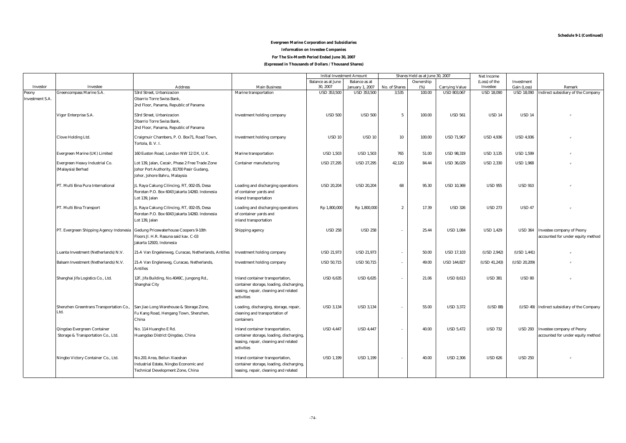#### **Evergreen Marine Corporation and Subsidiaries Information on Investee Companies**

#### **For The Six-Month Period Ended June 30, 2007**

#### **(Expressed in Thousands of Dollars / Thousand Shares)**

|                        |                                         |                                                     |                                          |                           | <b>Initial Investment Amount</b> | Shares Held as at June 30, 2007 |           | Net Income            |                   |                   |                                             |
|------------------------|-----------------------------------------|-----------------------------------------------------|------------------------------------------|---------------------------|----------------------------------|---------------------------------|-----------|-----------------------|-------------------|-------------------|---------------------------------------------|
|                        |                                         |                                                     |                                          | <b>Balance as at June</b> | <b>Balance</b> as at             |                                 | Ownership |                       | (Loss) of the     | Investment        |                                             |
| <b>Investor</b>        | Investee                                | <b>Address</b>                                      | <b>Main Business</b>                     | 30, 2007                  | <b>January 1, 2007</b>           | No. of Shares                   | (%)       | <b>Carrying Value</b> | Investee          | Gain (Loss)       | Remark                                      |
| Peony                  | <b>Greencompass Marine S.A</b>          | 53rd Street. Urbanizacion                           | Marine transportation                    | <b>USD 353,500</b>        | <b>USD 353,500</b>               | 3,535                           | 100.00    | <b>USD 803.067</b>    | <b>USD 18,090</b> | <b>USD 18,090</b> | Indirect subsidiary of the Company          |
| <b>Investment S.A.</b> |                                         | <b>Obarrio Torre Swiss Bank,</b>                    |                                          |                           |                                  |                                 |           |                       |                   |                   |                                             |
|                        |                                         | 2nd Floor, Panama, Republic of Panama               |                                          |                           |                                  |                                 |           |                       |                   |                   |                                             |
|                        | Vigor Enterprise S.A.                   | 53rd Street, Urbanizacion                           | <b>Investment holding company</b>        | <b>USD 500</b>            | <b>USD 500</b>                   | $5\overline{)}$                 | 100.00    | <b>USD 561</b>        | <b>USD 14</b>     | <b>USD 14</b>     |                                             |
|                        |                                         | <b>Obarrio Torre Swiss Bank,</b>                    |                                          |                           |                                  |                                 |           |                       |                   |                   |                                             |
|                        |                                         | 2nd Floor, Panama, Republic of Panama               |                                          |                           |                                  |                                 |           |                       |                   |                   |                                             |
|                        |                                         |                                                     |                                          |                           |                                  |                                 |           |                       |                   |                   |                                             |
|                        | <b>Clove Holding Ltd.</b>               | Craigmuir Chambers, P. O. Box71, Road Town,         | <b>Investment holding company</b>        | <b>USD 10</b>             | <b>USD 10</b>                    | 10                              | 100.00    | <b>USD 71.967</b>     | <b>USD 4.936</b>  | <b>USD 4.936</b>  |                                             |
|                        |                                         | Tortola, B. V. I.                                   |                                          |                           |                                  |                                 |           |                       |                   |                   |                                             |
|                        | Evergreen Marine (UK) Limited           | 160 Euston Road, London NW 12 DX, U.K.              | Marine transportation                    | <b>USD 1,503</b>          | <b>USD 1,503</b>                 | 765                             | 51.00     | <b>USD 98,319</b>     | <b>USD 3,135</b>  | <b>USD 1,599</b>  |                                             |
|                        |                                         |                                                     |                                          |                           |                                  |                                 |           |                       |                   |                   |                                             |
|                        | Evergreen Heavy Industrial Co.          | Lot 139, Jalan, Cecair, Phase 2 Free Trade Zone     | <b>Container manufacturing</b>           | <b>USD 27,295</b>         | <b>USD 27,295</b>                | 42,120                          | 84.44     | <b>USD 36,029</b>     | <b>USD 2,330</b>  | <b>USD 1,968</b>  |                                             |
|                        | (Malaysia) Berhad                       | Johor Port Authority, B1700 Pasir Gudang,           |                                          |                           |                                  |                                 |           |                       |                   |                   |                                             |
|                        |                                         | Johor, Johore Bahru, Malaysia                       |                                          |                           |                                  |                                 |           |                       |                   |                   |                                             |
|                        | PT. Multi Bina Pura International       | JL Raya Cakung Cilincing, RT, 002-05, Desa          | Loading and discharging operations       | <b>USD 20,204</b>         | <b>USD 20,204</b>                | 68                              | 95.30     | <b>USD 10,369</b>     | <b>USD 955</b>    | <b>USD 910</b>    |                                             |
|                        |                                         | Rorotan P.O. Box 6043 Jakarta 14260. Indonesia      | of container yards and                   |                           |                                  |                                 |           |                       |                   |                   |                                             |
|                        |                                         | Lot 139, Jalan                                      |                                          |                           |                                  |                                 |           |                       |                   |                   |                                             |
|                        |                                         |                                                     | inland transportation                    |                           |                                  |                                 |           |                       |                   |                   |                                             |
|                        | PT. Multi Bina Transport                | JL Raya Cakung Cilincing, RT, 002-05, Desa          | Loading and discharging operations       | Rp 1,800,000              | Rp 1,800,000                     | $\overline{2}$                  | 17.39     | <b>USD 326</b>        | <b>USD 273</b>    | <b>USD 47</b>     |                                             |
|                        |                                         | Rorotan P.O. Box 6043 Jakarta 14260. Indonesia      | of container yards and                   |                           |                                  |                                 |           |                       |                   |                   |                                             |
|                        |                                         | Lot 139, Jalan                                      | inland transportation                    |                           |                                  |                                 |           |                       |                   |                   |                                             |
|                        |                                         |                                                     |                                          |                           |                                  |                                 |           |                       |                   |                   |                                             |
|                        | PT. Evergreen Shipping Agency Indonesia | <b>Gedung Pricewaterhouse Coopers 9-10th</b>        | Shipping agency                          | <b>USD 258</b>            | <b>USD 258</b>                   | ÷                               | 25.44     | <b>USD 1.084</b>      | <b>USD 1,429</b>  | <b>USD 364</b>    | <b>Investee company of Peony</b>            |
|                        |                                         | Floors Jl. H.R. Rasuna said kav. C-03               |                                          |                           |                                  |                                 |           |                       |                   |                   | accounted for under equity method           |
|                        |                                         | Jakarta 12920, Indonesia                            |                                          |                           |                                  |                                 |           |                       |                   |                   |                                             |
|                        | Luanta Investment (Netherlands) N.V.    | 21-A Van Engelenweg, Curacao, Netherlands, Antilles | <b>Investment holding company</b>        | <b>USD 21,973</b>         | <b>USD 21.973</b>                | $\overline{\phantom{a}}$        | 50.00     | <b>USD 17.103</b>     | (USD 2, 942)      | (USD 1,441)       |                                             |
|                        |                                         |                                                     |                                          |                           |                                  |                                 |           |                       |                   |                   |                                             |
|                        | Balsam Investment (Netherlands) N.V.    | 21-A Van Englenweg, Curacao, Netherlands,           | <b>Investment holding company</b>        | <b>USD 50,715</b>         | <b>USD 50,715</b>                | $\sim$                          | 49.00     | <b>USD 144,827</b>    | (USD 41,243)      | (USD 20, 209)     |                                             |
|                        |                                         | <b>Antilles</b>                                     |                                          |                           |                                  |                                 |           |                       |                   |                   |                                             |
|                        | Shanghai Jifa Logistics Co., Ltd.       | 12F, Jifa Building, No.4049C, Jungong Rd.,          | Inland container transportation,         | <b>USD 6,635</b>          | <b>USD 6.635</b>                 | ÷,                              | 21.06     | <b>USD 8.613</b>      | <b>USD 381</b>    | <b>USD 80</b>     |                                             |
|                        |                                         | Shanghai City                                       | container storage, loading, discharging, |                           |                                  |                                 |           |                       |                   |                   |                                             |
|                        |                                         |                                                     | leasing, repair, cleaning and related    |                           |                                  |                                 |           |                       |                   |                   |                                             |
|                        |                                         |                                                     | activities                               |                           |                                  |                                 |           |                       |                   |                   |                                             |
|                        |                                         |                                                     |                                          |                           |                                  |                                 |           |                       |                   |                   |                                             |
|                        | Shenzhen Greentrans Transportation Co., | San Jiao Long Warehouse & Storage Zone,             | Loading, discharging, storage, repair,   | <b>USD 3,134</b>          | <b>USD 3,134</b>                 |                                 | 55.00     | <b>USD 3,372</b>      | (USD 88)          |                   | (USD 49) Indirect subsidiary of the Company |
|                        | Ltd.                                    | Fu Kang Road, Hengang Town, Shenzhen,               | cleaning and transportation of           |                           |                                  |                                 |           |                       |                   |                   |                                             |
|                        |                                         | China                                               | containers                               |                           |                                  |                                 |           |                       |                   |                   |                                             |
|                        | Qingdao Evergreen Container             | No. 114 Huangho E Rd.                               | Inland container transportation,         | <b>USD 4,447</b>          | <b>USD 4,447</b>                 | $\sim$                          | 40.00     | <b>USD 5,472</b>      | <b>USD 732</b>    |                   | USD 293 Investee company of Peony           |
|                        | Storage & Transportation Co., Ltd.      | Huangdao District Qingdao, China                    | container storage, loading, discharging, |                           |                                  |                                 |           |                       |                   |                   | accounted for under equity method           |
|                        |                                         |                                                     | leasing, repair, cleaning and related    |                           |                                  |                                 |           |                       |                   |                   |                                             |
|                        |                                         |                                                     | activities                               |                           |                                  |                                 |           |                       |                   |                   |                                             |
|                        |                                         |                                                     |                                          |                           |                                  |                                 |           |                       |                   |                   |                                             |
|                        | Ningbo Victory Container Co., Ltd.      | No.201 Area, Beilun Xiaoshan                        | Inland container transportation,         | <b>USD 1,199</b>          | <b>USD 1,199</b>                 |                                 | 40.00     | <b>USD 2,306</b>      | <b>USD 626</b>    | <b>USD 250</b>    |                                             |
|                        |                                         | Industrial Estate, Ningbo Economic and              | container storage, loading, discharging, |                           |                                  |                                 |           |                       |                   |                   |                                             |
|                        |                                         | <b>Technical Development Zone, China</b>            | leasing, repair, cleaning and related    |                           |                                  |                                 |           |                       |                   |                   |                                             |
|                        |                                         |                                                     |                                          |                           |                                  |                                 |           |                       |                   |                   |                                             |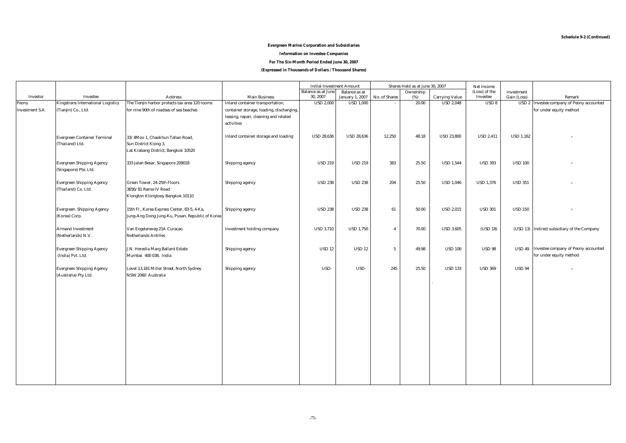#### **Evergreen Marine Corporation and Subsidiaries**

#### **Information on Investee Companies**

**For The Six-Month Period Ended June 30, 2007**

**(Expressed in Thousands of Dollars / Thousand Shares)**

|                        |                                           |                                                 |                                          | <b>Initial Investment Amount</b>      |                                                | Shares Held as at June 30, 2007 |                  |                       | Net Income                |                           |                                                  |
|------------------------|-------------------------------------------|-------------------------------------------------|------------------------------------------|---------------------------------------|------------------------------------------------|---------------------------------|------------------|-----------------------|---------------------------|---------------------------|--------------------------------------------------|
| Investor               | Investee                                  | <b>Address</b>                                  | <b>Main Business</b>                     | <b>Balance as at June</b><br>30, 2007 | <b>Balance</b> as at<br><b>January 1, 2007</b> | No. of Shares                   | Ownership<br>(%) | <b>Carrying Value</b> | (Loss) of the<br>Investee | Investment<br>Gain (Loss) | Remark                                           |
| Peony                  | <b>Kingstrans International Logistics</b> | The Tienjin harbor protects tax area 120 rooms  | Inland container transportation,         | <b>USD 2,000</b>                      | <b>USD 1,000</b>                               |                                 | 20.00            | <b>USD 2,048</b>      | USD 8                     |                           | <b>USD 2</b> Investee company of Peony accounted |
| <b>Investment S.A.</b> | (Tianjin) Co., Ltd.                       | for nine 90th of roadses of sea beaches         | container storage, loading, discharging, |                                       |                                                |                                 |                  |                       |                           |                           | for under equity method                          |
|                        |                                           |                                                 | leasing, repair, cleaning and related    |                                       |                                                |                                 |                  |                       |                           |                           |                                                  |
|                        |                                           |                                                 | activities                               |                                       |                                                |                                 |                  |                       |                           |                           |                                                  |
|                        |                                           |                                                 |                                          |                                       |                                                |                                 |                  |                       |                           |                           |                                                  |
|                        | <b>Evergreen Container Terminal</b>       | 33/4Moo 1, Chaokhun Tahan Road,                 | Inland container storage and loading     | <b>USD 28,636</b>                     | <b>USD 28,636</b>                              | 12,250                          | 48.18            | <b>USD 23,800</b>     | <b>USD 2,411</b>          | <b>USD 1,162</b>          |                                                  |
|                        | (Thailand) Ltd.                           | Sun District Klong 3,                           |                                          |                                       |                                                |                                 |                  |                       |                           |                           |                                                  |
|                        |                                           | Lat Krabang District, Bangkok 10520             |                                          |                                       |                                                |                                 |                  |                       |                           |                           |                                                  |
|                        | <b>Evergreen Shipping Agency</b>          | 333 Jalan Besar, Singapore 209018               | Shipping agency                          | <b>USD 219</b>                        | <b>USD 219</b>                                 | 383                             | 25.50            | <b>USD 1,544</b>      | <b>USD 393</b>            | <b>USD 100</b>            |                                                  |
|                        | (Singapore) Pte. Ltd.                     |                                                 |                                          |                                       |                                                |                                 |                  |                       |                           |                           |                                                  |
|                        |                                           |                                                 |                                          |                                       |                                                |                                 |                  |                       |                           |                           |                                                  |
|                        | <b>Evergreen Shipping Agency</b>          | Green Tower, 24-25th Floors                     | Shipping agency                          | <b>USD 238</b>                        | <b>USD 238</b>                                 | 204                             | 25.50            | <b>USD 1,046</b>      | <b>USD 1,376</b>          | <b>USD 351</b>            |                                                  |
|                        | (Thailand) Co. Ltd.                       | 3656/81 Rama IV Road                            |                                          |                                       |                                                |                                 |                  |                       |                           |                           |                                                  |
|                        |                                           | Klongton Klongtoey Bangkok 10110                |                                          |                                       |                                                |                                 |                  |                       |                           |                           |                                                  |
|                        |                                           |                                                 |                                          |                                       |                                                |                                 |                  |                       |                           |                           |                                                  |
|                        | <b>Evergreen Shipping Agency</b>          | 15th Fl., Korea Express Center, 83-5, 4-Ka,     | Shipping agency                          | <b>USD 238</b>                        | <b>USD 238</b>                                 | 61                              | 50.00            | <b>USD 2,015</b>      | <b>USD 301</b>            | <b>USD 150</b>            |                                                  |
|                        | (Korea) Corp.                             | Jung-Ang Dong Jung-Ku, Pusan, Republic of Korea |                                          |                                       |                                                |                                 |                  |                       |                           |                           |                                                  |
|                        | <b>Armand Investment</b>                  | Van Engelenweg 21A Curacao                      | Investment holding company               | <b>USD 3,710</b>                      | <b>USD 1,750</b>                               | $\overline{4}$                  | 70.00            | <b>USD 3.605</b>      | (USD 18)                  |                           | (USD 13) Indirect subsidiary of the Company      |
|                        | (Netherlands) N.V.                        | <b>Netherlands Antilles</b>                     |                                          |                                       |                                                |                                 |                  |                       |                           |                           |                                                  |
|                        |                                           |                                                 |                                          |                                       |                                                |                                 |                  |                       |                           |                           |                                                  |
|                        | <b>Evergreen Shipping Agency</b>          | J.N. Heredia Marg Ballard Estate                | Shipping agency                          | <b>USD 12</b>                         | <b>USD 12</b>                                  | $5\phantom{.0}$                 | 49.98            | <b>USD 106</b>        | <b>USD 98</b>             |                           | USD 49 Investee company of Peony accounted       |
|                        | (India) Pvt. Ltd.                         | Mumbai 400 038, India                           |                                          |                                       |                                                |                                 |                  |                       |                           |                           | for under equity method                          |
|                        |                                           |                                                 |                                          |                                       |                                                |                                 |                  |                       |                           |                           |                                                  |
|                        | <b>Evergreen Shipping Agency</b>          | Level 13,181 Miller Street, North Sydney        | Shipping agency                          | USD-                                  | USD-                                           | 245                             | 25.50            | <b>USD 133</b>        | <b>USD 369</b>            | <b>USD 94</b>             |                                                  |
|                        | (Australia) Pty Ltd.                      | NSW 2060 Australia                              |                                          |                                       |                                                |                                 |                  |                       |                           |                           |                                                  |
|                        |                                           |                                                 |                                          |                                       |                                                |                                 |                  |                       |                           |                           |                                                  |
|                        |                                           |                                                 |                                          |                                       |                                                |                                 |                  |                       |                           |                           |                                                  |
|                        |                                           |                                                 |                                          |                                       |                                                |                                 |                  |                       |                           |                           |                                                  |
|                        |                                           |                                                 |                                          |                                       |                                                |                                 |                  |                       |                           |                           |                                                  |
|                        |                                           |                                                 |                                          |                                       |                                                |                                 |                  |                       |                           |                           |                                                  |
|                        |                                           |                                                 |                                          |                                       |                                                |                                 |                  |                       |                           |                           |                                                  |
|                        |                                           |                                                 |                                          |                                       |                                                |                                 |                  |                       |                           |                           |                                                  |
|                        |                                           |                                                 |                                          |                                       |                                                |                                 |                  |                       |                           |                           |                                                  |
|                        |                                           |                                                 |                                          |                                       |                                                |                                 |                  |                       |                           |                           |                                                  |
|                        |                                           |                                                 |                                          |                                       |                                                |                                 |                  |                       |                           |                           |                                                  |
|                        |                                           |                                                 |                                          |                                       |                                                |                                 |                  |                       |                           |                           |                                                  |
|                        |                                           |                                                 |                                          |                                       |                                                |                                 |                  |                       |                           |                           |                                                  |
|                        |                                           |                                                 |                                          |                                       |                                                |                                 |                  |                       |                           |                           |                                                  |
|                        |                                           |                                                 |                                          |                                       |                                                |                                 |                  |                       |                           |                           |                                                  |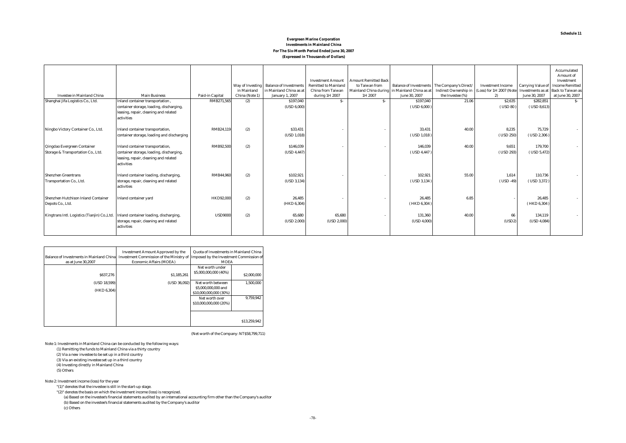#### **Evergreen Marine Corporation Investments in Mainland China For The Six-Month Period Ended June 30, 2007 (Expressed in Thousands of Dollars)**

| <b>Investee in Mainland China</b>                                                    | <b>Main Business</b>                                                                                                                | Paid-in Capital  | in Mainland<br>China (Note 1) | Way of Investing Balance of Investments<br>in Mainland China as at<br><b>January 1, 2007</b> | <b>Investment Amount</b><br><b>Remitted to Mainland</b><br>China from Taiwan<br>during 1H 2007 | <b>Amount Remitted Back</b><br>to Taiwan from<br>Mainland China during<br>1H 2007 | in Mainland China as at<br>June 30, 2007 | Balance of Investments The Company's Direct/<br><b>Indirect Ownership in</b><br>the Investee (%) | <b>Investment Income</b><br>(Loss) for 1H 2007 (Note Investments as at<br>2) | <b>Carrying Value of</b><br>June 30, 2007 | Accumulated<br>Amount of<br>Investment<br><b>Income Remitted</b><br><b>Back to Taiwan as</b><br>at June 30, 2007 |
|--------------------------------------------------------------------------------------|-------------------------------------------------------------------------------------------------------------------------------------|------------------|-------------------------------|----------------------------------------------------------------------------------------------|------------------------------------------------------------------------------------------------|-----------------------------------------------------------------------------------|------------------------------------------|--------------------------------------------------------------------------------------------------|------------------------------------------------------------------------------|-------------------------------------------|------------------------------------------------------------------------------------------------------------------|
| Shanghai Jifa Logistics Co., Ltd.                                                    | Inland container transportation,<br>container storage, loading, discharging,<br>leasing, repair, cleaning and related<br>activities | RMB271,565       | (2)                           | \$197,040<br>(USD 6,000                                                                      | $S-$                                                                                           | $S-$                                                                              | \$197,040<br>$($ USD 6.000 $)$           | 21.06                                                                                            | \$2,635<br>(USD 80)                                                          | \$282,851<br>$($ USD 8.613 $)$            | $S-$                                                                                                             |
| Ningbo Victory Container Co., Ltd.                                                   | Inland container transportation,<br>container storage, loading and discharging                                                      | RMB24,119        | (2)                           | \$33,431<br>(USD 1, 018)                                                                     |                                                                                                |                                                                                   | 33,431<br>$($ USD 1,018 $)$              | 40.00                                                                                            | 8,235<br>(USD 250)                                                           | 75,729<br>$($ USD 2,306 $)$               |                                                                                                                  |
| Qingdao Evergreen Container<br>Storage & Transportation Co., Ltd.                    | Inland container transportation,<br>container storage, loading, discharging,<br>leasing, repair, cleaning and related<br>activities | <b>RMB92,500</b> | (2)                           | \$146,039<br>(USD 4, 447)                                                                    |                                                                                                |                                                                                   | 146,039<br>(USD 4,447)                   | 40.00                                                                                            | 9.651<br>(USD 293)                                                           | 179,700<br>$($ USD $5,472)$               |                                                                                                                  |
| <b>Shenzhen Greentrans</b><br>Transportation Co., Ltd.                               | Inland container loading, discharging,<br>storage, repair, cleaning and related<br>activities                                       | RMB44,960        | (2)                           | \$102,921<br>(USD 3, 134)                                                                    |                                                                                                |                                                                                   | 102,921<br>$($ USD 3,134 $)$             | 55.00                                                                                            | 1,614<br>$($ USD -49 $)$                                                     | 110,736<br>$($ USD 3,372 $)$              |                                                                                                                  |
| Shenzhen Hutchison Inland Container<br>Depots Co., Ltd.                              | <b>Inland container yard</b>                                                                                                        | <b>HKD92,000</b> | (2)                           | 26,485<br>(HKD 6,304)                                                                        |                                                                                                |                                                                                   | 26,485<br>(HKD 6, 304)                   | 6.85                                                                                             |                                                                              | 26,485<br>(HKD 6, 304)                    |                                                                                                                  |
| Kingtrans Intl. Logistics (Tianjin) Co., Ltd. Inland container loading, discharging, | storage, repair, cleaning and related<br>activities                                                                                 | <b>USD9000</b>   | (2)                           | 65,680<br>(USD 2,000)                                                                        | 65,680<br>(USD 2,000)                                                                          |                                                                                   | 131,360<br>(USD 4,000)                   | 40.00                                                                                            | 66<br>(USD2)                                                                 | 134,119<br>(USD 4, 084)                   |                                                                                                                  |

| <b>Balance of Investments in Mainland China</b><br>as at June 30,2007 | <b>Investment Amount Approved by the</b><br><b>Investment Commission of the Ministry of</b><br><b>Economic Affairs (MOEA)</b> | Quota of Investments in Mainland China<br>Imposed by the Investment Commission of<br><b>MOEA</b> |              |
|-----------------------------------------------------------------------|-------------------------------------------------------------------------------------------------------------------------------|--------------------------------------------------------------------------------------------------|--------------|
| \$637.276                                                             | \$1,185,261                                                                                                                   | Net worth under<br>\$5,000,000,000 (40%)                                                         | \$2,000,000  |
| (USD 18.599)                                                          | (USD 36.092)                                                                                                                  | Net worth between                                                                                | 1.500.000    |
| (HKD 6.304)                                                           |                                                                                                                               | \$5,000,000,000 and<br>\$10,000,000,000 (30%)                                                    |              |
|                                                                       |                                                                                                                               | Net worth over<br>\$10,000,000,000 (20%)                                                         | 9.759.942    |
|                                                                       |                                                                                                                               |                                                                                                  |              |
|                                                                       |                                                                                                                               |                                                                                                  |              |
|                                                                       |                                                                                                                               |                                                                                                  | \$13,259,942 |

(Net worth of the Company: NT\$58,799,711)

Note 1: Investments in Mainland China can be conducted by the following ways:

(1) Remitting the funds to Mainland China via a thirty country (2) Via a new investee to be set up in a third country

(3) Via an existing investee set up in a third country

(4) Investing directly in Mainland China

(5) Others

Note 2: Investment income (loss) for the year

"(1)" denotes that the investee is still in the start-up stage.

 "(2)" denotes the basis on which the investment income (loss) is recognized. (a) Based on the investee's financial statements audited by an international accounting firm other than the Company's auditor (b) Based on the investee's financial statements audited by the Company's auditor (c) Others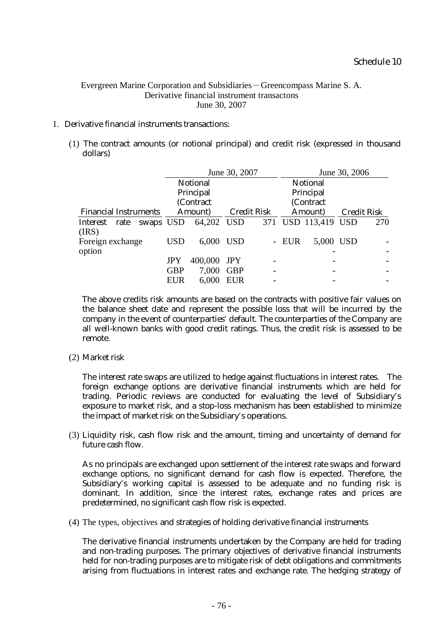# Evergreen Marine Corporation and Subsidiaries-Greencompass Marine S. A. Derivative financial instrument transactons June 30, 2007

# 1. Derivative financial instruments transactions:

(1) The contract amounts (or notional principal) and credit risk (expressed in thousand dollars)

|                              |         |            |                 | June 30, 2007      |  |         |                     | June 30, 2006 |     |  |
|------------------------------|---------|------------|-----------------|--------------------|--|---------|---------------------|---------------|-----|--|
|                              |         |            | <b>Notional</b> |                    |  |         | <b>Notional</b>     |               |     |  |
|                              |         |            | Principal       |                    |  |         | Principal           |               |     |  |
|                              |         |            | (Contract       |                    |  |         | (Contract           |               |     |  |
| <b>Financial Instruments</b> | Amount) |            |                 | <b>Credit Risk</b> |  | Amount) | <b>Credit Risk</b>  |               |     |  |
| Interest rate swaps USD      |         |            | 64,202 USD      |                    |  |         | 371 USD 113,419 USD |               | 270 |  |
| (IRS)                        |         |            |                 |                    |  |         |                     |               |     |  |
| Foreign exchange             |         | <b>USD</b> | 6,000           | <b>USD</b>         |  | - EUR   | 5,000 USD           |               |     |  |
| option                       |         |            |                 |                    |  |         |                     |               |     |  |
|                              |         | <b>JPY</b> | 400,000         | JPY                |  |         |                     |               |     |  |
|                              |         | <b>GBP</b> | 7,000           | <b>GBP</b>         |  |         |                     |               |     |  |
|                              |         | <b>EUR</b> | 6,000           | <b>EUR</b>         |  |         |                     |               |     |  |
|                              |         |            |                 |                    |  |         |                     |               |     |  |

The above credits risk amounts are based on the contracts with positive fair values on the balance sheet date and represent the possible loss that will be incurred by the company in the event of counterparties' default. The counterparties of the Company are all well-known banks with good credit ratings. Thus, the credit risk is assessed to be remote.

(2) Market risk

The interest rate swaps are utilized to hedge against fluctuations in interest rates. The foreign exchange options are derivative financial instruments which are held for trading. Periodic reviews are conducted for evaluating the level of Subsidiary's exposure to market risk, and a stop-loss mechanism has been established to minimize the impact of market risk on the Subsidiary's operations.

(3) Liquidity risk, cash flow risk and the amount, timing and uncertainty of demand for future cash flow.

As no principals are exchanged upon settlement of the interest rate swaps and forward exchange options, no significant demand for cash flow is expected. Therefore, the Subsidiary's working capital is assessed to be adequate and no funding risk is dominant. In addition, since the interest rates, exchange rates and prices are predetermined, no significant cash flow risk is expected.

(4) The types, objectives and strategies of holding derivative financial instruments

The derivative financial instruments undertaken by the Company are held for trading and non-trading purposes. The primary objectives of derivative financial instruments held for non-trading purposes are to mitigate risk of debt obligations and commitments arising from fluctuations in interest rates and exchange rate. The hedging strategy of